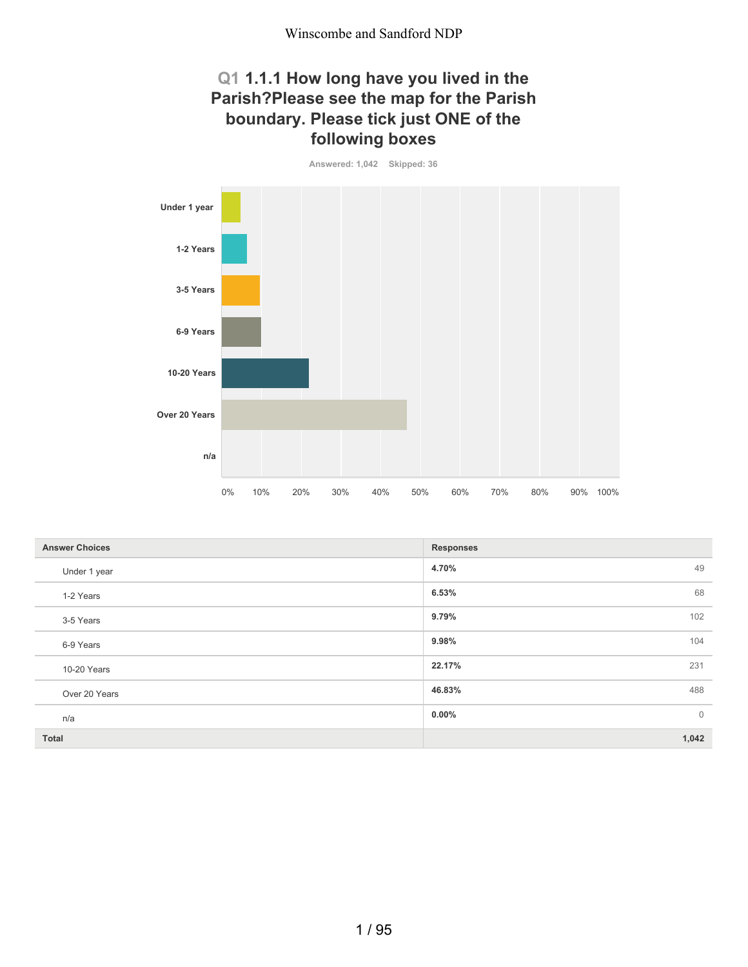#### **Q1 1.1.1 How long have you lived in the Parish?Please see the map for the Parish boundary. Please tick just ONE of the following boxes**

**Answered: 1,042 Skipped: 36**



| <b>Answer Choices</b> | <b>Responses</b>        |
|-----------------------|-------------------------|
| Under 1 year          | 49<br>4.70%             |
| 1-2 Years             | 68<br>6.53%             |
| 3-5 Years             | 102<br>9.79%            |
| 6-9 Years             | 9.98%<br>104            |
| 10-20 Years           | 22.17%<br>231           |
| Over 20 Years         | 46.83%<br>488           |
| n/a                   | $\mathbf 0$<br>$0.00\%$ |
| <b>Total</b>          | 1,042                   |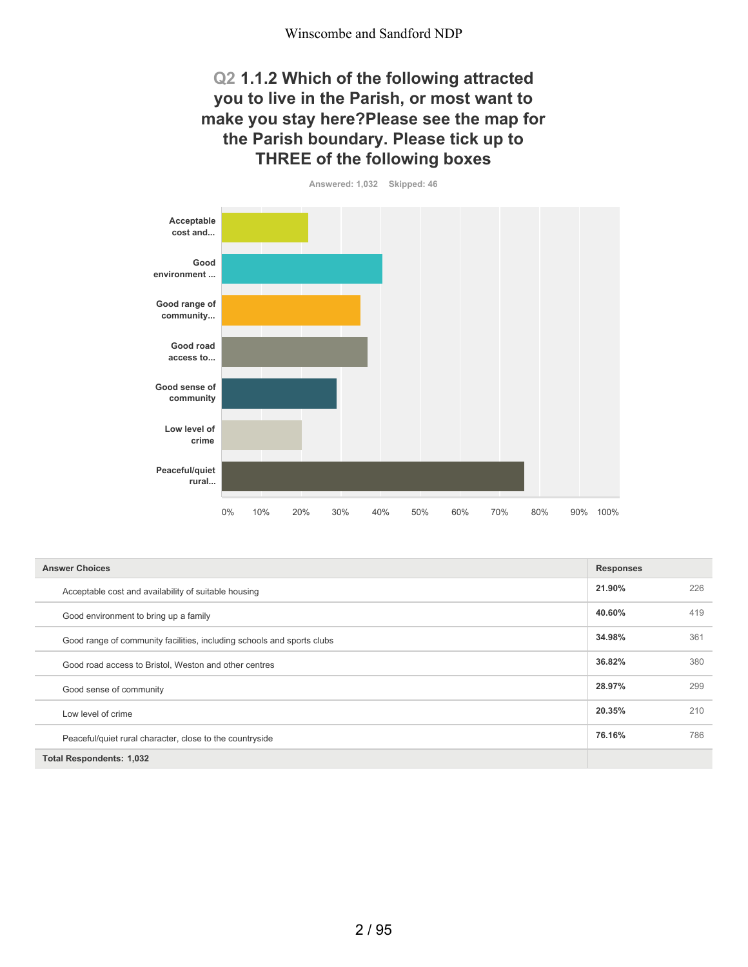#### **Q2 1.1.2 Which of the following attracted you to live in the Parish, or most want to make you stay here?Please see the map for the Parish boundary. Please tick up to THREE of the following boxes**



| <b>Answer Choices</b>                                                  | <b>Responses</b> |     |
|------------------------------------------------------------------------|------------------|-----|
| Acceptable cost and availability of suitable housing                   | 21.90%           | 226 |
| Good environment to bring up a family                                  | 40.60%           | 419 |
| Good range of community facilities, including schools and sports clubs | 34.98%           | 361 |
| Good road access to Bristol, Weston and other centres                  | 36.82%           | 380 |
| Good sense of community                                                | 28.97%           | 299 |
| Low level of crime                                                     | 20.35%           | 210 |
| Peaceful/quiet rural character, close to the countryside               | 76.16%           | 786 |
| <b>Total Respondents: 1,032</b>                                        |                  |     |

**Answered: 1,032 Skipped: 46**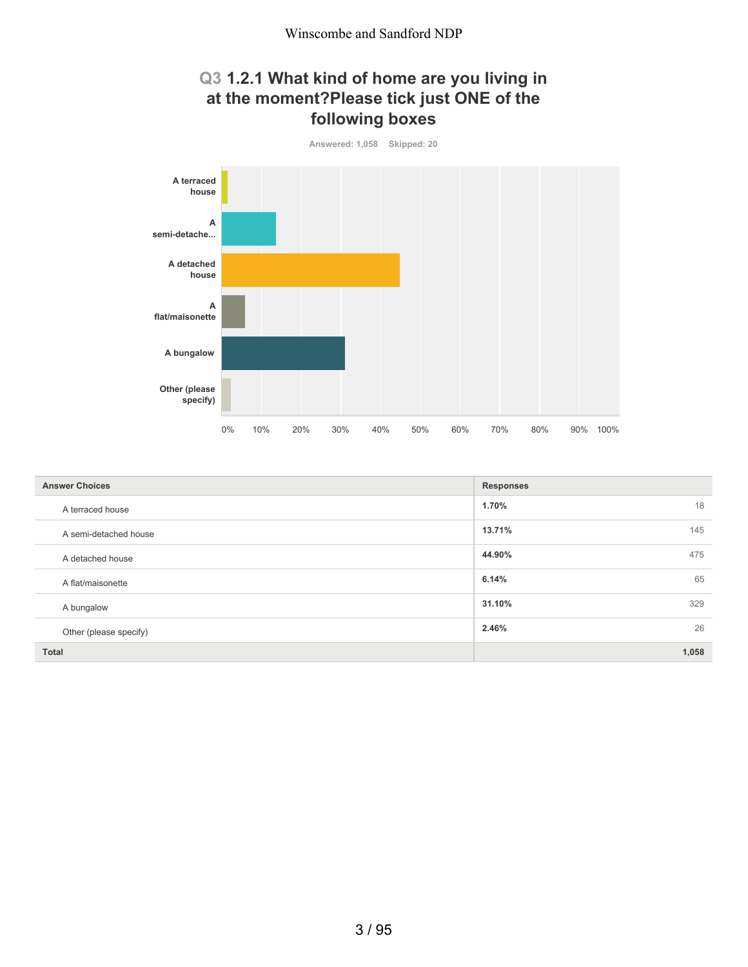## **Q3 1.2.1 What kind of home are you living in at the moment?Please tick just ONE of the following boxes**



| <b>Answer Choices</b>  | <b>Responses</b> |
|------------------------|------------------|
| A terraced house       | 18<br>1.70%      |
| A semi-detached house  | 145<br>13.71%    |
| A detached house       | 475<br>44.90%    |
| A flat/maisonette      | 65<br>6.14%      |
| A bungalow             | 31.10%<br>329    |
| Other (please specify) | 26<br>2.46%      |
| <b>Total</b>           | 1,058            |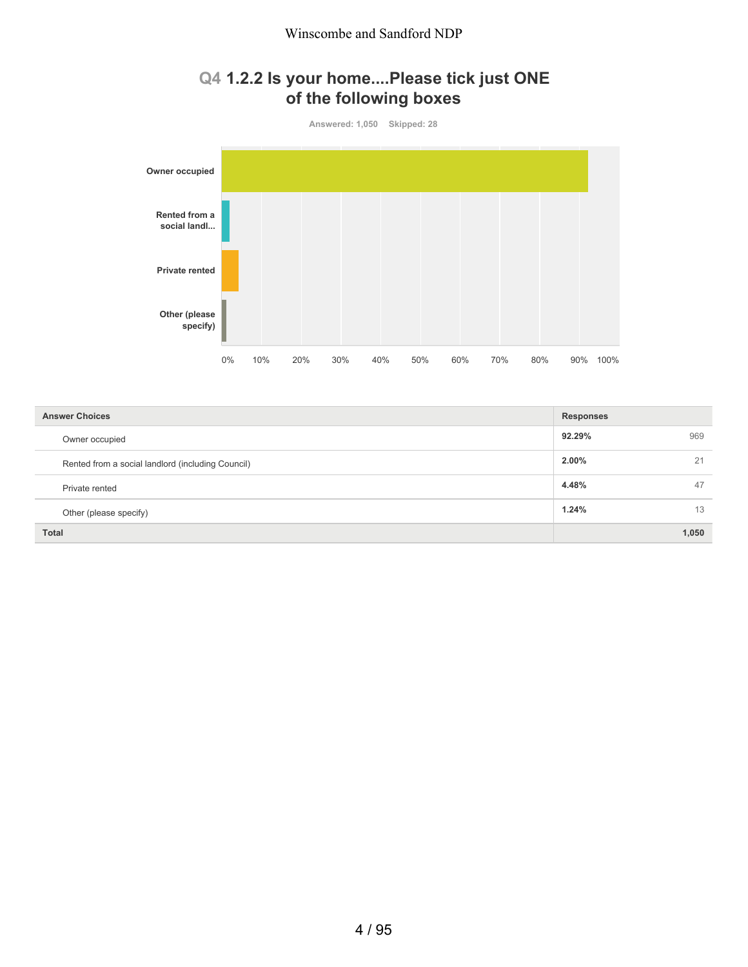## **Q4 1.2.2 Is your home....Please tick just ONE of the following boxes**



| <b>Answer Choices</b>                             | <b>Responses</b> |  |
|---------------------------------------------------|------------------|--|
| Owner occupied                                    | 92.29%<br>969    |  |
| Rented from a social landlord (including Council) | 2.00%<br>21      |  |
| Private rented                                    | 4.48%<br>47      |  |
| Other (please specify)                            | 1.24%<br>13      |  |
| <b>Total</b>                                      | 1,050            |  |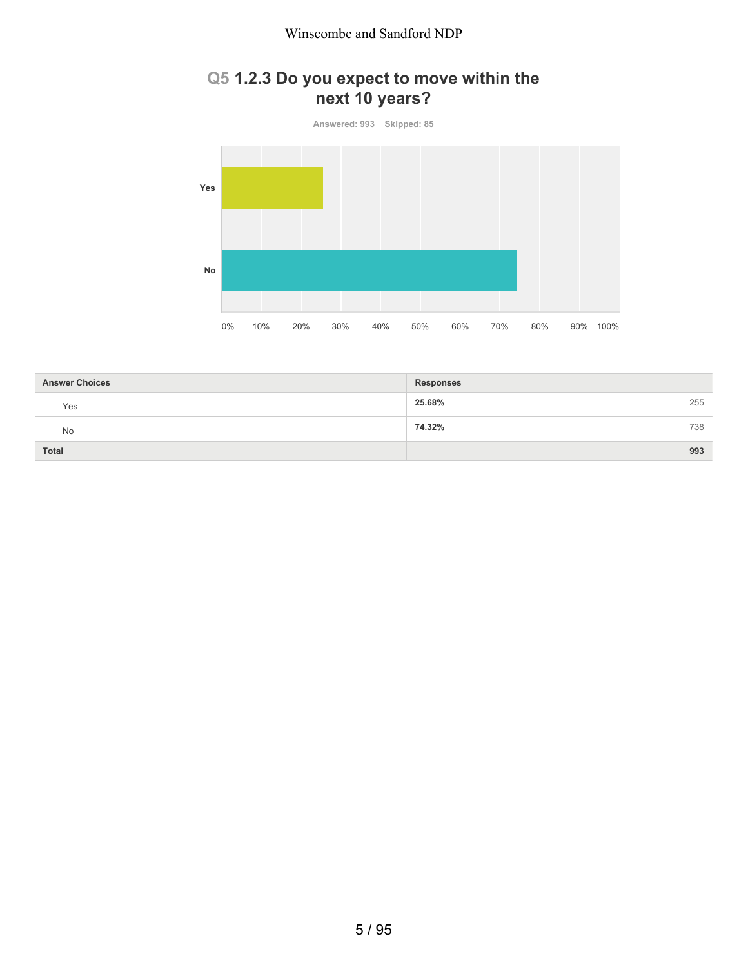## **Q5 1.2.3 Do you expect to move within the next 10 years?**

**Answered: 993 Skipped: 85 Yes No** 0% 10% 20% 30% 40% 50% 60% 70% 80% 90% 100%

| <b>Answer Choices</b> | <b>Responses</b> |     |
|-----------------------|------------------|-----|
| Yes                   | 25.68%           | 255 |
| No                    | 74.32%           | 738 |
| <b>Total</b>          |                  | 993 |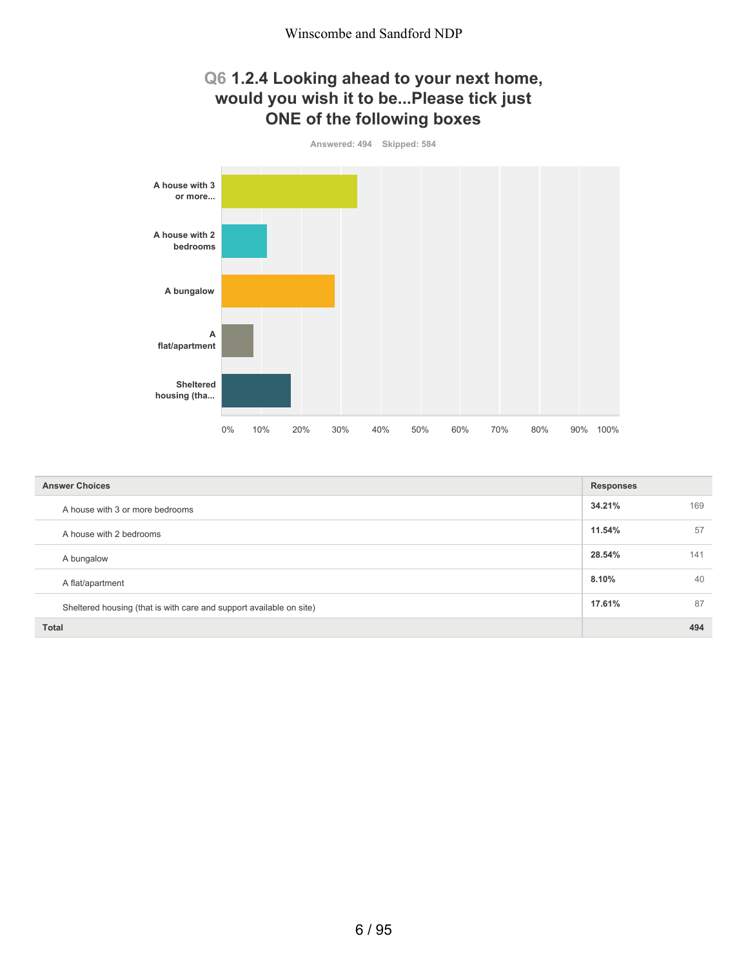#### **Q6 1.2.4 Looking ahead to your next home, would you wish it to be...Please tick just ONE of the following boxes**



| <b>Answer Choices</b>                                               | <b>Responses</b> |     |
|---------------------------------------------------------------------|------------------|-----|
| A house with 3 or more bedrooms                                     | 34.21%           | 169 |
| A house with 2 bedrooms                                             | 11.54%           | 57  |
| A bungalow                                                          | 28.54%           | 141 |
| A flat/apartment                                                    | 8.10%            | 40  |
| Sheltered housing (that is with care and support available on site) | 17.61%           | 87  |
| <b>Total</b>                                                        |                  | 494 |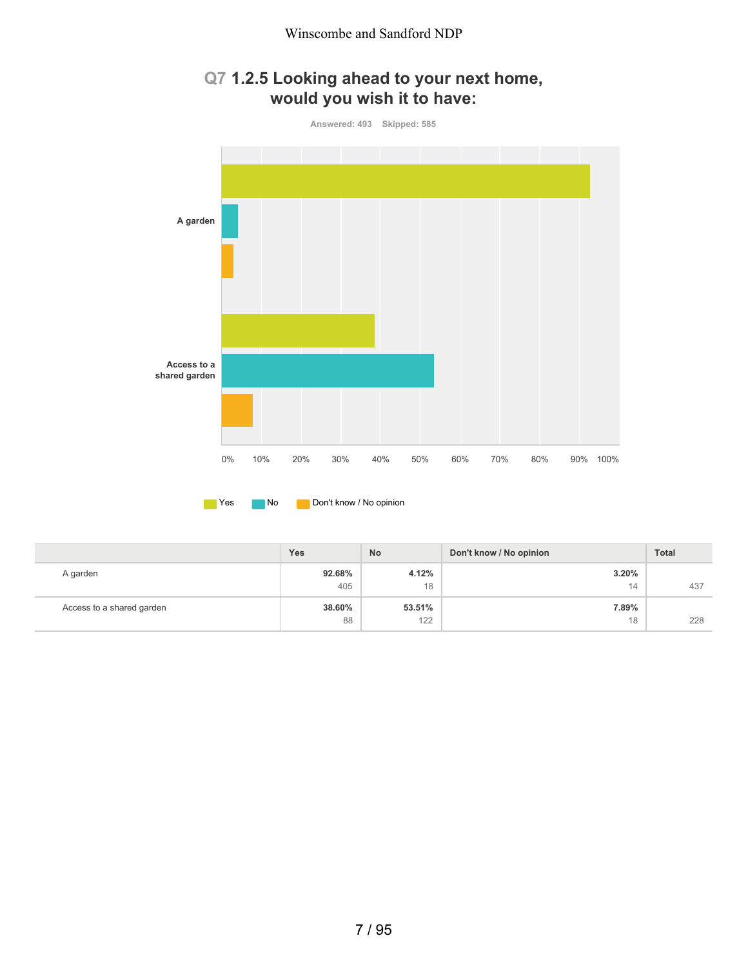

# **Q7 1.2.5 Looking ahead to your next home,**

|                           | <b>Yes</b>    | <b>No</b>   | Don't know / No opinion | <b>Total</b> |
|---------------------------|---------------|-------------|-------------------------|--------------|
| A garden                  | 92.68%<br>405 | 4.12%<br>18 | 3.20%<br>14             | 437          |
| Access to a shared garden | 38.60%        | 53.51%      | 7.89%                   |              |
|                           | 88            | 122         | 18                      | 228          |

**No** Don't know / No opinion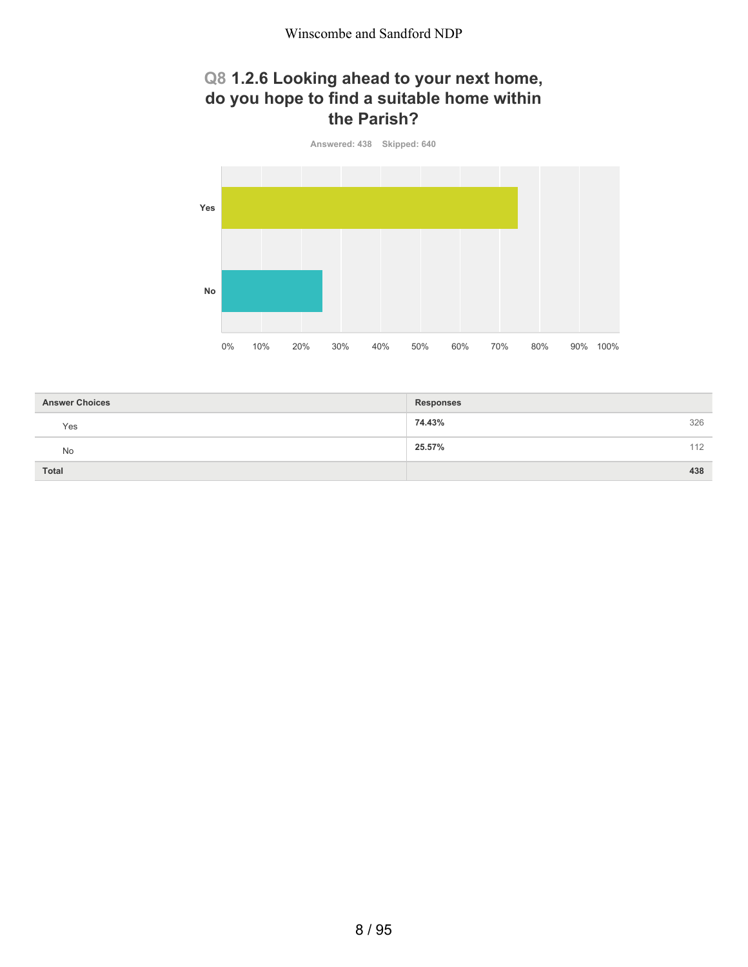## **Q8 1.2.6 Looking ahead to your next home, do you hope to find a suitable home within the Parish?**



| <b>Answer Choices</b> | <b>Responses</b> |
|-----------------------|------------------|
| Yes                   | 74.43%<br>326    |
| No                    | 25.57%<br>112    |
| Total                 | 438              |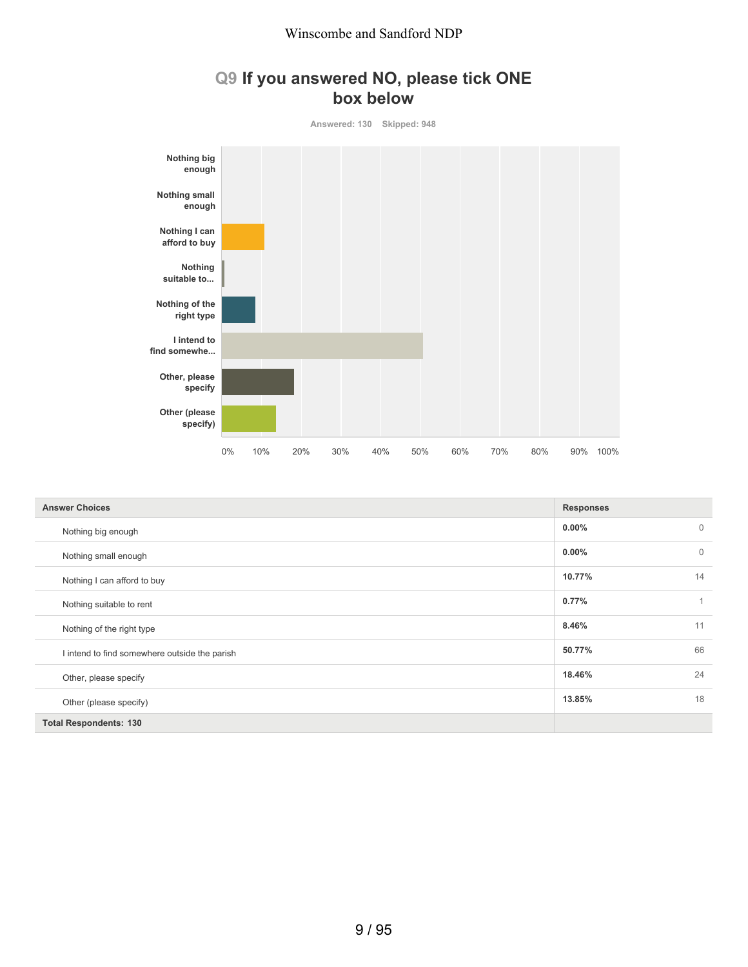

**Answered: 130 Skipped: 948**



| <b>Answer Choices</b>                         | <b>Responses</b>        |
|-----------------------------------------------|-------------------------|
| Nothing big enough                            | $0.00\%$<br>$\mathbf 0$ |
| Nothing small enough                          | $0.00\%$<br>$\Omega$    |
| Nothing I can afford to buy                   | 14<br>10.77%            |
| Nothing suitable to rent                      | 0.77%                   |
| Nothing of the right type                     | 11<br>8.46%             |
| I intend to find somewhere outside the parish | 66<br>50.77%            |
| Other, please specify                         | 24<br>18.46%            |
| Other (please specify)                        | 18<br>13.85%            |
| <b>Total Respondents: 130</b>                 |                         |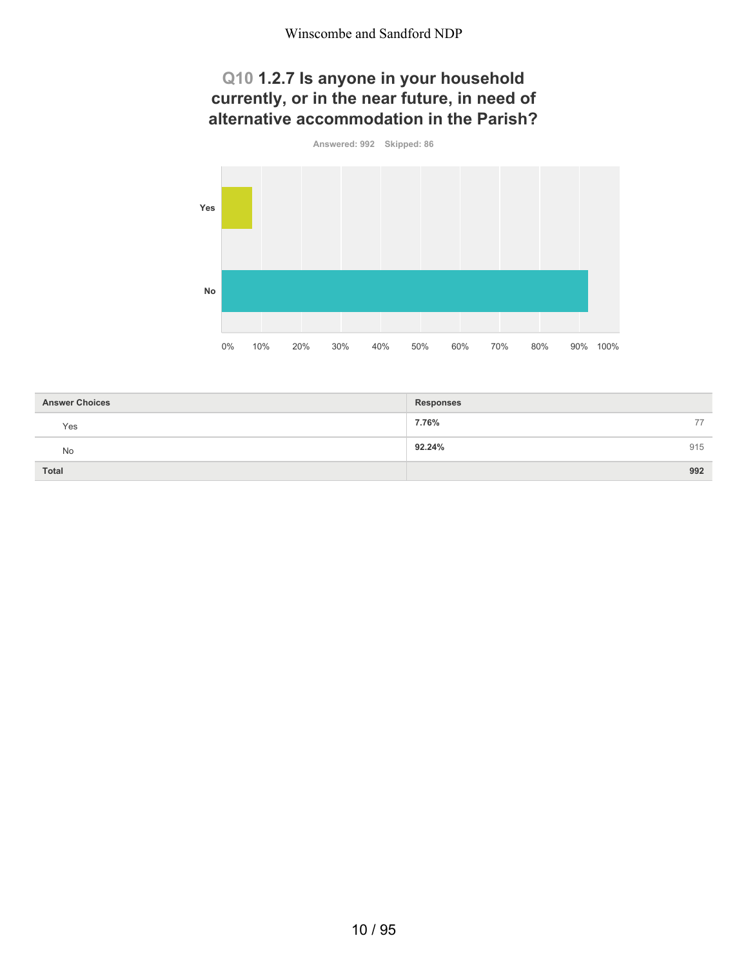## **Q10 1.2.7 Is anyone in your household currently, or in the near future, in need of alternative accommodation in the Parish?**



| <b>Answer Choices</b> | <b>Responses</b> |
|-----------------------|------------------|
| Yes                   | 7.76%<br>77      |
| No                    | 915<br>92.24%    |
| Total                 | 992              |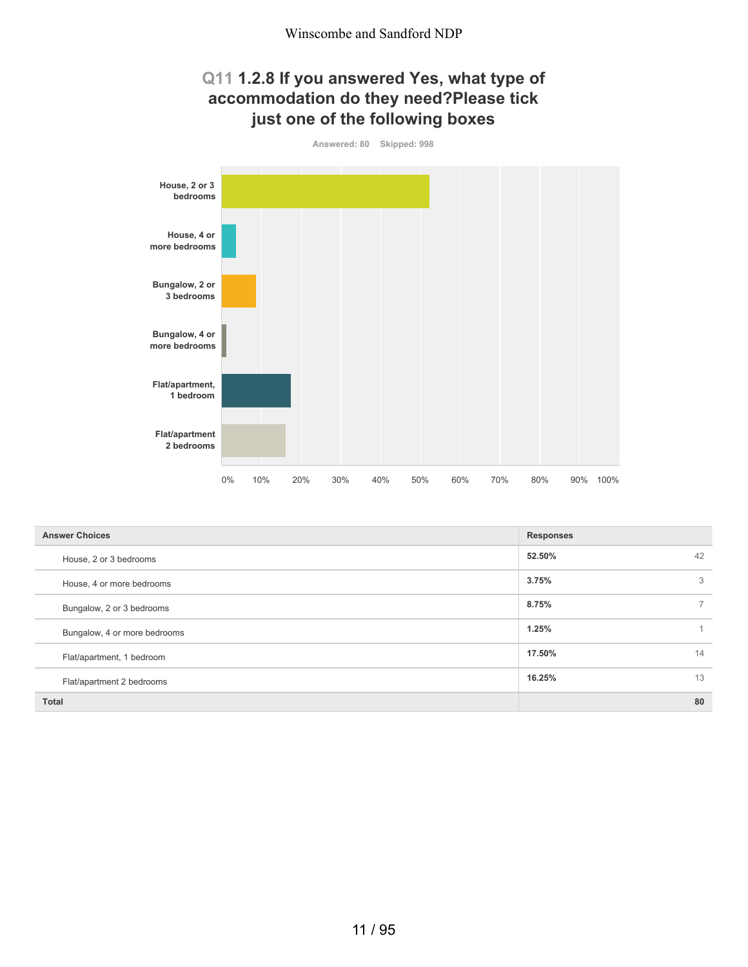#### **Q11 1.2.8 If you answered Yes, what type of accommodation do they need?Please tick just one of the following boxes**



| <b>Answer Choices</b>        | <b>Responses</b> |    |
|------------------------------|------------------|----|
| House, 2 or 3 bedrooms       | 52.50%           | 42 |
| House, 4 or more bedrooms    | 3.75%            | 3  |
| Bungalow, 2 or 3 bedrooms    | 8.75%            |    |
| Bungalow, 4 or more bedrooms | 1.25%            |    |
| Flat/apartment, 1 bedroom    | 17.50%           | 14 |
| Flat/apartment 2 bedrooms    | 16.25%           | 13 |
| <b>Total</b>                 |                  | 80 |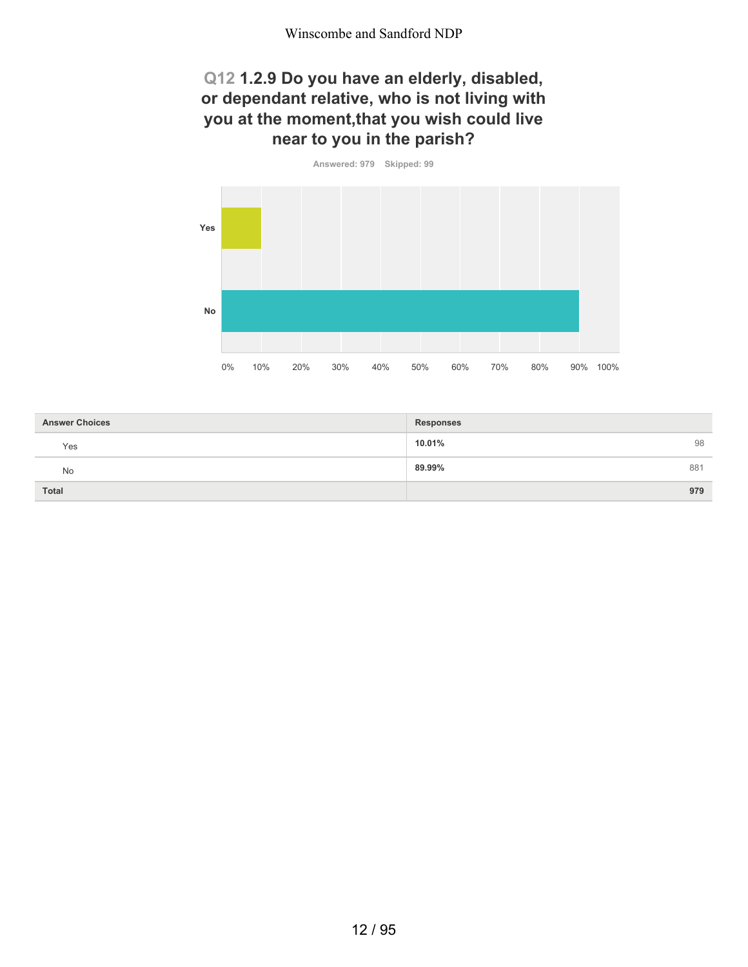#### **Q12 1.2.9 Do you have an elderly, disabled, or dependant relative, who is not living with you at the moment,that you wish could live near to you in the parish?**



| <b>Answer Choices</b> | <b>Responses</b> |
|-----------------------|------------------|
| Yes                   | 98<br>10.01%     |
| No                    | 89.99%<br>881    |
| <b>Total</b>          | 979              |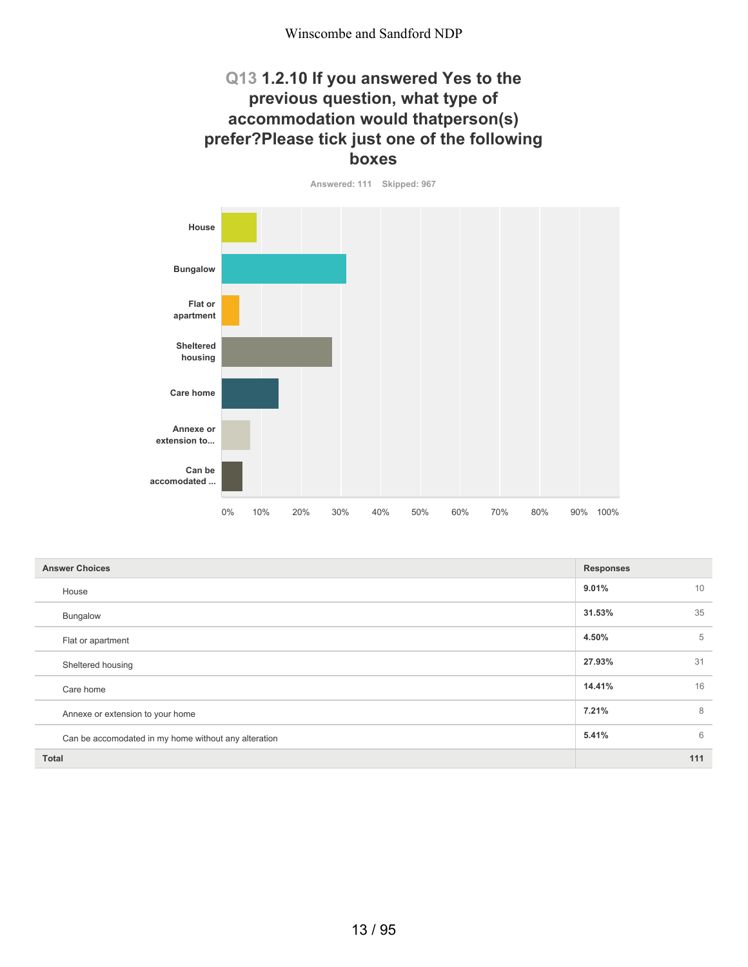#### **Q13 1.2.10 If you answered Yes to the previous question, what type of accommodation would thatperson(s) prefer?Please tick just one of the following boxes**



| <b>Answer Choices</b>                                | <b>Responses</b> |
|------------------------------------------------------|------------------|
| House                                                | 9.01%<br>10      |
| Bungalow                                             | 35<br>31.53%     |
| Flat or apartment                                    | 5<br>4.50%       |
| Sheltered housing                                    | 31<br>27.93%     |
| Care home                                            | 16<br>14.41%     |
| Annexe or extension to your home                     | 7.21%<br>8       |
| Can be accomodated in my home without any alteration | 5.41%<br>6       |
| <b>Total</b>                                         | 111              |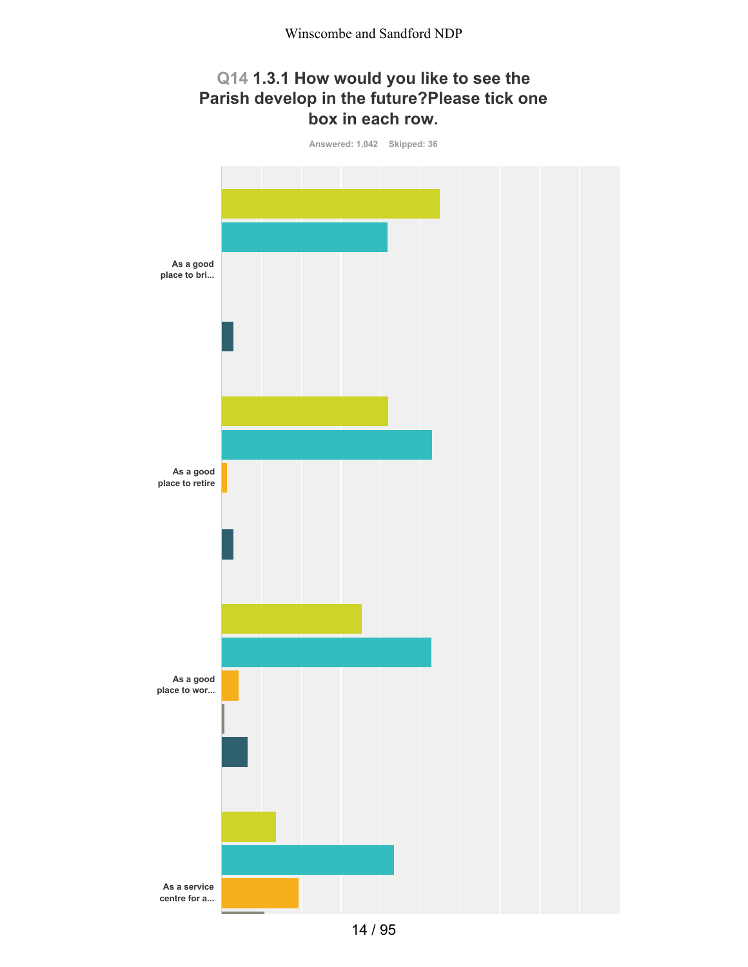## **Q14 1.3.1 How would you like to see the Parish develop in the future?Please tick one box in each row.**

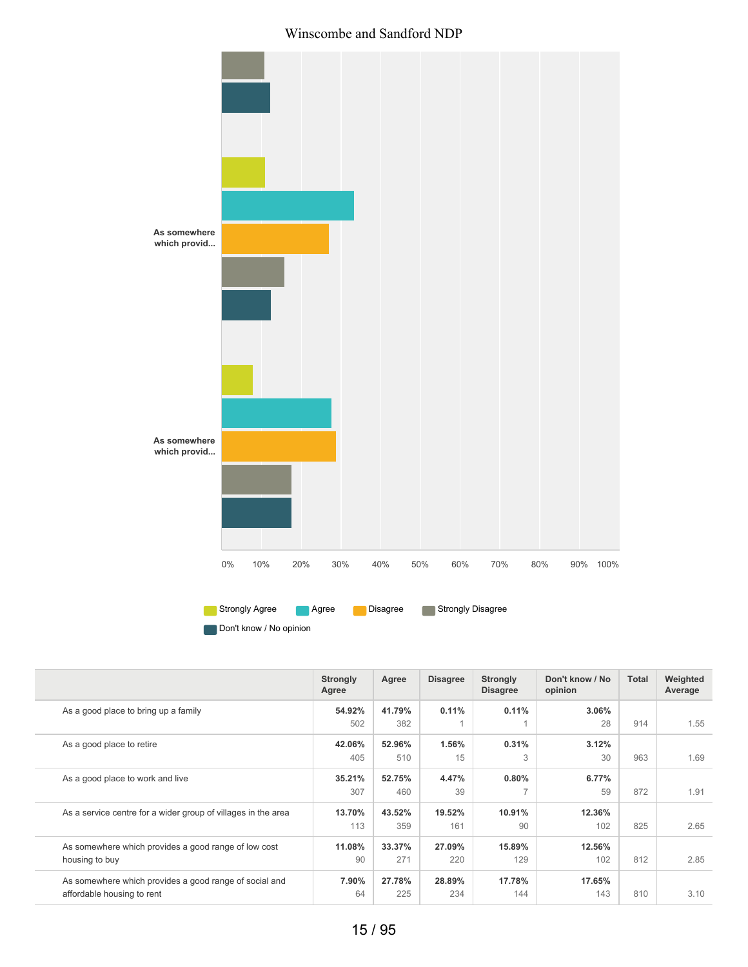#### Winscombe and Sandford NDP



Don't know / No opinion

|                                                                                      | <b>Strongly</b><br>Agree | Agree         | <b>Disagree</b> | <b>Strongly</b><br><b>Disagree</b> | Don't know / No<br>opinion | Total | Weighted<br>Average |
|--------------------------------------------------------------------------------------|--------------------------|---------------|-----------------|------------------------------------|----------------------------|-------|---------------------|
| As a good place to bring up a family                                                 | 54.92%<br>502            | 41.79%<br>382 | 0.11%           | 0.11%                              | 3.06%<br>28                | 914   | 1.55                |
| As a good place to retire                                                            | 42.06%<br>405            | 52.96%<br>510 | 1.56%<br>15     | 0.31%<br>3                         | 3.12%<br>30                | 963   | 1.69                |
| As a good place to work and live                                                     | 35.21%<br>307            | 52.75%<br>460 | 4.47%<br>39     | 0.80%<br>$\overline{\phantom{0}}$  | 6.77%<br>59                | 872   | 1.91                |
| As a service centre for a wider group of villages in the area                        | 13.70%<br>113            | 43.52%<br>359 | 19.52%<br>161   | 10.91%<br>90                       | 12.36%<br>102              | 825   | 2.65                |
| As somewhere which provides a good range of low cost<br>housing to buy               | 11.08%<br>90             | 33.37%<br>271 | 27.09%<br>220   | 15.89%<br>129                      | 12.56%<br>102              | 812   | 2.85                |
| As somewhere which provides a good range of social and<br>affordable housing to rent | 7.90%<br>64              | 27.78%<br>225 | 28.89%<br>234   | 17.78%<br>144                      | 17.65%<br>143              | 810   | 3.10                |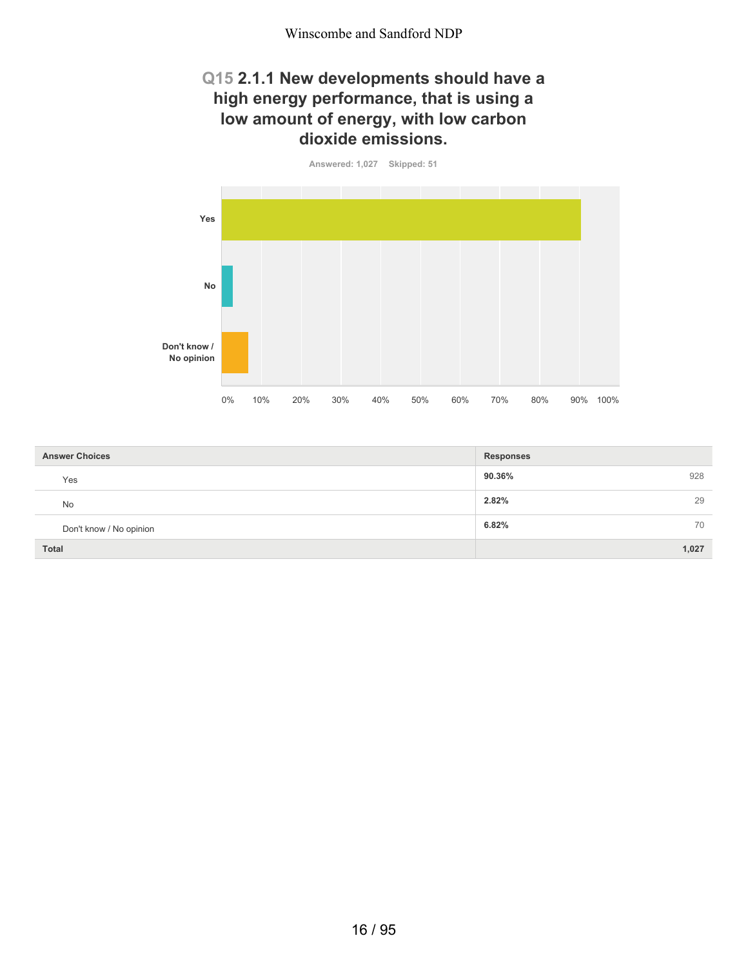#### **Q15 2.1.1 New developments should have a high energy performance, that is using a low amount of energy, with low carbon dioxide emissions.**



| <b>Answer Choices</b>   | <b>Responses</b> |
|-------------------------|------------------|
| Yes                     | 90.36%<br>928    |
| <b>No</b>               | 2.82%<br>29      |
| Don't know / No opinion | 6.82%<br>70      |
| <b>Total</b>            | 1,027            |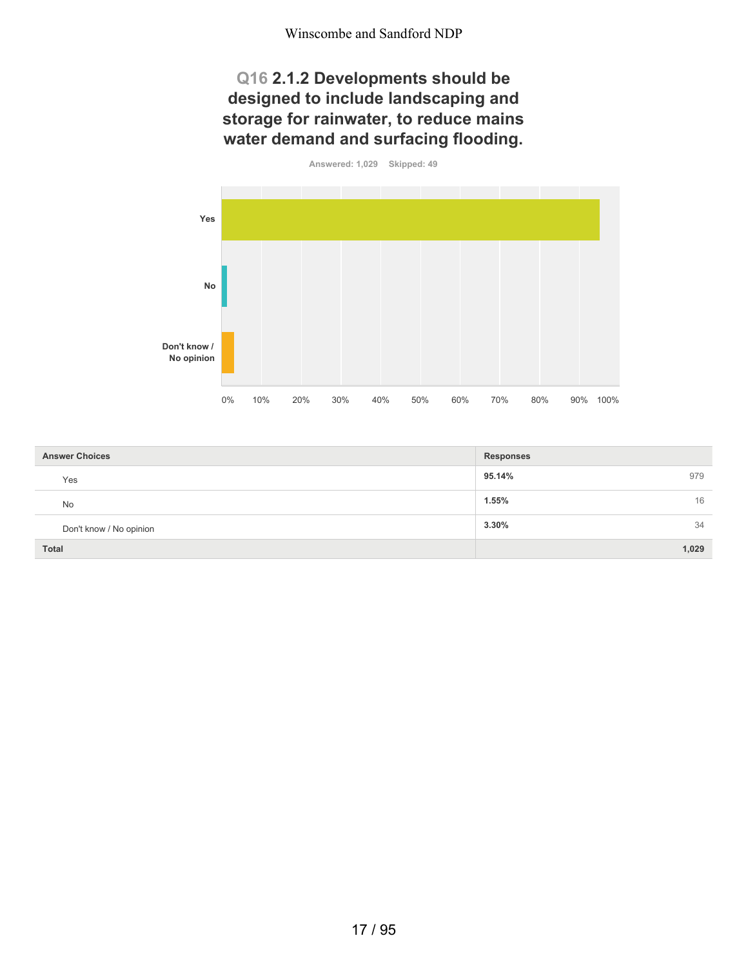## **Q16 2.1.2 Developments should be designed to include landscaping and storage for rainwater, to reduce mains water demand and surfacing flooding.**



| <b>Answer Choices</b>   | <b>Responses</b> |
|-------------------------|------------------|
| Yes                     | 95.14%<br>979    |
| No                      | 1.55%<br>16      |
| Don't know / No opinion | 3.30%<br>34      |
| <b>Total</b>            | 1,029            |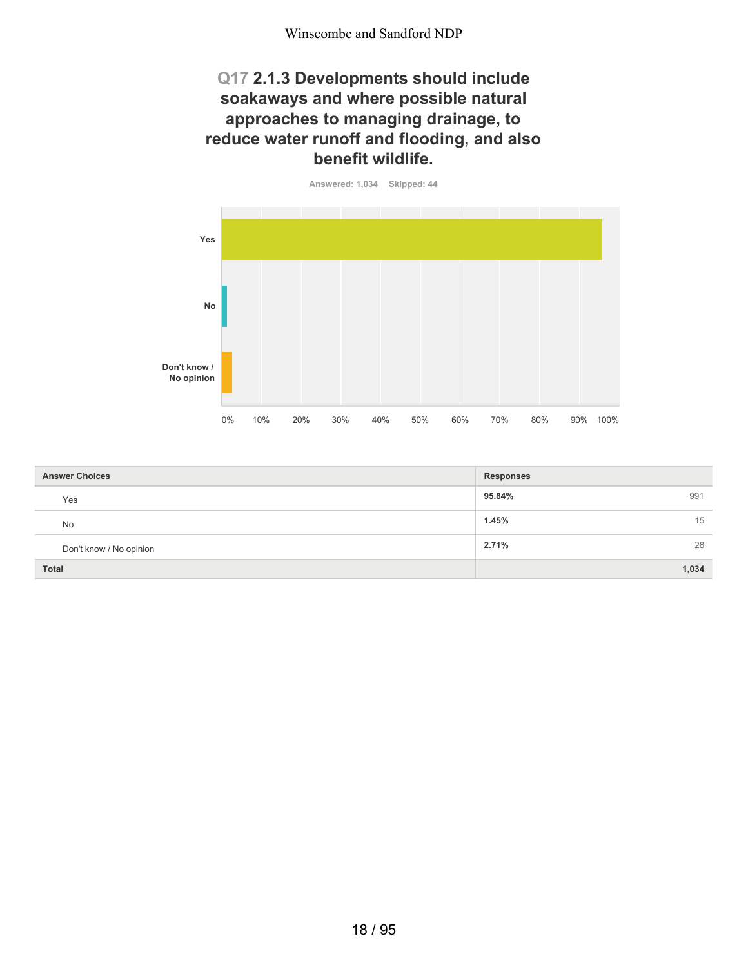#### **Q17 2.1.3 Developments should include soakaways and where possible natural approaches to managing drainage, to reduce water runoff and flooding, and also benefit wildlife.**



| <b>Answer Choices</b>   | <b>Responses</b> |
|-------------------------|------------------|
| Yes                     | 95.84%<br>991    |
| <b>No</b>               | 1.45%<br>15      |
| Don't know / No opinion | 28<br>2.71%      |
| <b>Total</b>            | 1,034            |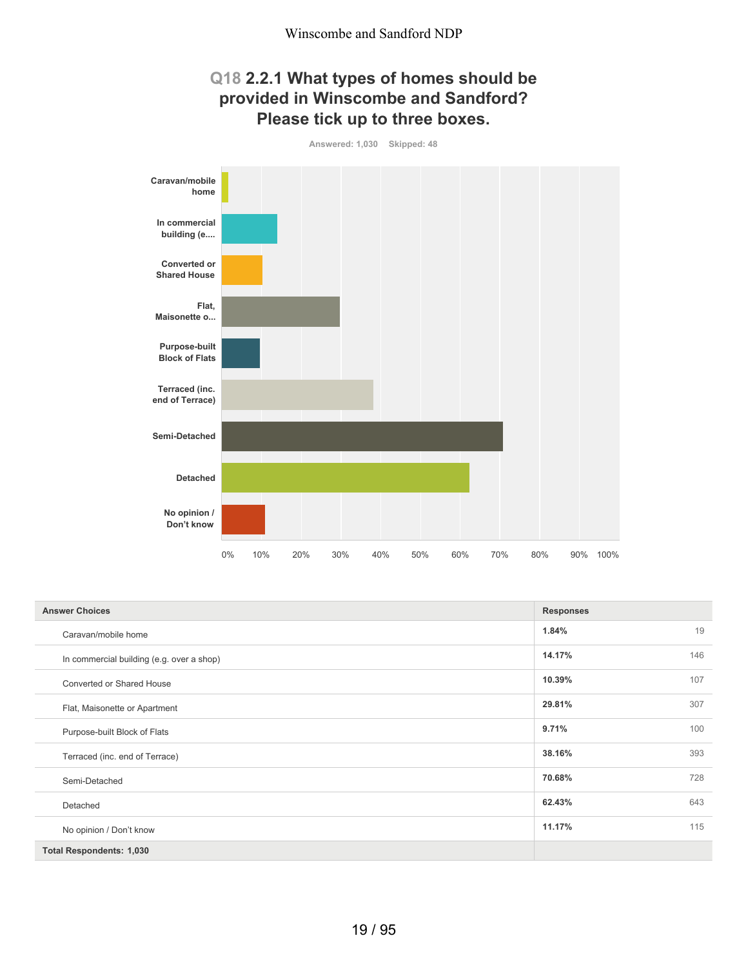#### **Q18 2.2.1 What types of homes should be provided in Winscombe and Sandford? Please tick up to three boxes.**



| <b>Answer Choices</b>                     | <b>Responses</b> |     |
|-------------------------------------------|------------------|-----|
| Caravan/mobile home                       | 1.84%            | 19  |
| In commercial building (e.g. over a shop) | 14.17%           | 146 |
| Converted or Shared House                 | 10.39%           | 107 |
| Flat, Maisonette or Apartment             | 29.81%           | 307 |
| Purpose-built Block of Flats              | 9.71%            | 100 |
| Terraced (inc. end of Terrace)            | 38.16%           | 393 |
| Semi-Detached                             | 70.68%           | 728 |
| Detached                                  | 62.43%           | 643 |
| No opinion / Don't know                   | 11.17%           | 115 |
| <b>Total Respondents: 1,030</b>           |                  |     |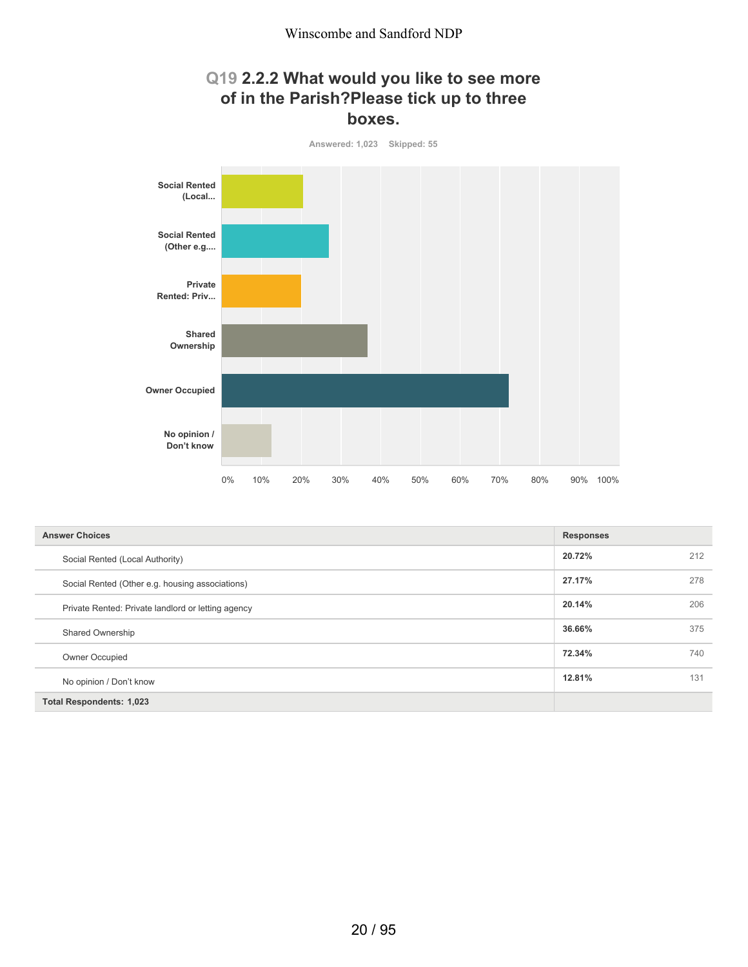#### **Q19 2.2.2 What would you like to see more of in the Parish?Please tick up to three boxes.**



| <b>Answer Choices</b>                              | <b>Responses</b> |     |
|----------------------------------------------------|------------------|-----|
| Social Rented (Local Authority)                    | 20.72%           | 212 |
| Social Rented (Other e.g. housing associations)    | 27.17%           | 278 |
| Private Rented: Private landlord or letting agency | 20.14%           | 206 |
| Shared Ownership                                   | 36.66%           | 375 |
| Owner Occupied                                     | 72.34%           | 740 |
| No opinion / Don't know                            | 12.81%           | 131 |
| <b>Total Respondents: 1,023</b>                    |                  |     |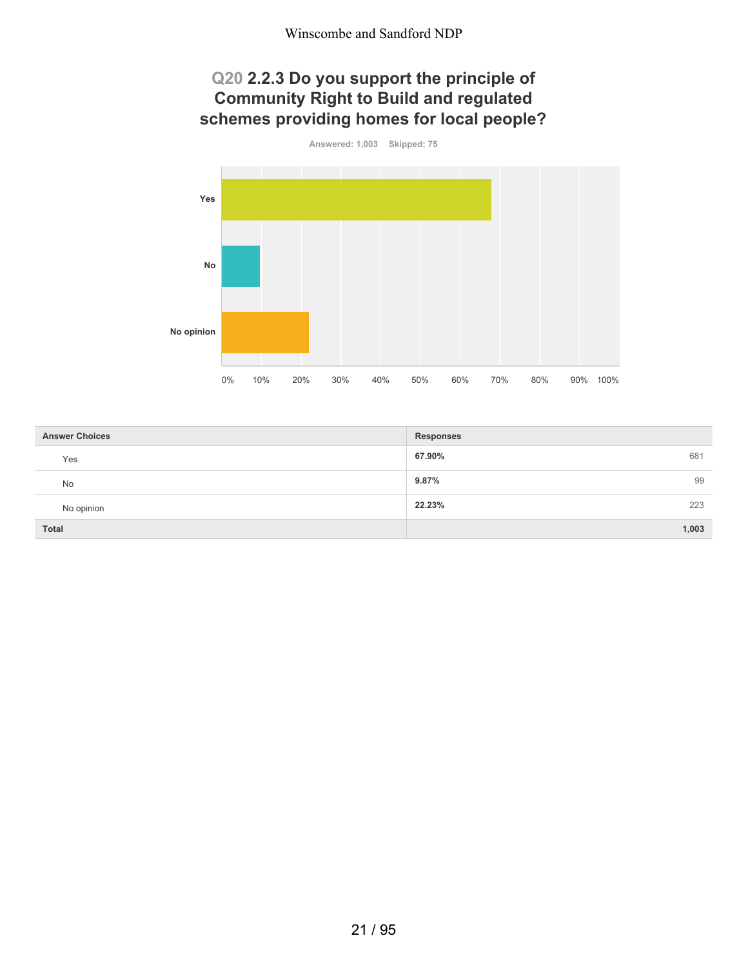#### **Q20 2.2.3 Do you support the principle of Community Right to Build and regulated schemes providing homes for local people?**



| <b>Answer Choices</b> | <b>Responses</b> |
|-----------------------|------------------|
| Yes                   | 67.90%<br>681    |
| No                    | 9.87%<br>99      |
| No opinion            | 22.23%<br>223    |
| <b>Total</b>          | 1,003            |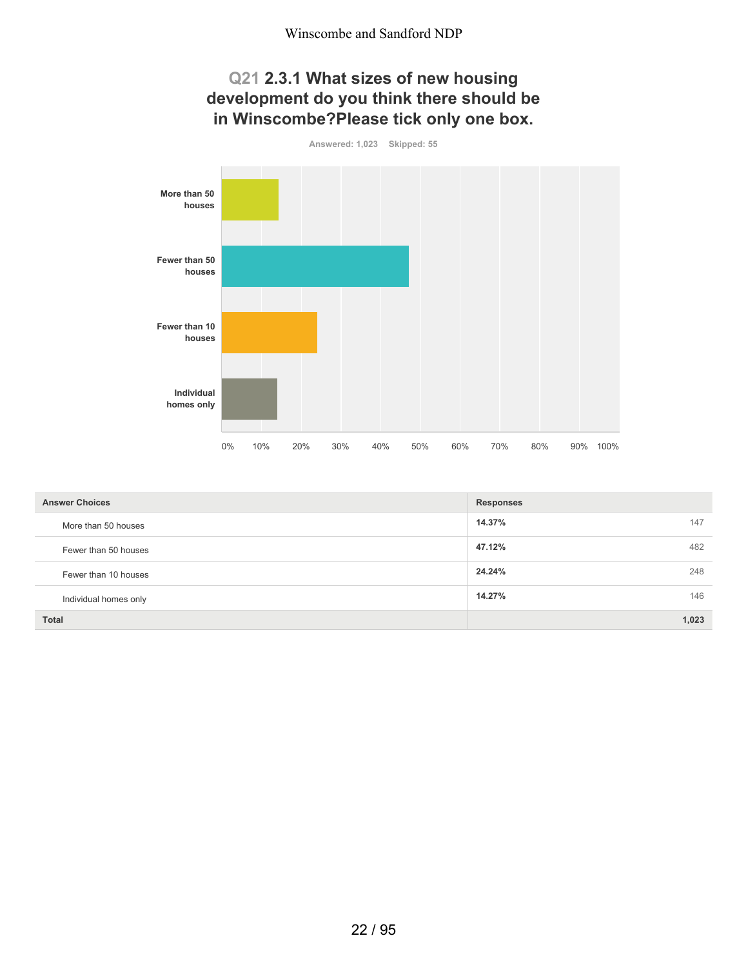## **Q21 2.3.1 What sizes of new housing development do you think there should be in Winscombe?Please tick only one box.**



| <b>Answer Choices</b> | <b>Responses</b> |
|-----------------------|------------------|
| More than 50 houses   | 14.37%<br>147    |
| Fewer than 50 houses  | 47.12%<br>482    |
| Fewer than 10 houses  | 24.24%<br>248    |
| Individual homes only | 146<br>14.27%    |
| <b>Total</b>          | 1,023            |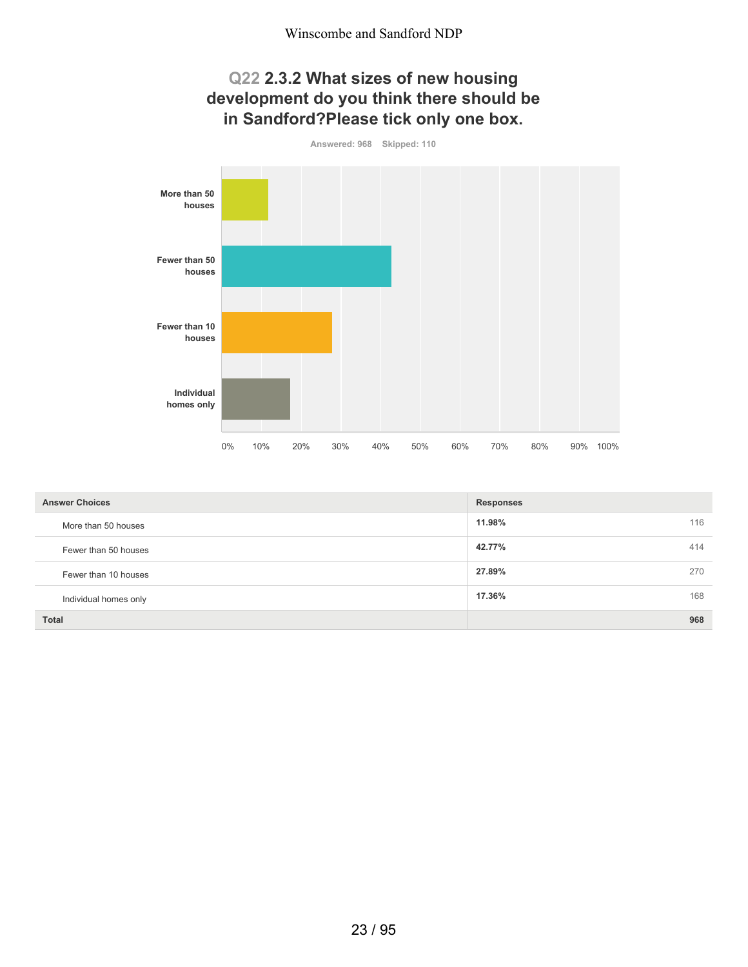## **Q22 2.3.2 What sizes of new housing development do you think there should be in Sandford?Please tick only one box.**



| <b>Answer Choices</b> | <b>Responses</b> |  |
|-----------------------|------------------|--|
| More than 50 houses   | 11.98%<br>116    |  |
| Fewer than 50 houses  | 414<br>42.77%    |  |
| Fewer than 10 houses  | 27.89%<br>270    |  |
| Individual homes only | 17.36%<br>168    |  |
| <b>Total</b>          | 968              |  |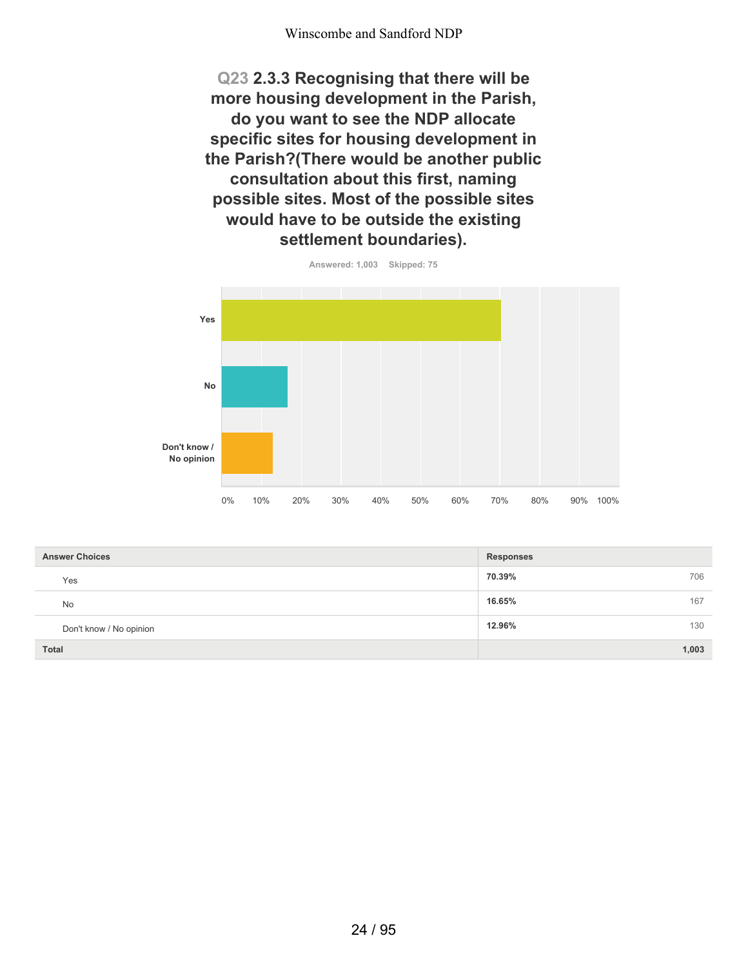**Q23 2.3.3 Recognising that there will be more housing development in the Parish, do you want to see the NDP allocate specific sites for housing development in the Parish?(There would be another public consultation about this first, naming possible sites. Most of the possible sites would have to be outside the existing settlement boundaries).**



**70.39%** 706 **16.65%** 16.52% **12.96%** 130 **Total 1,003 Answer Choices Responses** Yes No Don't know / No opinion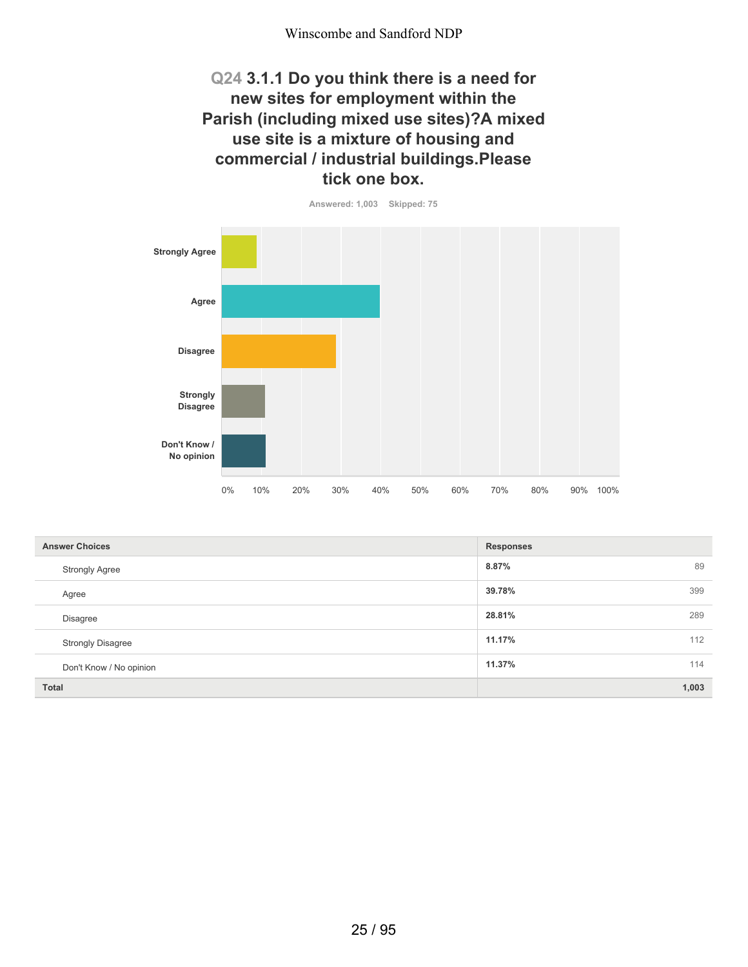## **Q24 3.1.1 Do you think there is a need for new sites for employment within the Parish (including mixed use sites)?A mixed use site is a mixture of housing and commercial / industrial buildings.Please tick one box.**

**Answered: 1,003 Skipped: 75 Strongly Agree Agree Disagree Strongly Disagree Don't Know / No opinion** 0% 10% 20% 30% 40% 50% 60% 70% 80% 90% 100%

| <b>Answer Choices</b>    | <b>Responses</b> |
|--------------------------|------------------|
| <b>Strongly Agree</b>    | 8.87%<br>89      |
| Agree                    | 39.78%<br>399    |
| Disagree                 | 28.81%<br>289    |
| <b>Strongly Disagree</b> | 11.17%<br>112    |
| Don't Know / No opinion  | 11.37%<br>114    |
| <b>Total</b>             | 1,003            |

25 / 95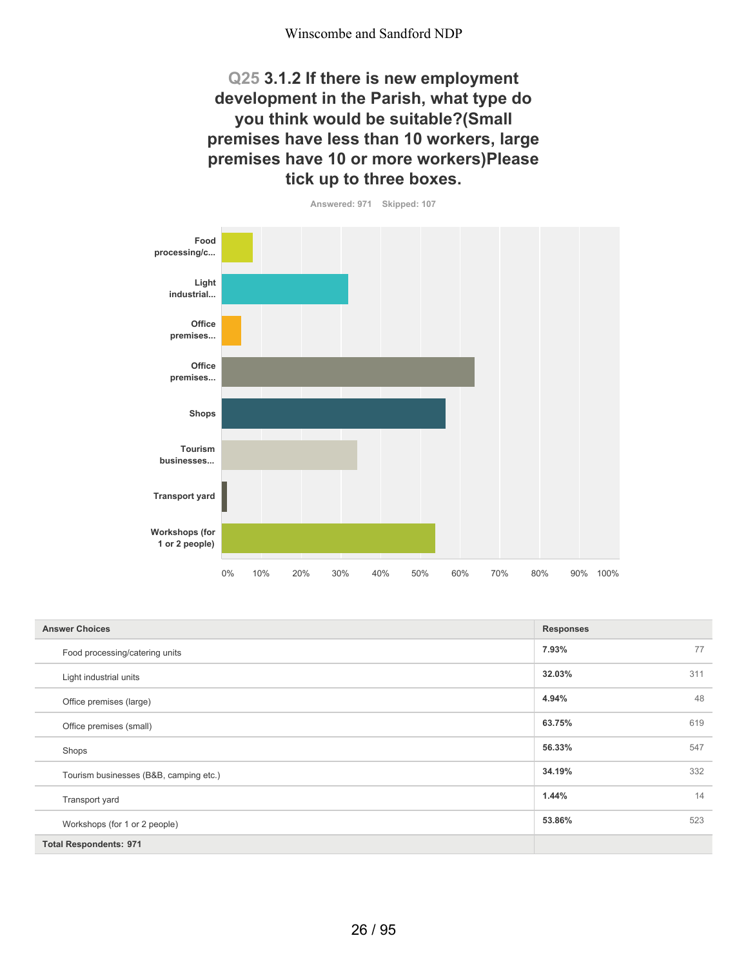**Q25 3.1.2 If there is new employment development in the Parish, what type do you think would be suitable?(Small premises have less than 10 workers, large premises have 10 or more workers)Please tick up to three boxes.**



| <b>Answer Choices</b>                  | <b>Responses</b> |
|----------------------------------------|------------------|
| Food processing/catering units         | 7.93%<br>77      |
| Light industrial units                 | 311<br>32.03%    |
| Office premises (large)                | 48<br>4.94%      |
| Office premises (small)                | 619<br>63.75%    |
| Shops                                  | 547<br>56.33%    |
| Tourism businesses (B&B, camping etc.) | 332<br>34.19%    |
| Transport yard                         | 14<br>1.44%      |
| Workshops (for 1 or 2 people)          | 523<br>53.86%    |
| <b>Total Respondents: 971</b>          |                  |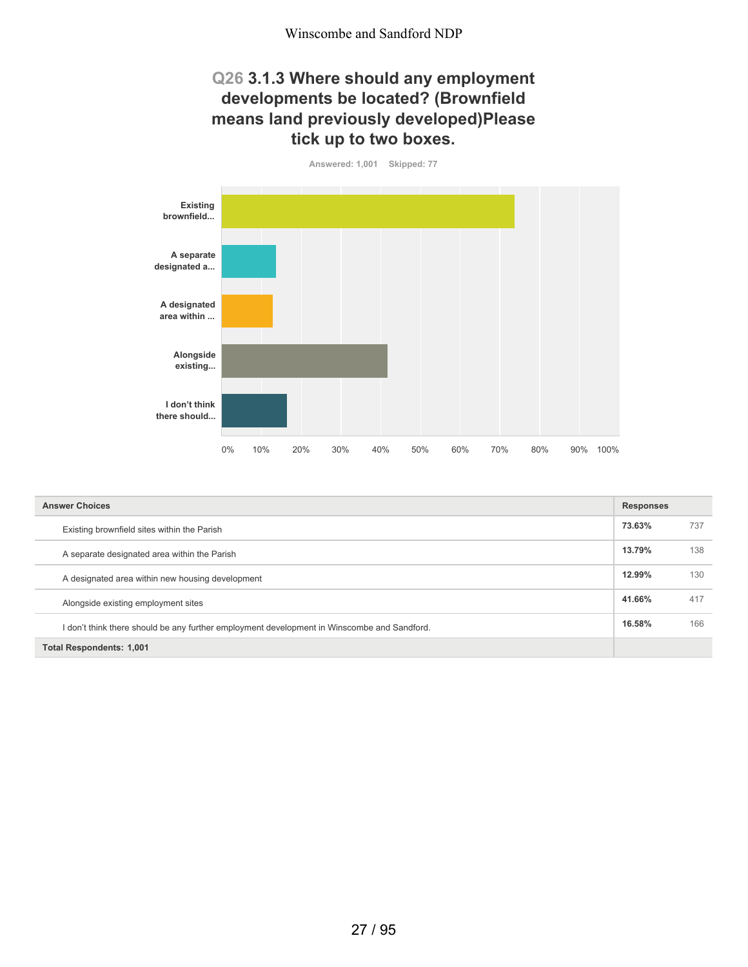#### **Q26 3.1.3 Where should any employment developments be located? (Brownfield means land previously developed)Please tick up to two boxes.**



| <b>Answer Choices</b>                                                                       | <b>Responses</b> |     |
|---------------------------------------------------------------------------------------------|------------------|-----|
| Existing brownfield sites within the Parish                                                 | 73.63%           | 737 |
| A separate designated area within the Parish                                                | 13.79%           | 138 |
| A designated area within new housing development                                            | 12.99%           | 130 |
| Alongside existing employment sites                                                         | 41.66%           | 417 |
| I don't think there should be any further employment development in Winscombe and Sandford. | 16.58%           | 166 |
| <b>Total Respondents: 1,001</b>                                                             |                  |     |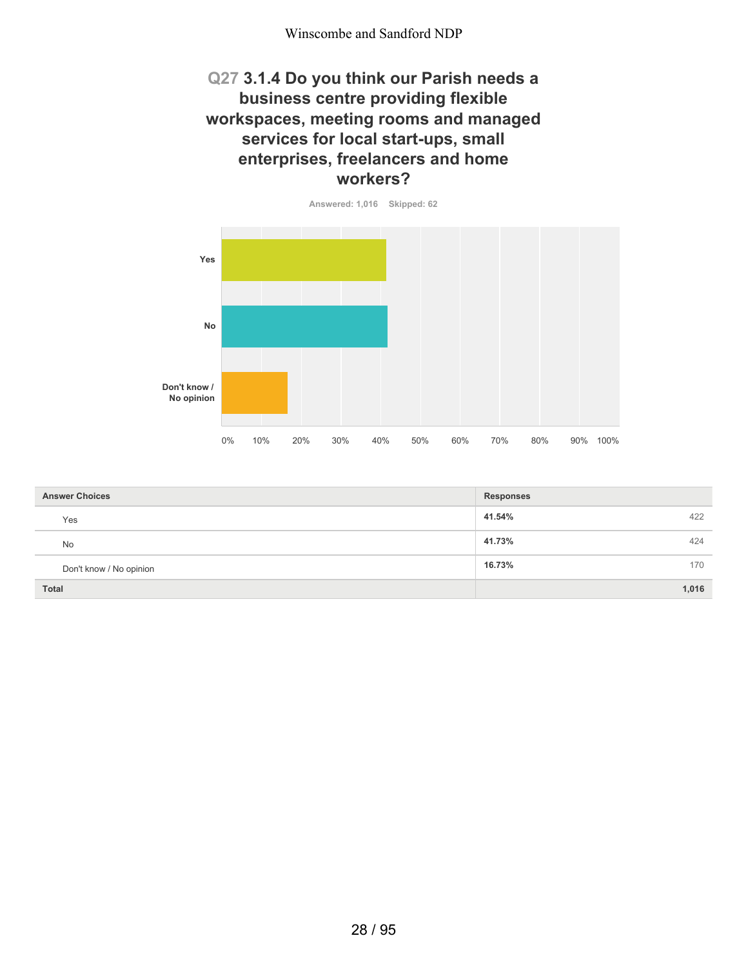#### **Q27 3.1.4 Do you think our Parish needs a business centre providing flexible workspaces, meeting rooms and managed services for local start-ups, small enterprises, freelancers and home workers?**

**Answered: 1,016 Skipped: 62**



| <b>Answer Choices</b>   | <b>Responses</b> |
|-------------------------|------------------|
| Yes                     | 41.54%<br>422    |
| <b>No</b>               | 41.73%<br>424    |
| Don't know / No opinion | 16.73%<br>170    |
| Total                   | 1,016            |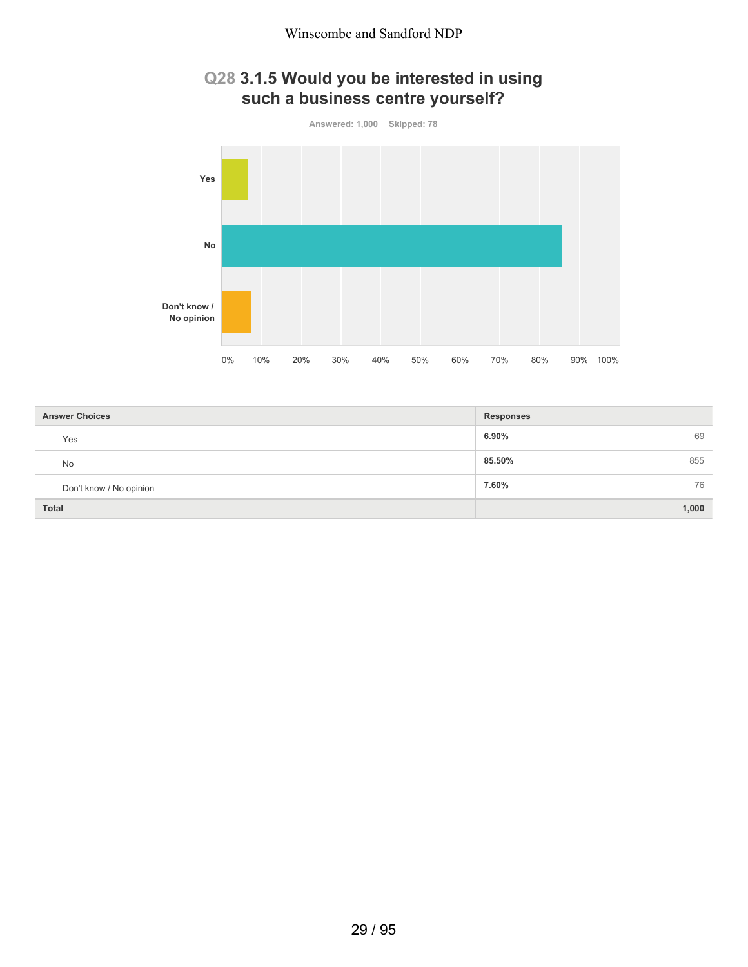## **Q28 3.1.5 Would you be interested in using such a business centre yourself?**



| <b>Answer Choices</b>   | <b>Responses</b> |
|-------------------------|------------------|
| Yes                     | 6.90%<br>69      |
| <b>No</b>               | 85.50%<br>855    |
| Don't know / No opinion | 76<br>7.60%      |
| <b>Total</b>            | 1,000            |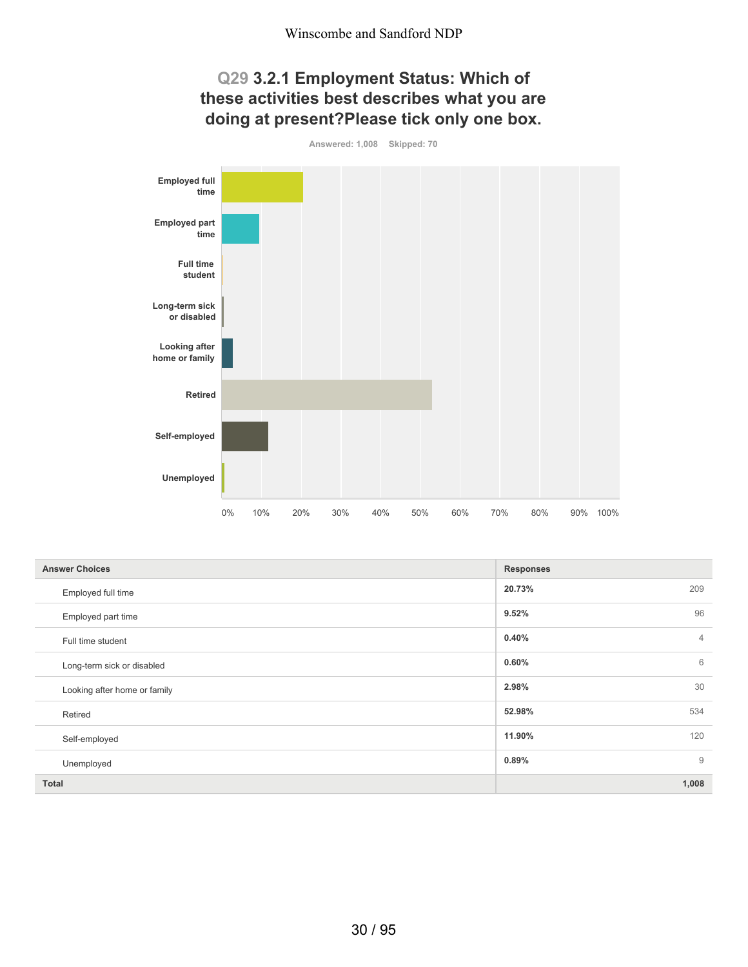#### **Q29 3.2.1 Employment Status: Which of these activities best describes what you are doing at present?Please tick only one box.**

**Answered: 1,008 Skipped: 70 Employed full time Employed part time Full time student Long-term sick or disabled Looking after home or family Retired Self-employed Unemployed** 0% 10% 20% 30% 40% 50% 60% 70% 80% 90% 100%

| <b>Answer Choices</b>        | <b>Responses</b>        |
|------------------------------|-------------------------|
| Employed full time           | 20.73%<br>209           |
| Employed part time           | 96<br>9.52%             |
| Full time student            | 0.40%<br>$\overline{4}$ |
| Long-term sick or disabled   | 6<br>0.60%              |
| Looking after home or family | 30<br>2.98%             |
| Retired                      | 534<br>52.98%           |
| Self-employed                | 120<br>11.90%           |
| Unemployed                   | $\overline{9}$<br>0.89% |
| <b>Total</b>                 | 1,008                   |

30 / 95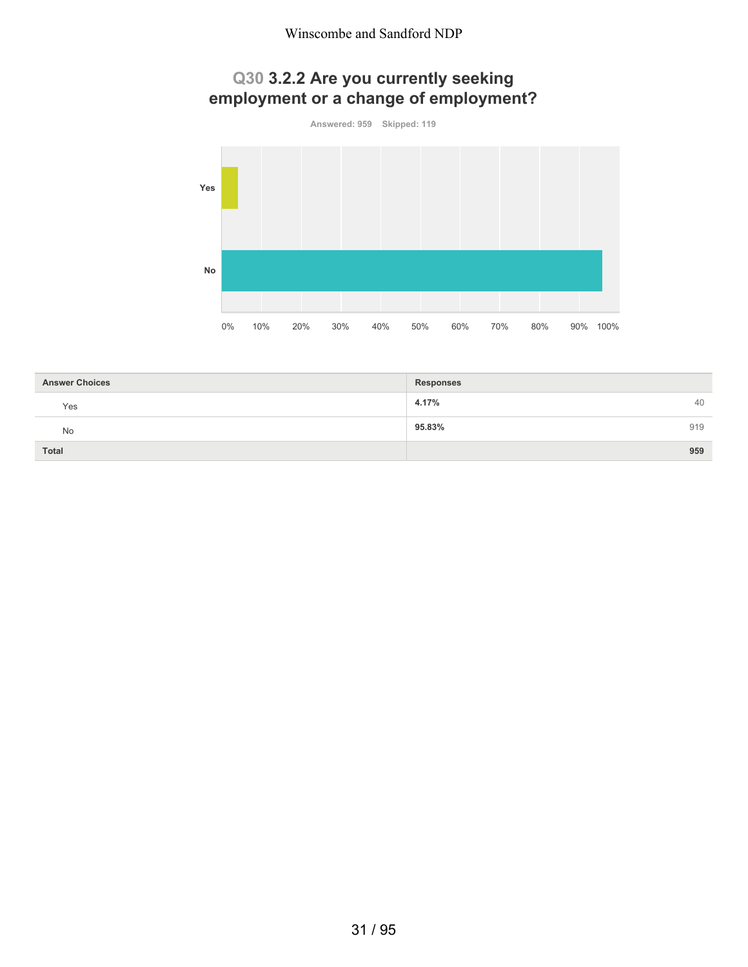# **Q30 3.2.2 Are you currently seeking employment or a change of employment?**





| <b>Answer Choices</b> | <b>Responses</b> |
|-----------------------|------------------|
| Yes                   | 4.17%<br>40      |
| <b>No</b>             | 919<br>95.83%    |
| <b>Total</b>          | 959              |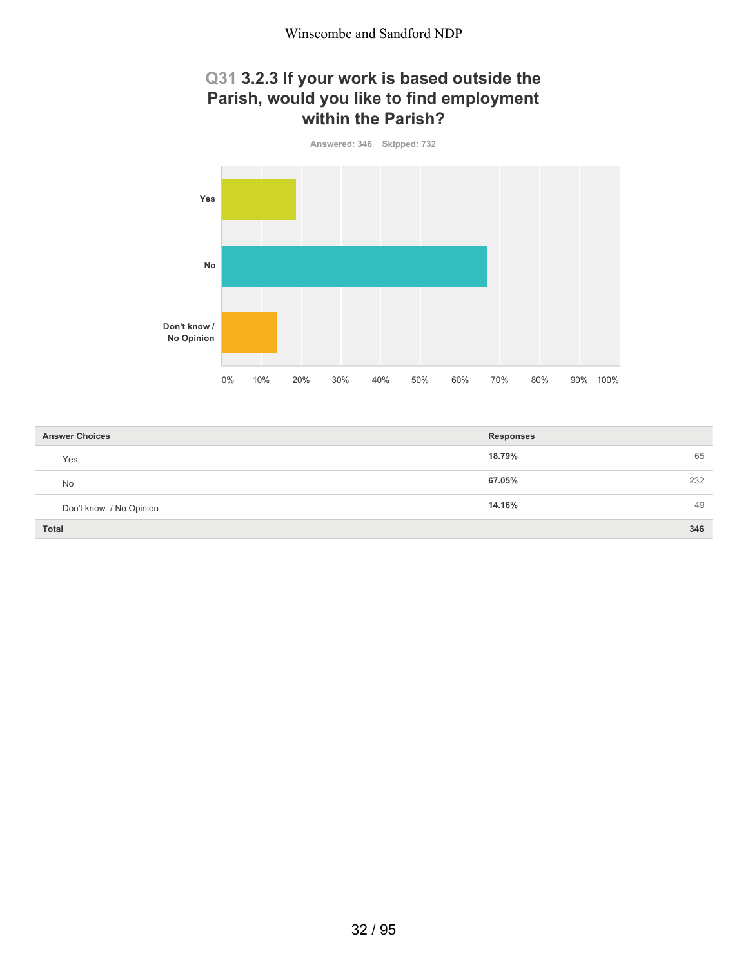## **Q31 3.2.3 If your work is based outside the Parish, would you like to find employment within the Parish?**



| <b>Answer Choices</b>   | <b>Responses</b> |
|-------------------------|------------------|
| Yes                     | 18.79%<br>65     |
| No                      | 67.05%<br>232    |
| Don't know / No Opinion | 14.16%<br>49     |
| <b>Total</b>            | 346              |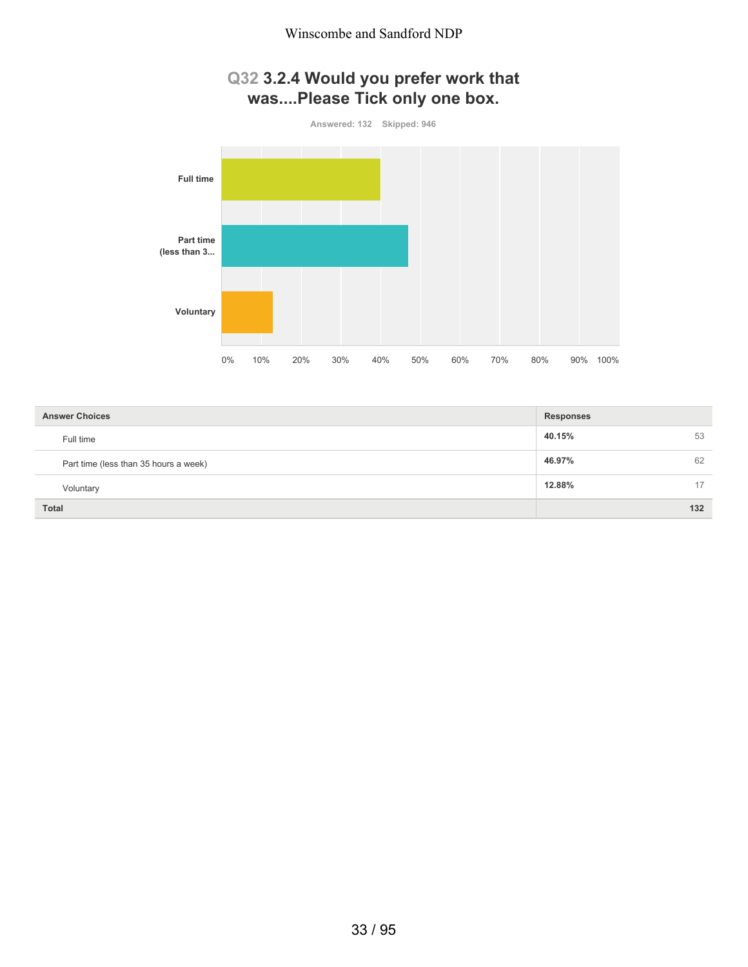# **Q32 3.2.4 Would you prefer work that was....Please Tick only one box.**



| <b>Answer Choices</b>                 | <b>Responses</b> |     |
|---------------------------------------|------------------|-----|
| Full time                             | 40.15%           | 53  |
| Part time (less than 35 hours a week) | 46.97%           | 62  |
| Voluntary                             | 12.88%           | 17  |
| <b>Total</b>                          |                  | 132 |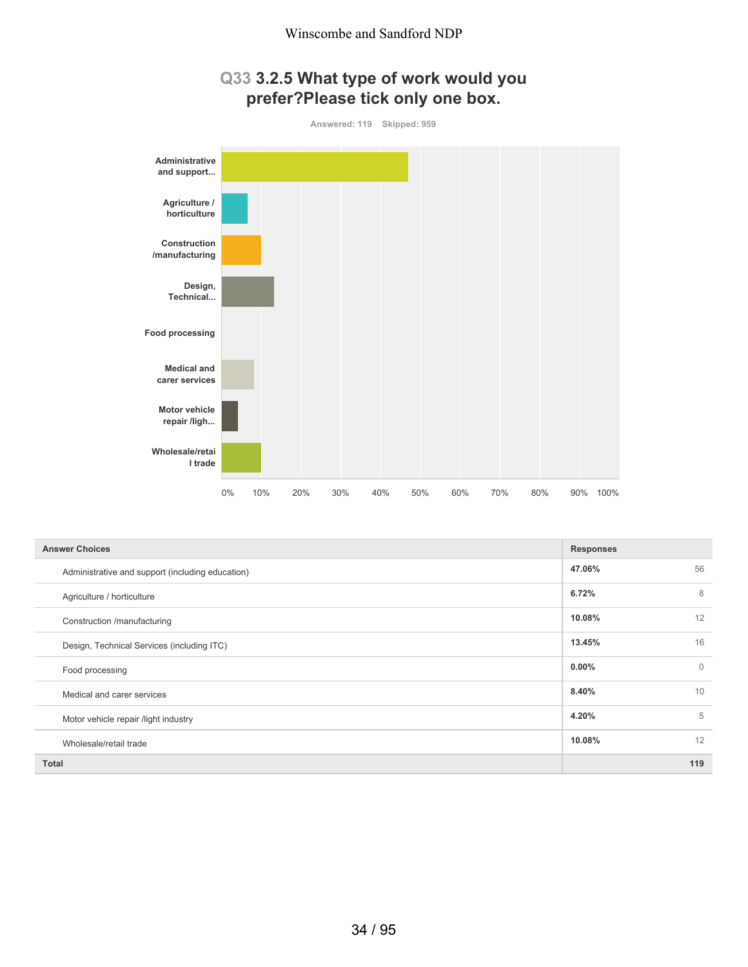## **Q33 3.2.5 What type of work would you prefer?Please tick only one box.**



| <b>Answer Choices</b>                            | <b>Responses</b> |              |
|--------------------------------------------------|------------------|--------------|
| Administrative and support (including education) | 47.06%           | 56           |
| Agriculture / horticulture                       | 6.72%            | 8            |
| Construction /manufacturing                      | 10.08%           | 12           |
| Design, Technical Services (including ITC)       | 13.45%           | 16           |
| Food processing                                  | 0.00%            | $\mathbf{0}$ |
| Medical and carer services                       | 8.40%            | 10           |
| Motor vehicle repair /light industry             | 4.20%            | 5            |
| Wholesale/retail trade                           | 10.08%           | 12           |
| <b>Total</b>                                     |                  | 119          |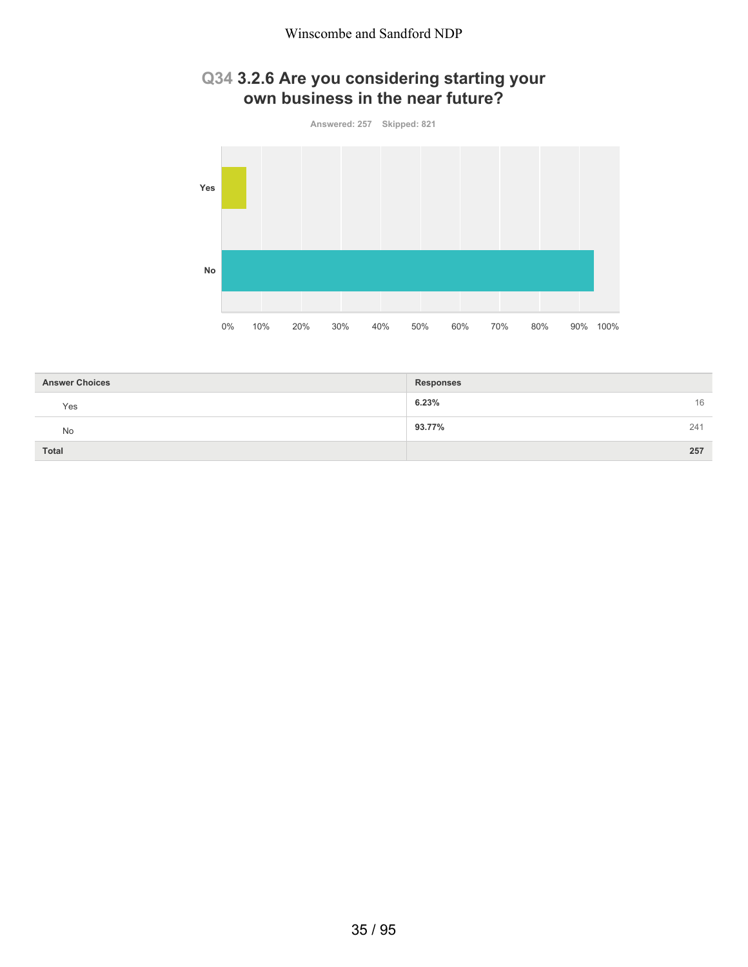## **Q34 3.2.6 Are you considering starting your own business in the near future?**



| <b>Answer Choices</b> | <b>Responses</b> |     |
|-----------------------|------------------|-----|
| Yes                   | 6.23%            | 16  |
| No                    | 93.77%           | 241 |
| <b>Total</b>          |                  | 257 |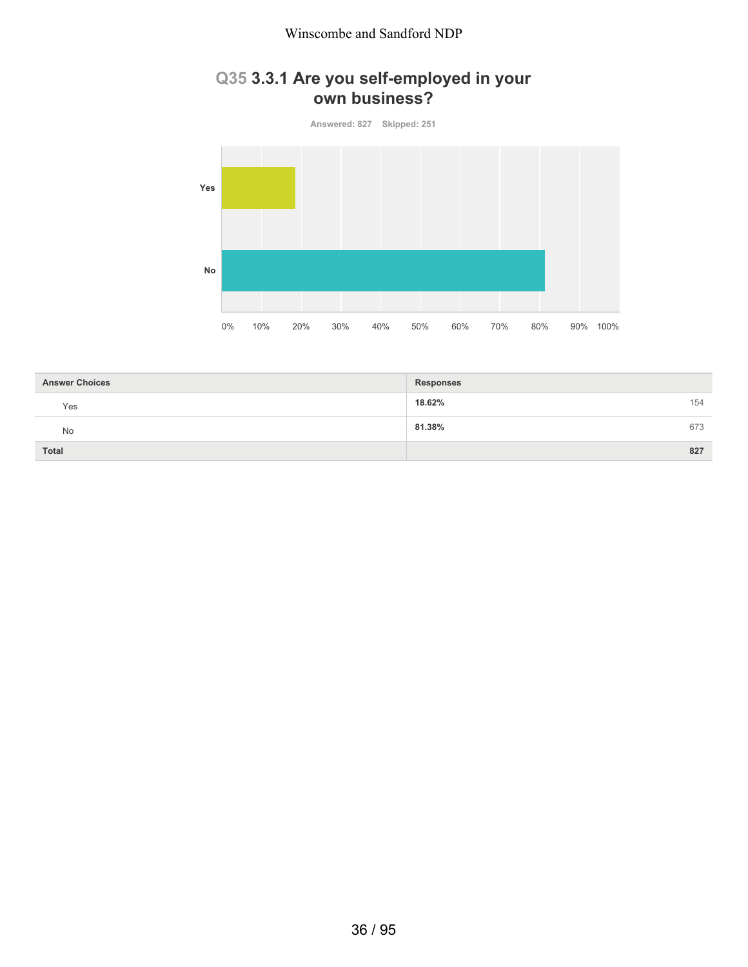#### Winscombe and Sandford NDP

## **Q35 3.3.1 Are you self-employed in your own business?**

**Answered: 827 Skipped: 251 Yes No** 0% 10% 20% 30% 40% 50% 60% 70% 80% 90% 100%

| <b>Answer Choices</b> | <b>Responses</b> |     |
|-----------------------|------------------|-----|
| Yes                   | 18.62%           | 154 |
| No                    | 81.38%           | 673 |
| <b>Total</b>          |                  | 827 |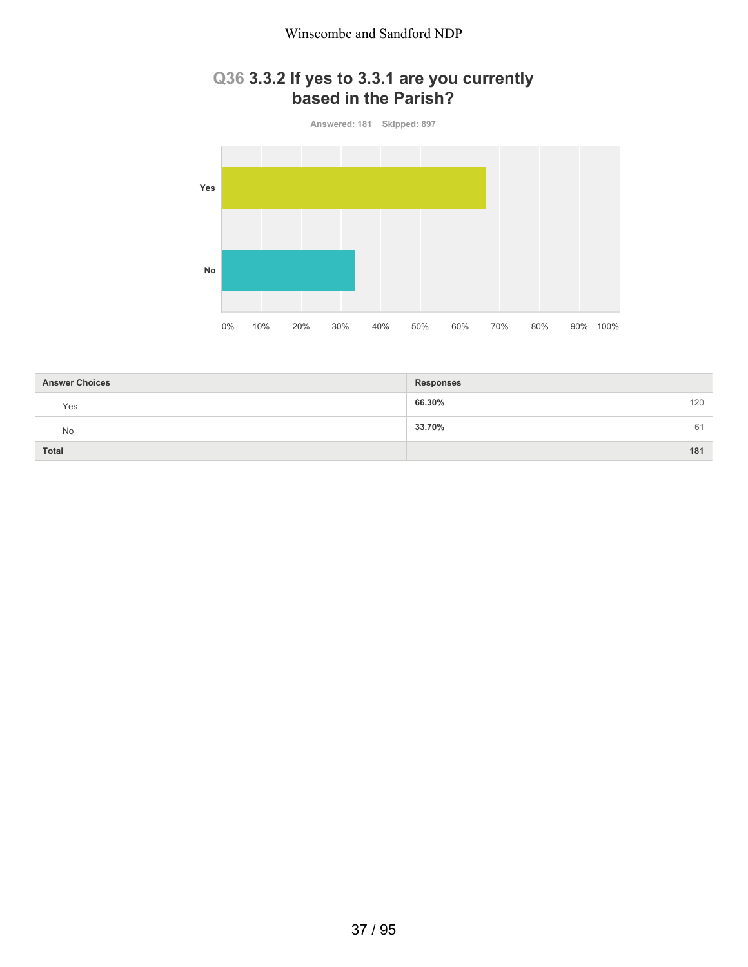#### Winscombe and Sandford NDP

## **Q36 3.3.2 If yes to 3.3.1 are you currently based in the Parish?**



| <b>Answer Choices</b> | <b>Responses</b> |
|-----------------------|------------------|
| Yes                   | 120<br>66.30%    |
| No                    | 33.70%<br>61     |
| <b>Total</b>          | 181              |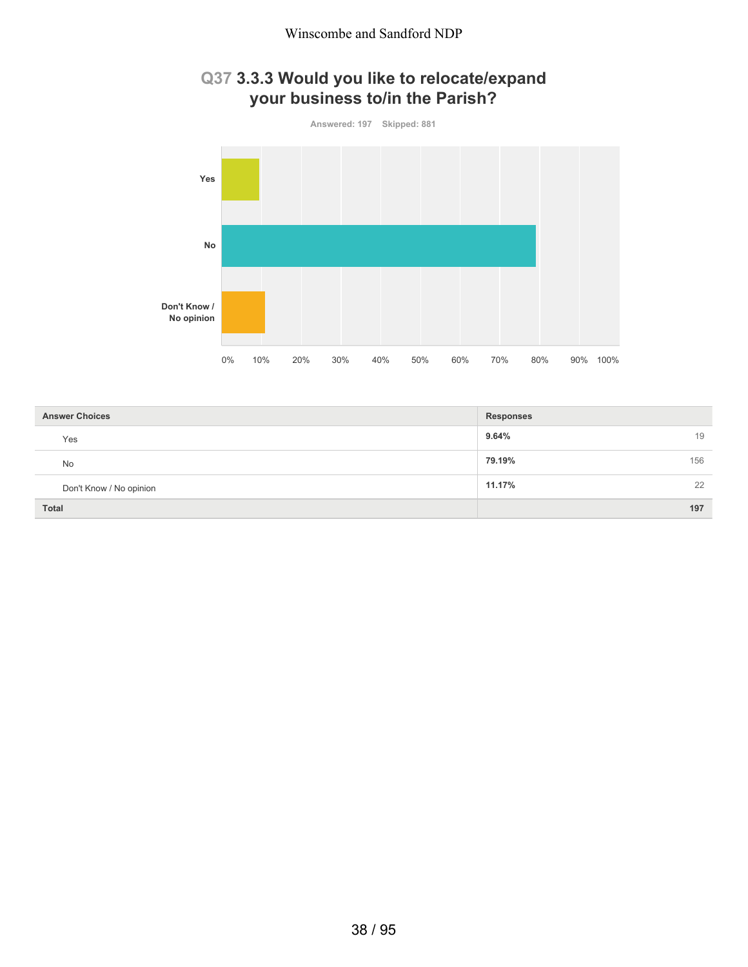



| <b>Answer Choices</b>   | <b>Responses</b> |
|-------------------------|------------------|
| Yes                     | 9.64%<br>19      |
| <b>No</b>               | 79.19%<br>156    |
| Don't Know / No opinion | 11.17%<br>22     |
| <b>Total</b>            | 197              |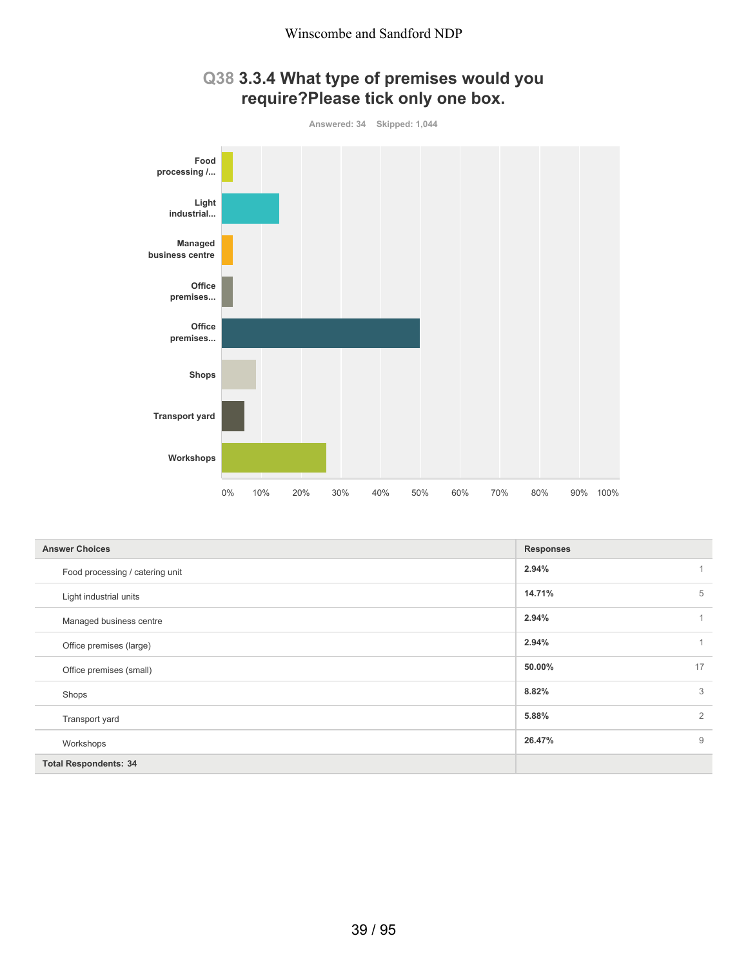

## **Q38 3.3.4 What type of premises would you require?Please tick only one box.**

| <b>Answer Choices</b>           | <b>Responses</b> |              |
|---------------------------------|------------------|--------------|
| Food processing / catering unit | 2.94%            | 1            |
| Light industrial units          | 14.71%           | 5            |
| Managed business centre         | 2.94%            | $\mathbf{1}$ |
| Office premises (large)         | 2.94%            | 1            |
| Office premises (small)         | 50.00%           | 17           |
| Shops                           | 8.82%            | 3            |
| Transport yard                  | 5.88%            | 2            |
| Workshops                       | 26.47%           | 9            |
| <b>Total Respondents: 34</b>    |                  |              |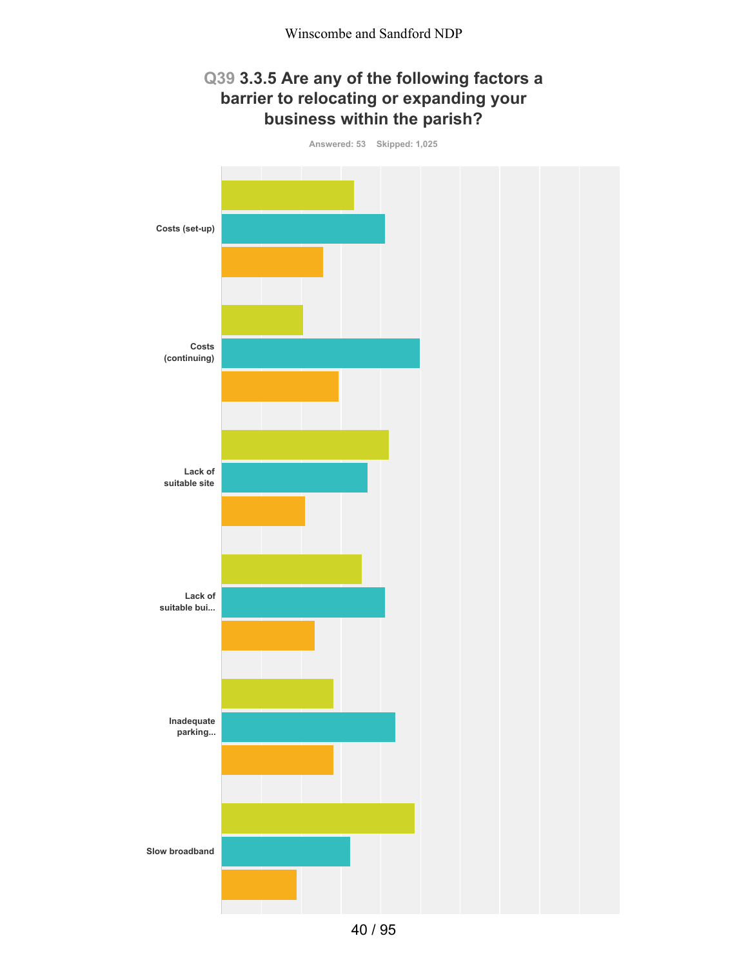# **Q39 3.3.5 Are any of the following factors a barrier to relocating or expanding your business within the parish?**



40 / 95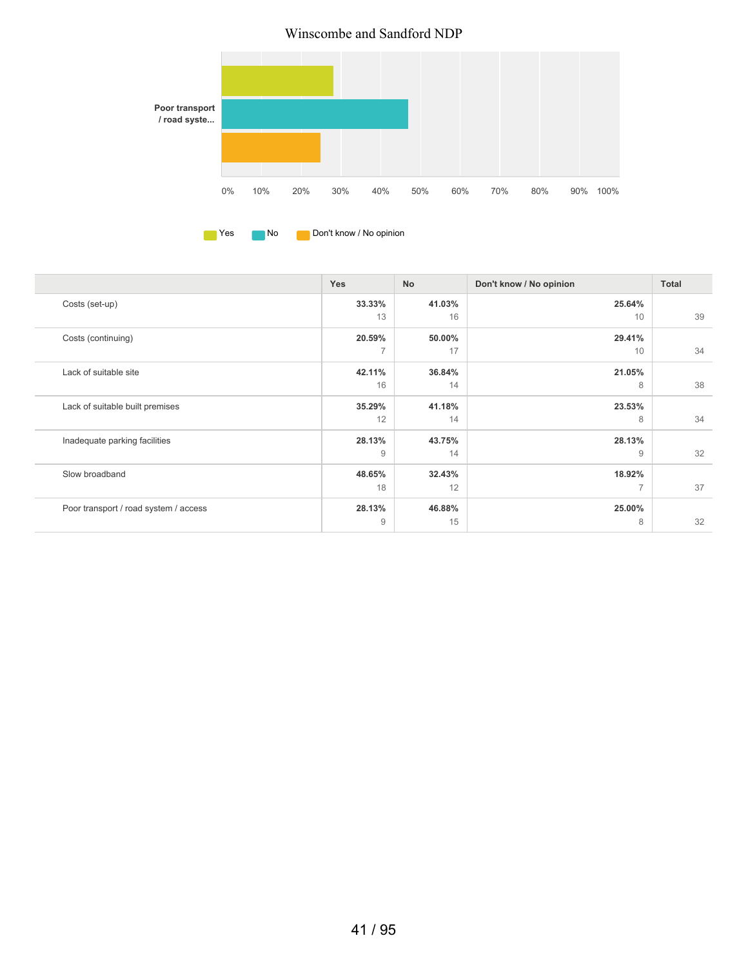#### Winscombe and Sandford NDP





|                                       | Yes    | <b>No</b> | Don't know / No opinion  | <b>Total</b> |
|---------------------------------------|--------|-----------|--------------------------|--------------|
| Costs (set-up)                        | 33.33% | 41.03%    | 25.64%                   |              |
|                                       | 13     | 16        | 10                       | 39           |
| Costs (continuing)                    | 20.59% | 50.00%    | 29.41%                   |              |
|                                       | 7      | 17        | 10                       | 34           |
| Lack of suitable site                 | 42.11% | 36.84%    | 21.05%                   |              |
|                                       | 16     | 14        | 8                        | 38           |
| Lack of suitable built premises       | 35.29% | 41.18%    | 23.53%                   |              |
|                                       | 12     | 14        | 8                        | 34           |
| Inadequate parking facilities         | 28.13% | 43.75%    | 28.13%                   |              |
|                                       | 9      | 14        | 9                        | 32           |
| Slow broadband                        | 48.65% | 32.43%    | 18.92%                   |              |
|                                       | 18     | 12        | $\overline{\phantom{a}}$ | 37           |
| Poor transport / road system / access | 28.13% | 46.88%    | 25.00%                   |              |
|                                       | 9      | 15        | 8                        | 32           |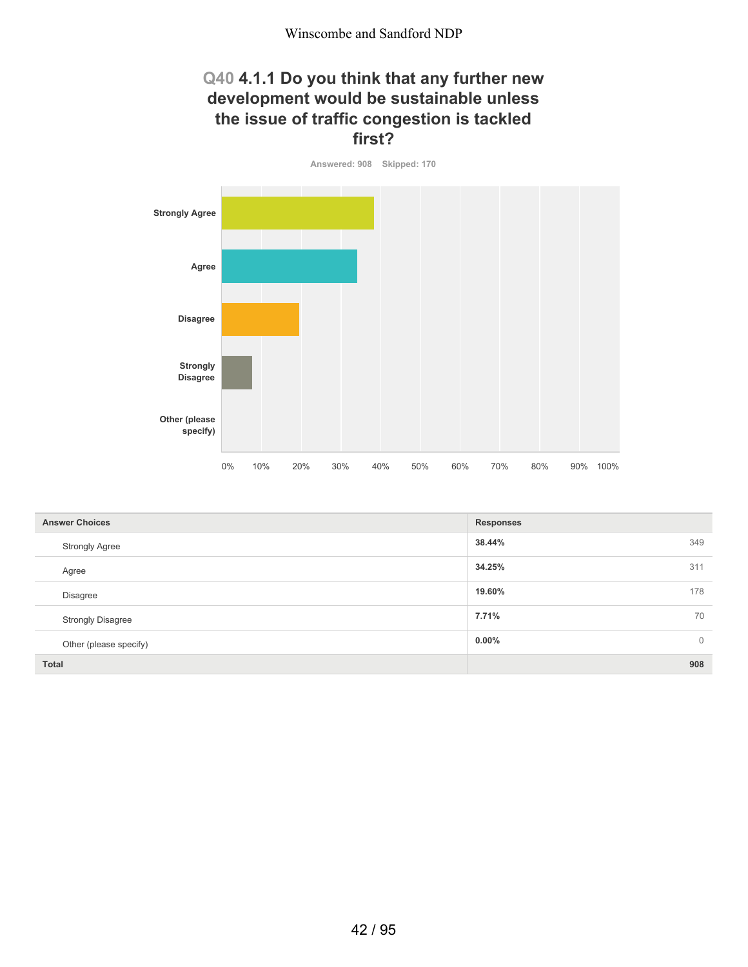#### **Q40 4.1.1 Do you think that any further new development would be sustainable unless the issue of traffic congestion is tackled first?**

**Answered: 908 Skipped: 170 Strongly Agree Agree Disagree Strongly Disagree Other (please specify)** 0% 10% 20% 30% 40% 50% 60% 70% 80% 90% 100%

| <b>Answer Choices</b>    | <b>Responses</b>           |
|--------------------------|----------------------------|
| <b>Strongly Agree</b>    | 349<br>38.44%              |
| Agree                    | 34.25%<br>311              |
| <b>Disagree</b>          | 178<br>19.60%              |
| <b>Strongly Disagree</b> | 70<br>7.71%                |
| Other (please specify)   | $0.00\%$<br>$\overline{0}$ |
| <b>Total</b>             | 908                        |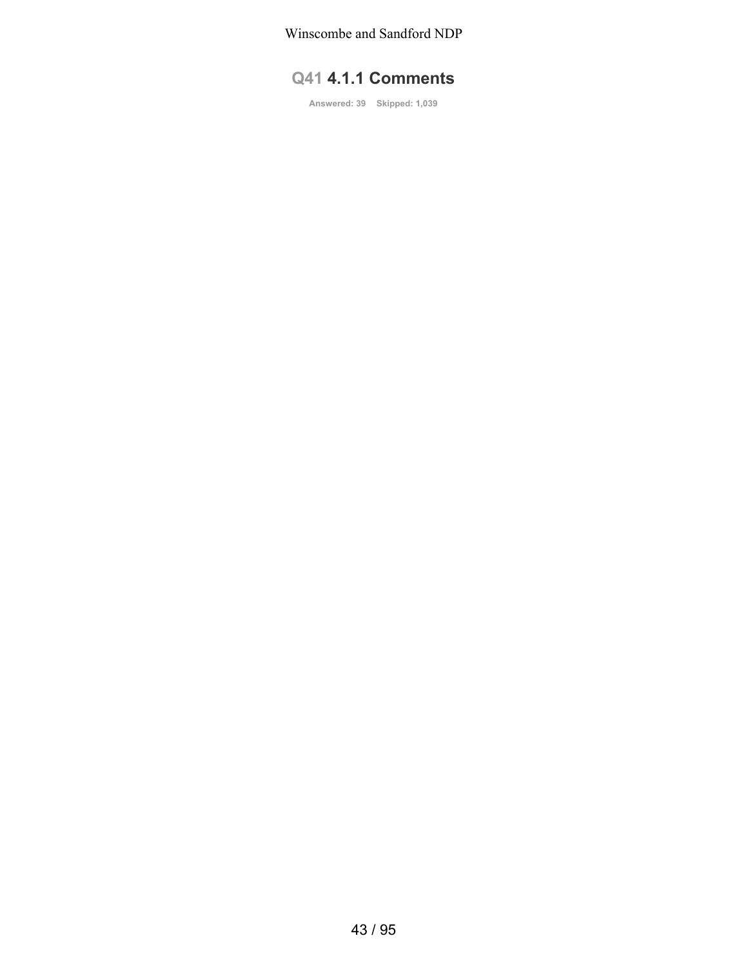Winscombe and Sandford NDP

# **Q41 4.1.1 Comments**

**Answered: 39 Skipped: 1,039**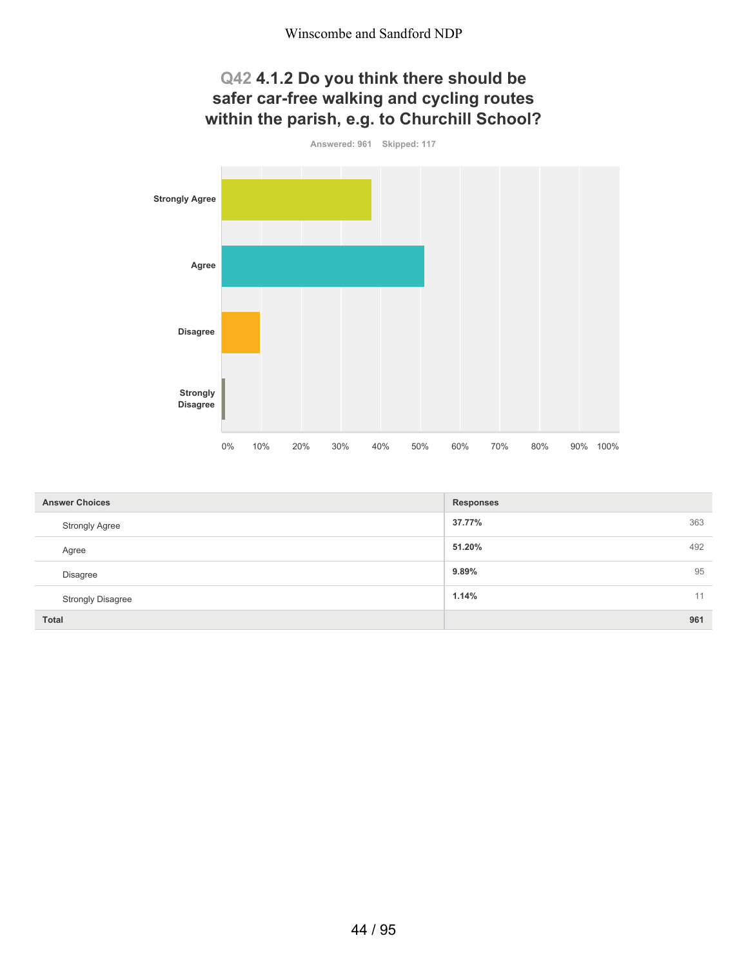# **Q42 4.1.2 Do you think there should be safer car-free walking and cycling routes within the parish, e.g. to Churchill School?**



| <b>Answer Choices</b>    | <b>Responses</b> |
|--------------------------|------------------|
| <b>Strongly Agree</b>    | 363<br>37.77%    |
| Agree                    | 492<br>51.20%    |
| <b>Disagree</b>          | 95<br>9.89%      |
| <b>Strongly Disagree</b> | 1.14%<br>11      |
| <b>Total</b>             | 961              |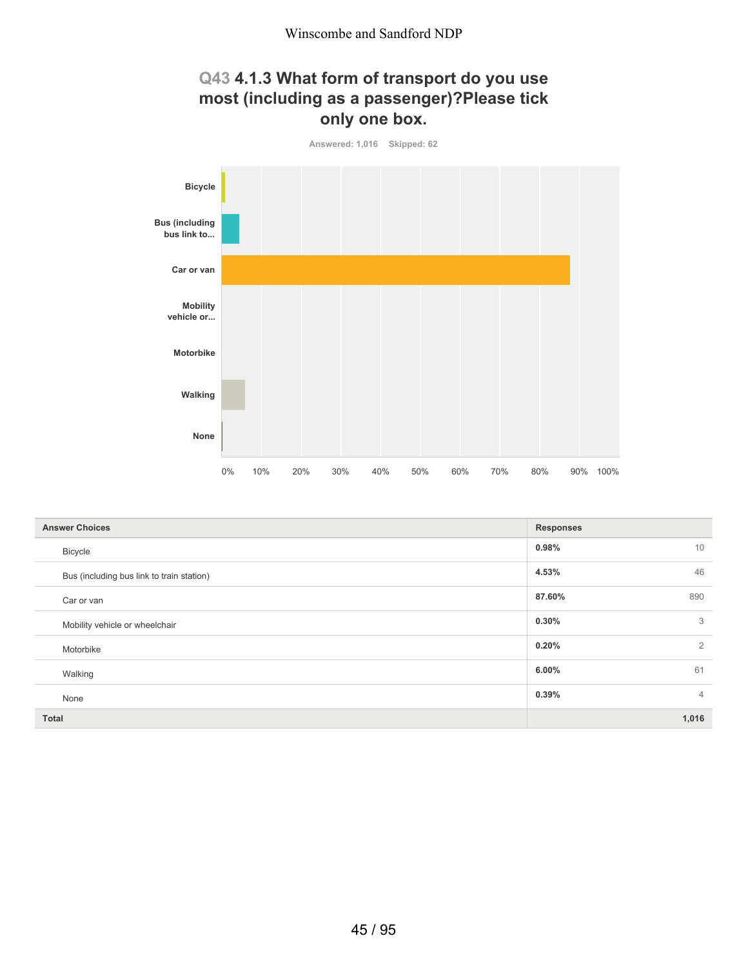# **Q43 4.1.3 What form of transport do you use most (including as a passenger)?Please tick only one box.**



| <b>Answer Choices</b>                     | <b>Responses</b>        |
|-------------------------------------------|-------------------------|
| <b>Bicycle</b>                            | 10<br>0.98%             |
| Bus (including bus link to train station) | 46<br>4.53%             |
| Car or van                                | 87.60%<br>890           |
| Mobility vehicle or wheelchair            | 3<br>0.30%              |
| Motorbike                                 | 2<br>0.20%              |
| Walking                                   | 61<br>6.00%             |
| None                                      | 0.39%<br>$\overline{4}$ |
| <b>Total</b>                              | 1,016                   |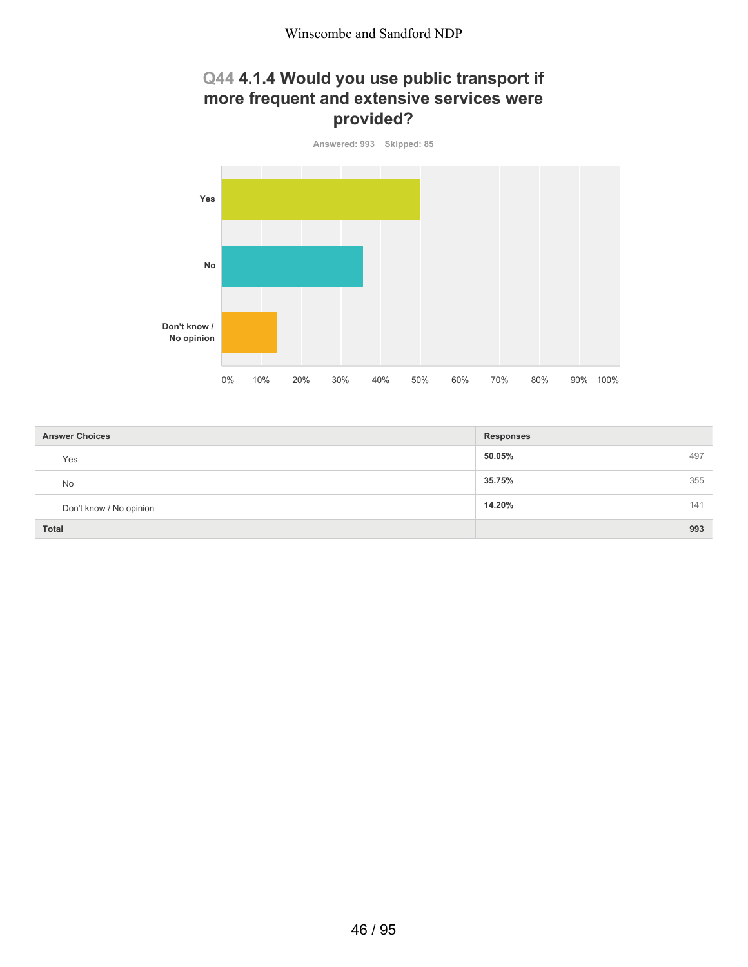# **Q44 4.1.4 Would you use public transport if more frequent and extensive services were provided?**



| <b>Answer Choices</b>   | <b>Responses</b> |
|-------------------------|------------------|
| Yes                     | 50.05%<br>497    |
| No                      | 35.75%<br>355    |
| Don't know / No opinion | 14.20%<br>141    |
| Total                   | 993              |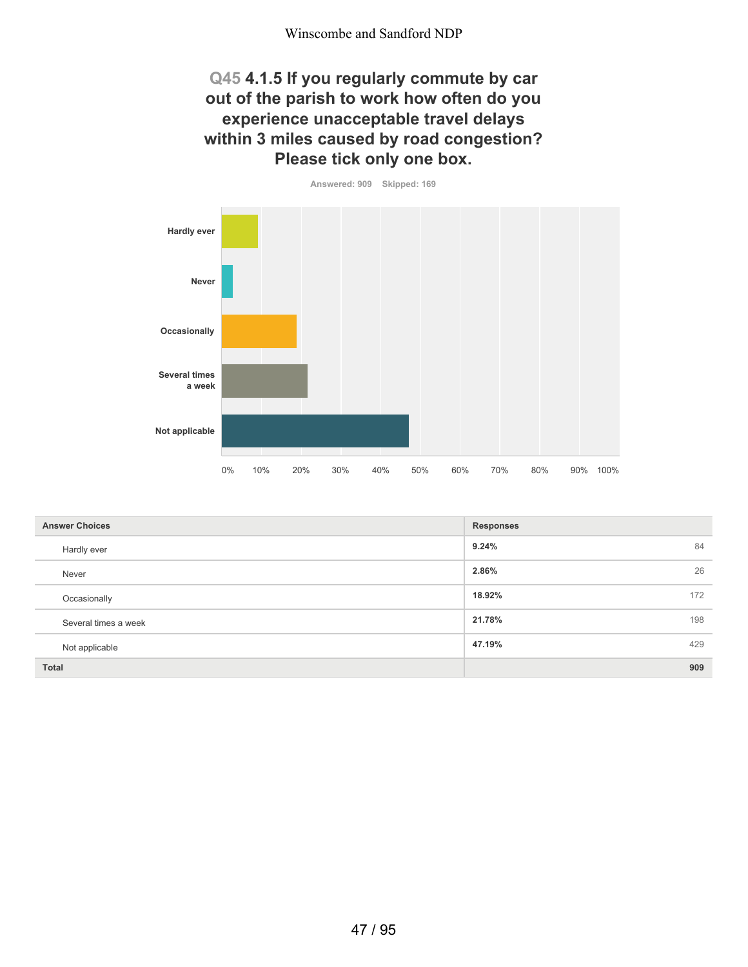#### **Q45 4.1.5 If you regularly commute by car out of the parish to work how often do you experience unacceptable travel delays within 3 miles caused by road congestion? Please tick only one box.**



| <b>Answer Choices</b> | <b>Responses</b> |    |
|-----------------------|------------------|----|
| Hardly ever           | 9.24%            | 84 |
| Never                 | 2.86%            | 26 |
| Occasionally          | 18.92%<br>172    |    |
| Several times a week  | 21.78%<br>198    |    |
| Not applicable        | 47.19%<br>429    |    |
| <b>Total</b>          | 909              |    |

47 / 95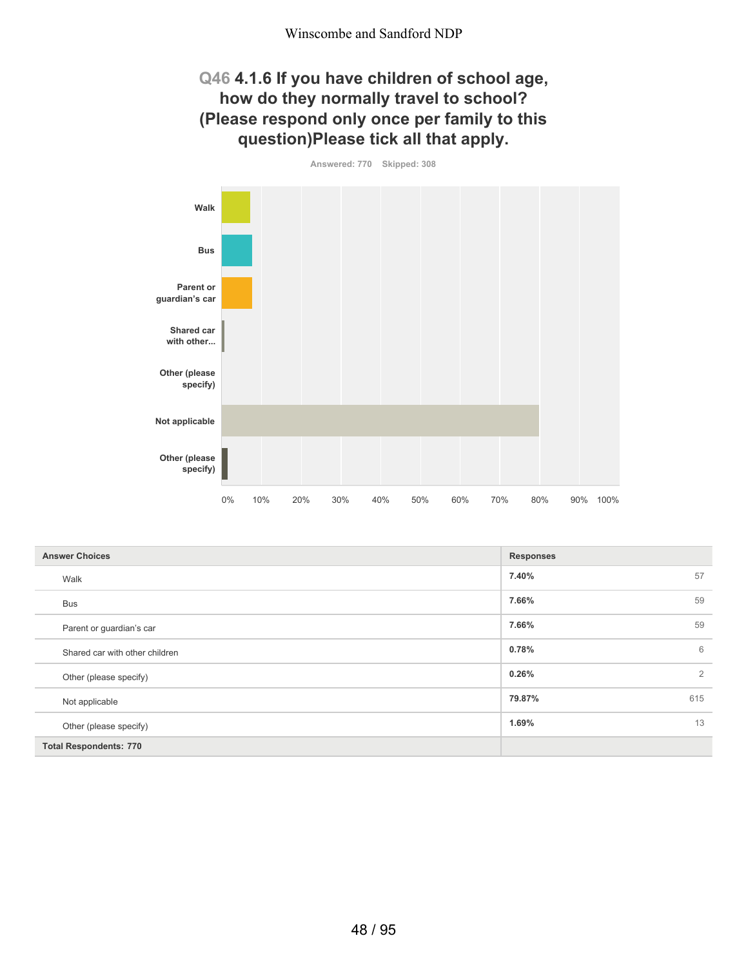## **Q46 4.1.6 If you have children of school age, how do they normally travel to school? (Please respond only once per family to this question)Please tick all that apply.**

**Answered: 770 Skipped: 308**



| <b>Answer Choices</b>          | <b>Responses</b> |     |
|--------------------------------|------------------|-----|
| Walk                           | 7.40%            | 57  |
| <b>Bus</b>                     | 7.66%            | 59  |
| Parent or guardian's car       | 7.66%            | 59  |
| Shared car with other children | 0.78%            | 6   |
| Other (please specify)         | 0.26%            | 2   |
| Not applicable                 | 79.87%           | 615 |
| Other (please specify)         | 1.69%            | 13  |
| <b>Total Respondents: 770</b>  |                  |     |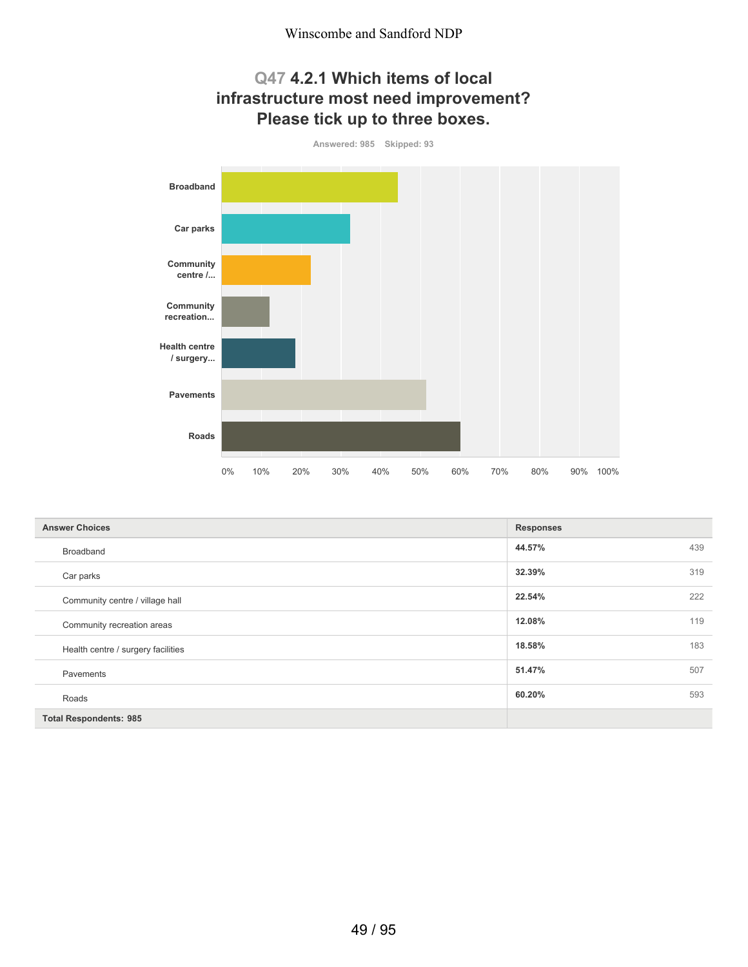## **Q47 4.2.1 Which items of local infrastructure most need improvement? Please tick up to three boxes.**



| <b>Answer Choices</b>              | <b>Responses</b> |     |
|------------------------------------|------------------|-----|
| Broadband                          | 44.57%           | 439 |
| Car parks                          | 32.39%           | 319 |
| Community centre / village hall    | 22.54%           | 222 |
| Community recreation areas         | 12.08%           | 119 |
| Health centre / surgery facilities | 18.58%           | 183 |
| Pavements                          | 51.47%           | 507 |
| Roads                              | 60.20%           | 593 |
| <b>Total Respondents: 985</b>      |                  |     |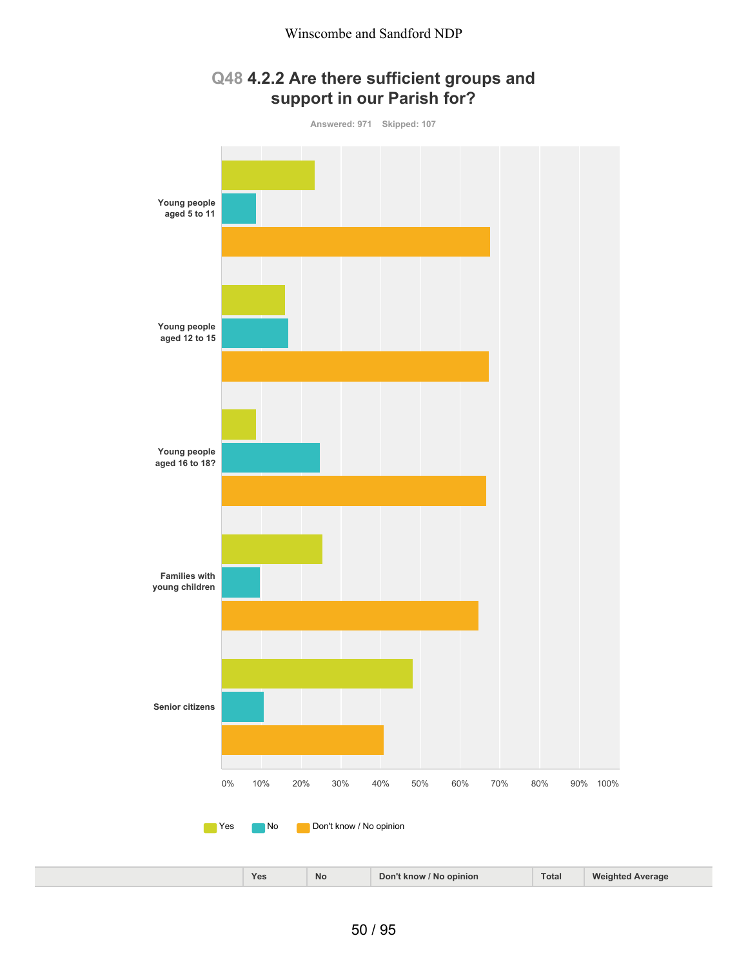#### **Q48 4.2.2 Are there sufficient groups and support in our Parish for?**

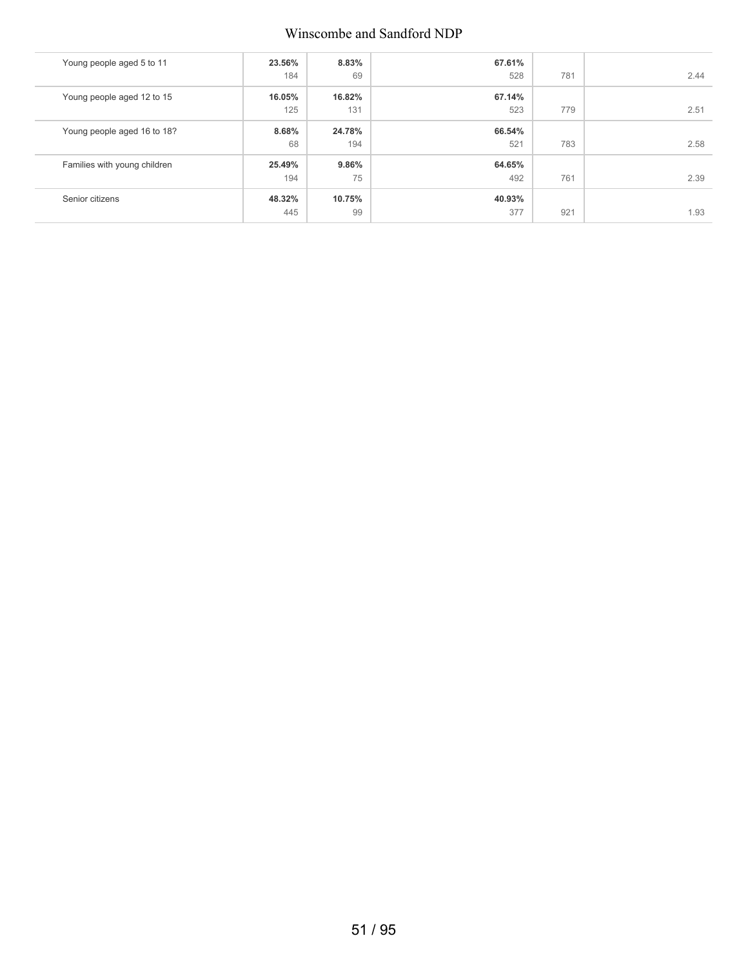#### Winscombe and Sandford NDP

| Young people aged 5 to 11    | 23.56%<br>184 | 8.83%<br>69   | 67.61%<br>528 | 781 | 2.44 |
|------------------------------|---------------|---------------|---------------|-----|------|
| Young people aged 12 to 15   | 16.05%<br>125 | 16.82%<br>131 | 67.14%<br>523 | 779 | 2.51 |
| Young people aged 16 to 18?  | 8.68%<br>68   | 24.78%<br>194 | 66.54%<br>521 | 783 | 2.58 |
| Families with young children | 25.49%<br>194 | 9.86%<br>75   | 64.65%<br>492 | 761 | 2.39 |
| Senior citizens              | 48.32%<br>445 | 10.75%<br>99  | 40.93%<br>377 | 921 | 1.93 |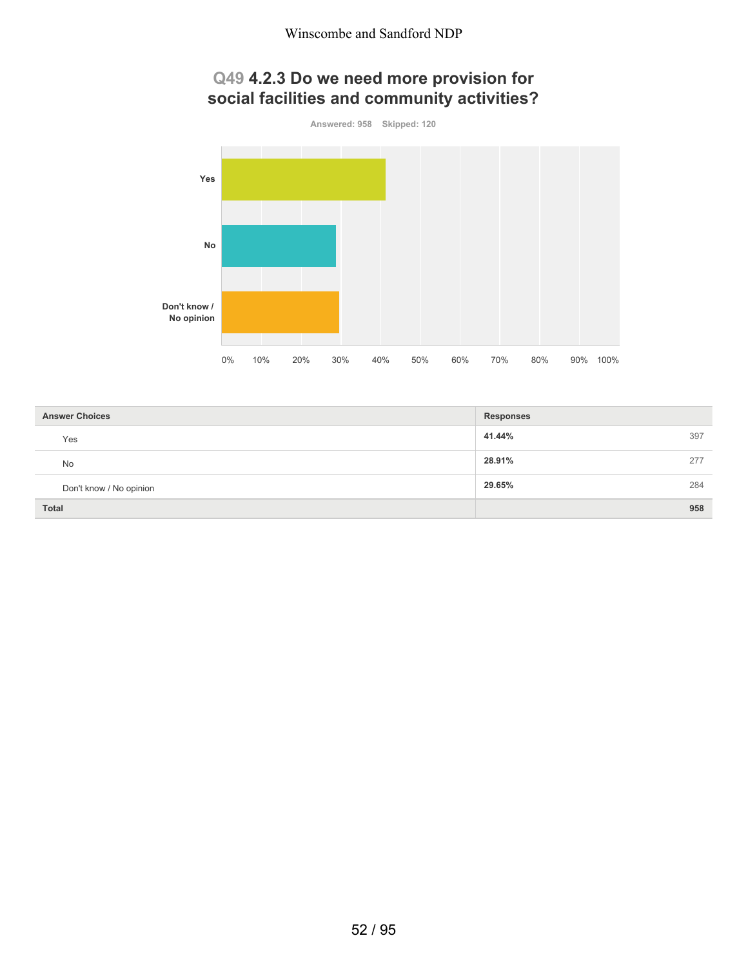## **Q49 4.2.3 Do we need more provision for social facilities and community activities?**



| <b>Answer Choices</b>   | <b>Responses</b> |
|-------------------------|------------------|
| Yes                     | 41.44%<br>397    |
| <b>No</b>               | 28.91%<br>277    |
| Don't know / No opinion | 29.65%<br>284    |
| <b>Total</b>            | 958              |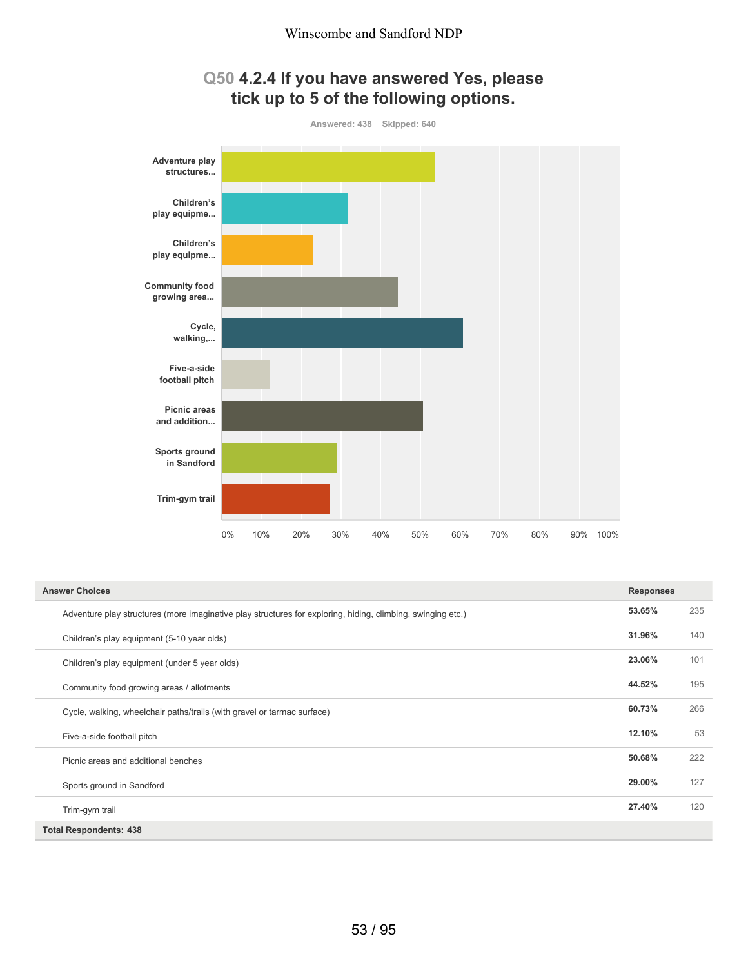#### **Q50 4.2.4 If you have answered Yes, please tick up to 5 of the following options.**



| <b>Answer Choices</b>                                                                                       |        | <b>Responses</b> |
|-------------------------------------------------------------------------------------------------------------|--------|------------------|
| Adventure play structures (more imaginative play structures for exploring, hiding, climbing, swinging etc.) | 53.65% | 235              |
| Children's play equipment (5-10 year olds)                                                                  | 31.96% | 140              |
| Children's play equipment (under 5 year olds)                                                               | 23.06% | 101              |
| Community food growing areas / allotments                                                                   | 44.52% | 195              |
| Cycle, walking, wheelchair paths/trails (with gravel or tarmac surface)                                     | 60.73% | 266              |
| Five-a-side football pitch                                                                                  | 12.10% | 53               |
| Picnic areas and additional benches                                                                         | 50.68% | 222              |
| Sports ground in Sandford                                                                                   | 29.00% | 127              |
| Trim-gym trail                                                                                              | 27.40% | 120              |
| <b>Total Respondents: 438</b>                                                                               |        |                  |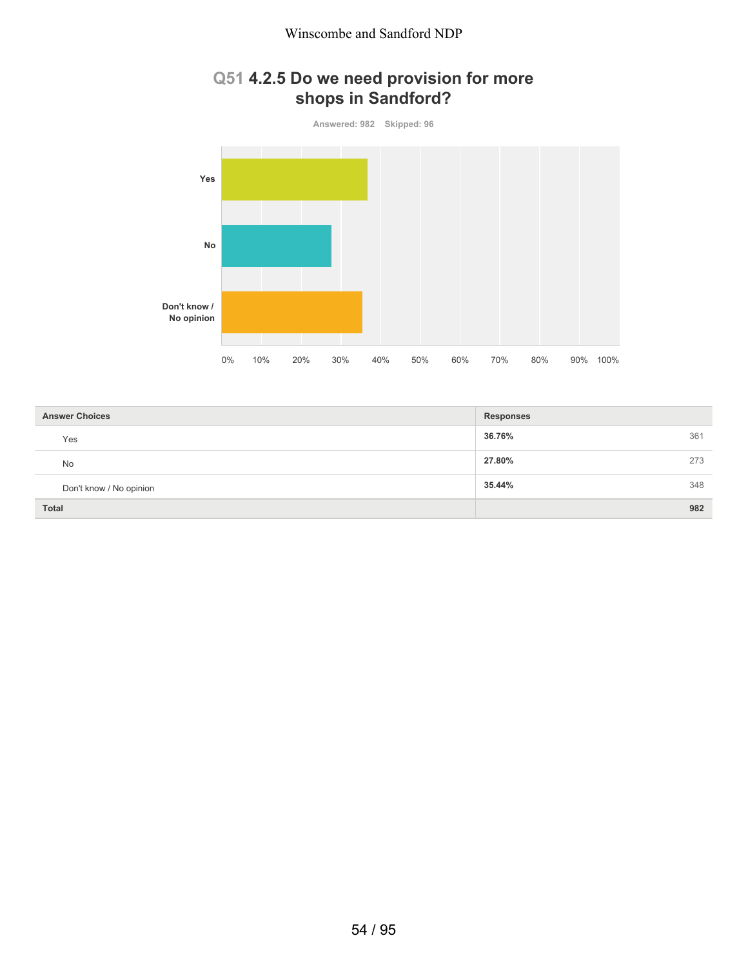# **Q51 4.2.5 Do we need provision for more shops in Sandford?**



| <b>Answer Choices</b>   | <b>Responses</b> |
|-------------------------|------------------|
| Yes                     | 36.76%<br>361    |
| <b>No</b>               | 27.80%<br>273    |
| Don't know / No opinion | 35.44%<br>348    |
| <b>Total</b>            | 982              |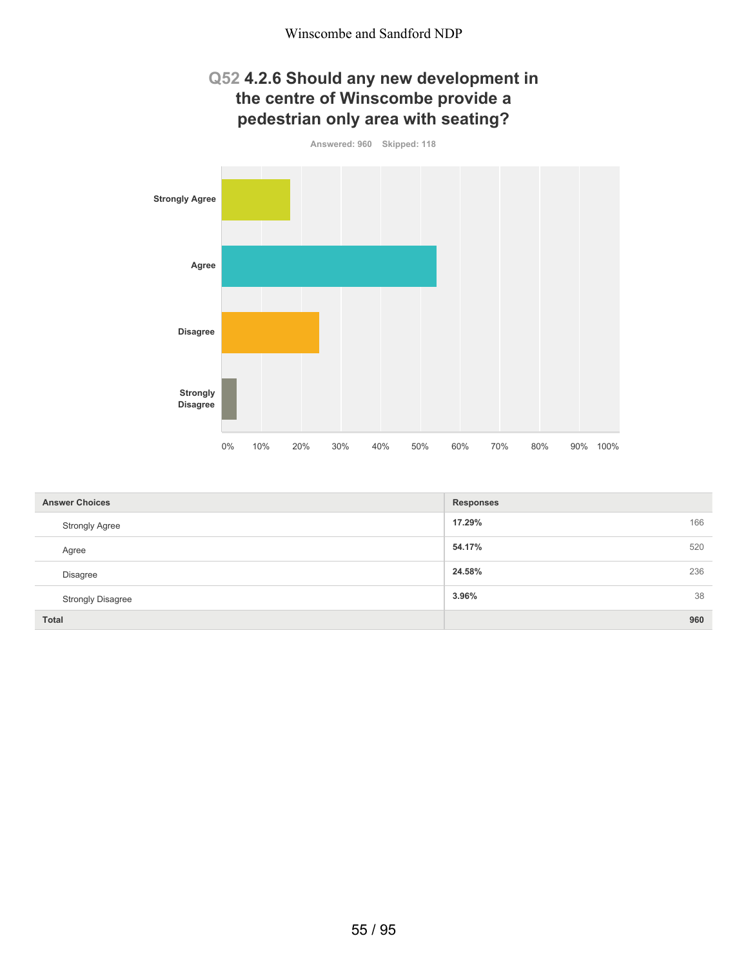#### **Q52 4.2.6 Should any new development in the centre of Winscombe provide a pedestrian only area with seating?**



| <b>Answer Choices</b>    | <b>Responses</b> |
|--------------------------|------------------|
| <b>Strongly Agree</b>    | 166<br>17.29%    |
| Agree                    | 520<br>54.17%    |
| Disagree                 | 236<br>24.58%    |
| <b>Strongly Disagree</b> | 38<br>3.96%      |
| <b>Total</b>             | 960              |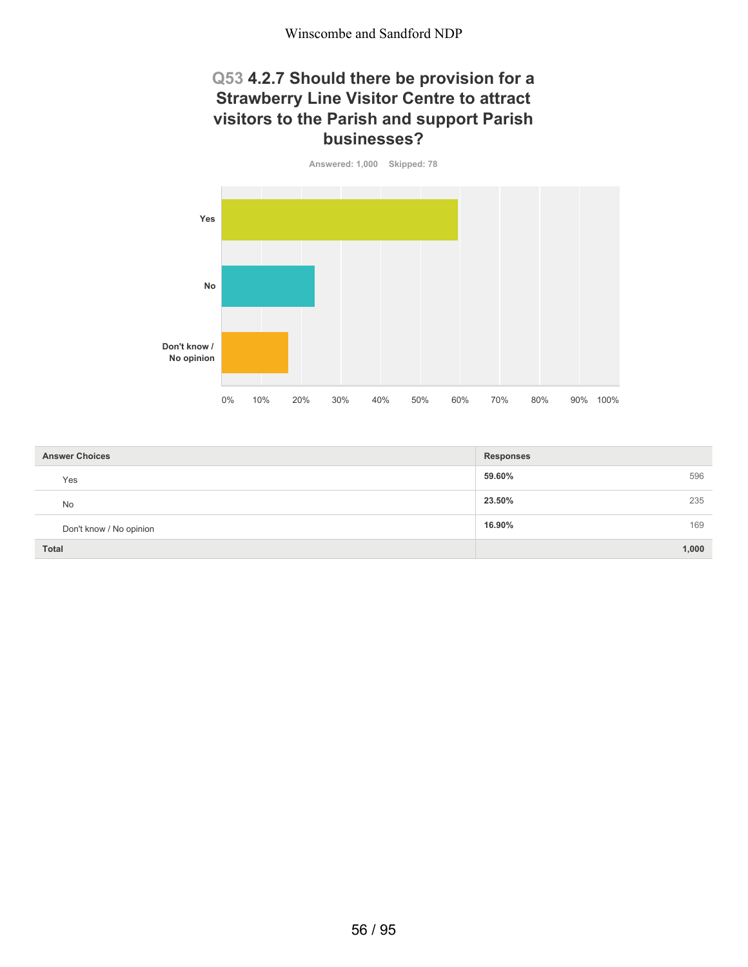#### **Q53 4.2.7 Should there be provision for a Strawberry Line Visitor Centre to attract visitors to the Parish and support Parish businesses?**



| <b>Answer Choices</b>   | <b>Responses</b> |
|-------------------------|------------------|
| Yes                     | 59.60%<br>596    |
| <b>No</b>               | 23.50%<br>235    |
| Don't know / No opinion | 16.90%<br>169    |
| <b>Total</b>            | 1,000            |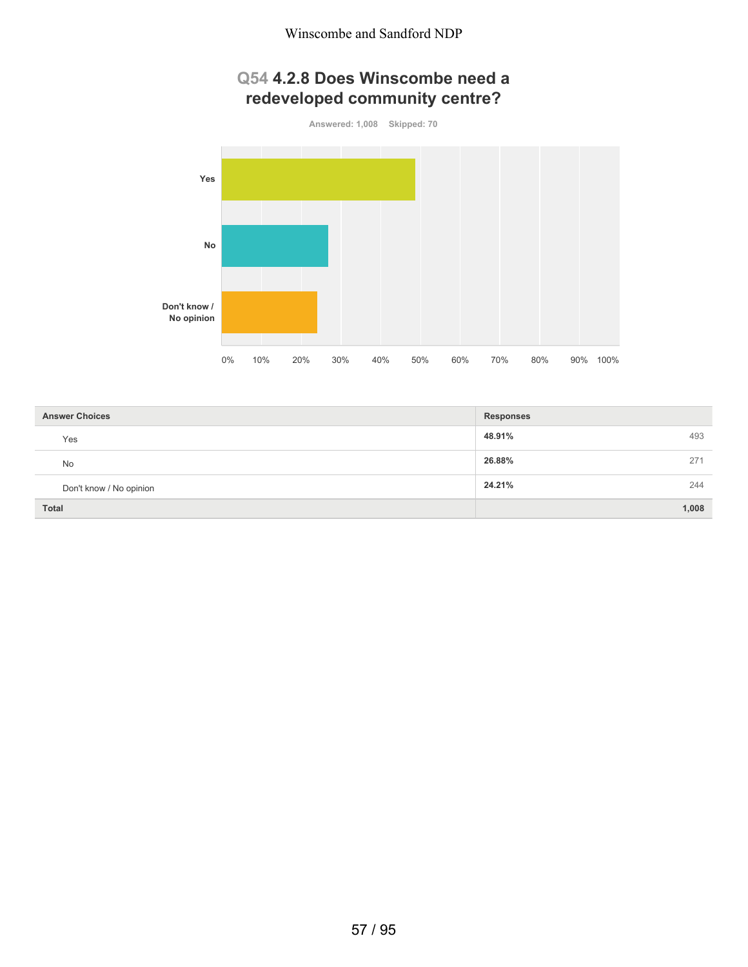## **Q54 4.2.8 Does Winscombe need a redeveloped community centre?**



| <b>Answer Choices</b>   | <b>Responses</b> |
|-------------------------|------------------|
| Yes                     | 48.91%<br>493    |
| <b>No</b>               | 26.88%<br>271    |
| Don't know / No opinion | 24.21%<br>244    |
| <b>Total</b>            | 1,008            |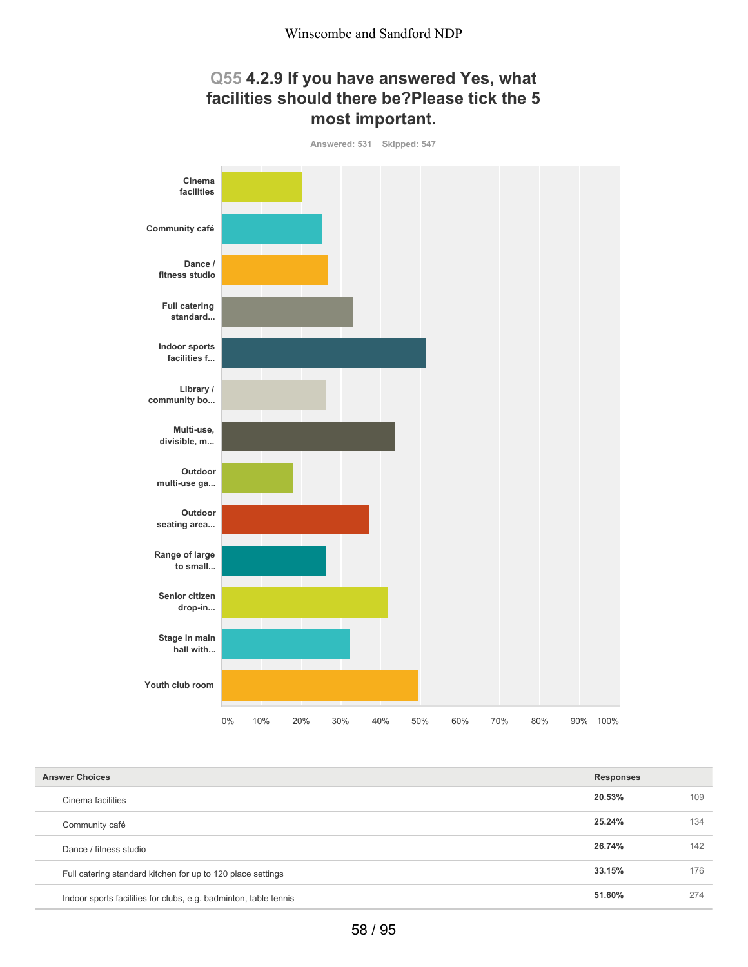## **Q55 4.2.9 If you have answered Yes, what facilities should there be?Please tick the 5 most important.**



| <b>Answer Choices</b>                                            |        |     |
|------------------------------------------------------------------|--------|-----|
| Cinema facilities                                                | 20.53% | 109 |
| Community café                                                   | 25.24% | 134 |
| Dance / fitness studio                                           | 26.74% | 142 |
| Full catering standard kitchen for up to 120 place settings      | 33.15% | 176 |
| Indoor sports facilities for clubs, e.g. badminton, table tennis | 51.60% | 274 |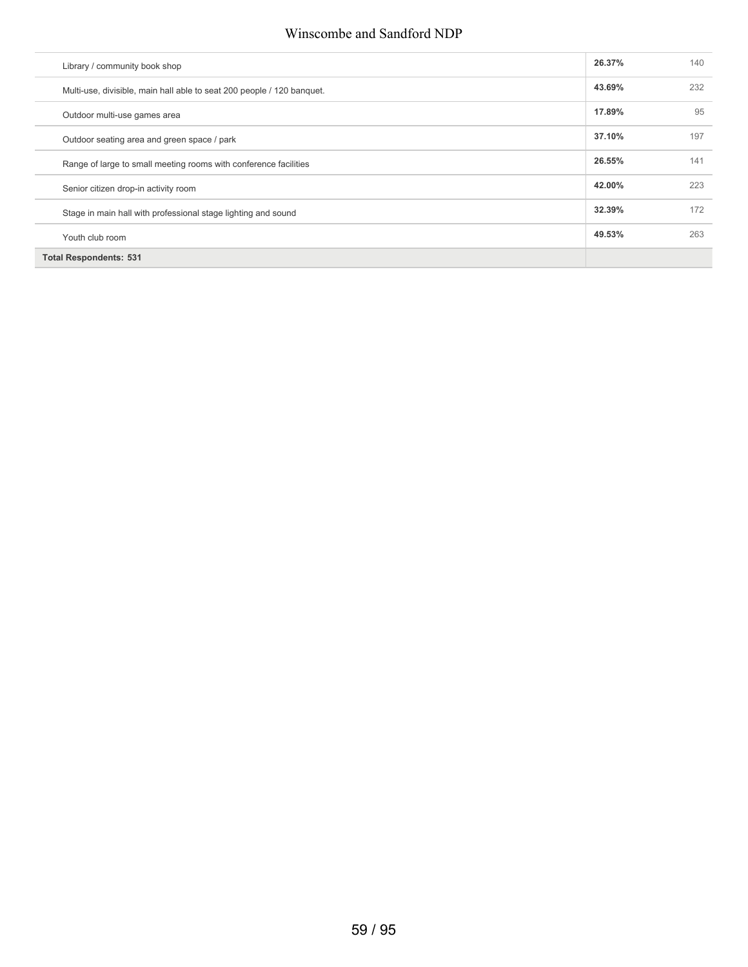#### Winscombe and Sandford NDP

| Library / community book shop                                          | 26.37% | 140 |
|------------------------------------------------------------------------|--------|-----|
| Multi-use, divisible, main hall able to seat 200 people / 120 banquet. | 43.69% | 232 |
| Outdoor multi-use games area                                           | 17.89% | 95  |
| Outdoor seating area and green space / park                            | 37.10% | 197 |
| Range of large to small meeting rooms with conference facilities       | 26.55% | 141 |
| Senior citizen drop-in activity room                                   | 42.00% | 223 |
| Stage in main hall with professional stage lighting and sound          | 32.39% | 172 |
| Youth club room                                                        | 49.53% | 263 |
| <b>Total Respondents: 531</b>                                          |        |     |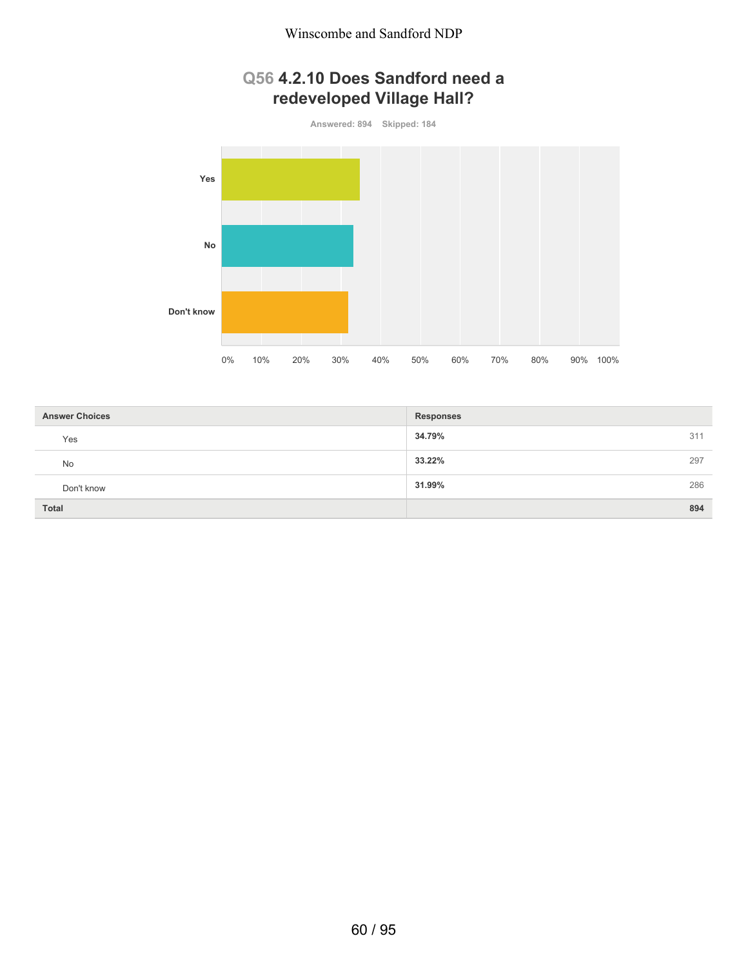## **Q56 4.2.10 Does Sandford need a redeveloped Village Hall?**



| <b>Answer Choices</b> | <b>Responses</b> |     |
|-----------------------|------------------|-----|
| Yes                   | 34.79%           | 311 |
| No                    | 33.22%           | 297 |
| Don't know            | 31.99%           | 286 |
| <b>Total</b>          |                  | 894 |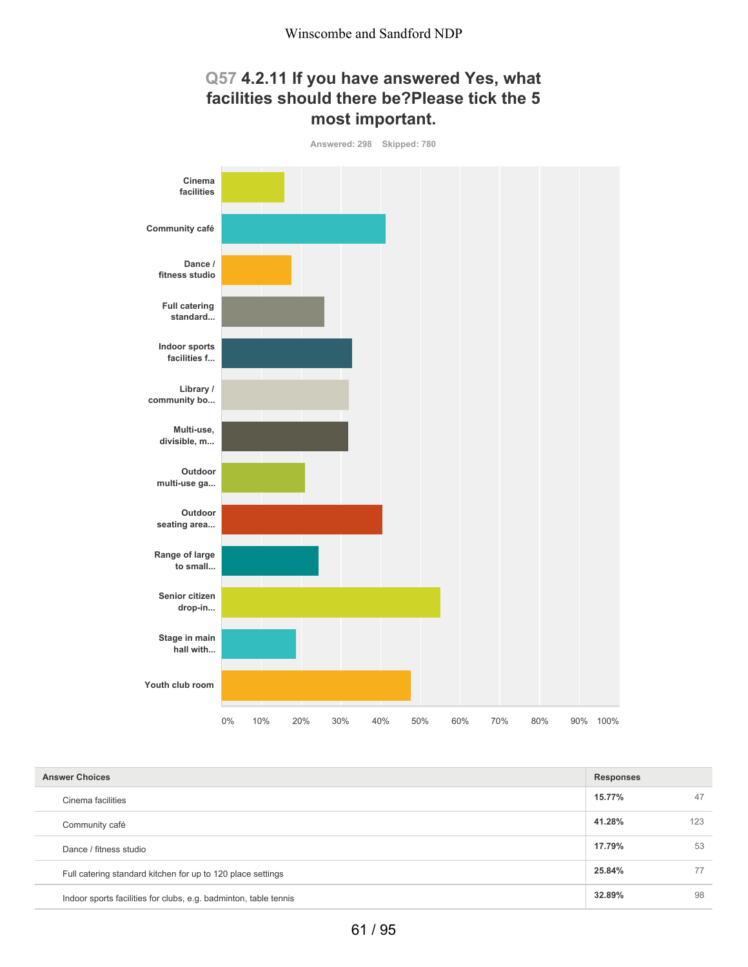

| <b>Answer Choices</b>                                            |        |     |
|------------------------------------------------------------------|--------|-----|
| Cinema facilities                                                | 15.77% | 47  |
| Community café                                                   | 41.28% | 123 |
| Dance / fitness studio                                           | 17.79% | 53  |
| Full catering standard kitchen for up to 120 place settings      | 25.84% | 77  |
| Indoor sports facilities for clubs, e.g. badminton, table tennis | 32.89% | 98  |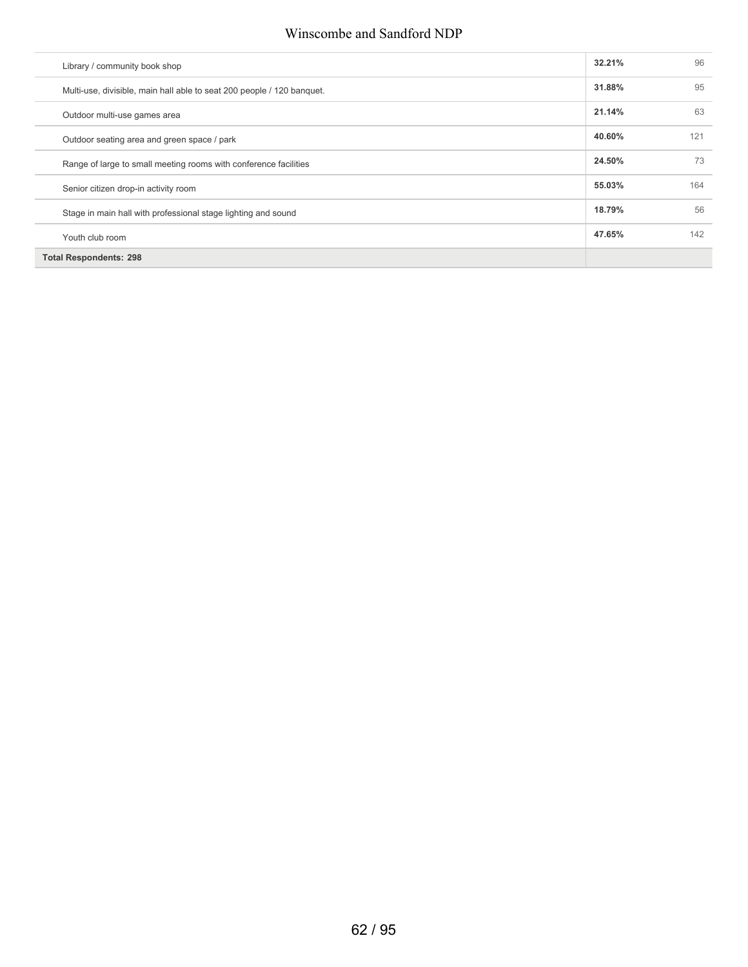#### Winscombe and Sandford NDP

| Library / community book shop        |                                                                        | 32.21% | 96  |
|--------------------------------------|------------------------------------------------------------------------|--------|-----|
|                                      | Multi-use, divisible, main hall able to seat 200 people / 120 banquet. | 31.88% | 95  |
| Outdoor multi-use games area         |                                                                        | 21.14% | 63  |
|                                      | Outdoor seating area and green space / park                            | 40.60% | 121 |
|                                      | Range of large to small meeting rooms with conference facilities       | 24.50% | 73  |
| Senior citizen drop-in activity room |                                                                        | 55.03% | 164 |
|                                      | Stage in main hall with professional stage lighting and sound          | 18.79% | 56  |
| Youth club room                      |                                                                        | 47.65% | 142 |
| <b>Total Respondents: 298</b>        |                                                                        |        |     |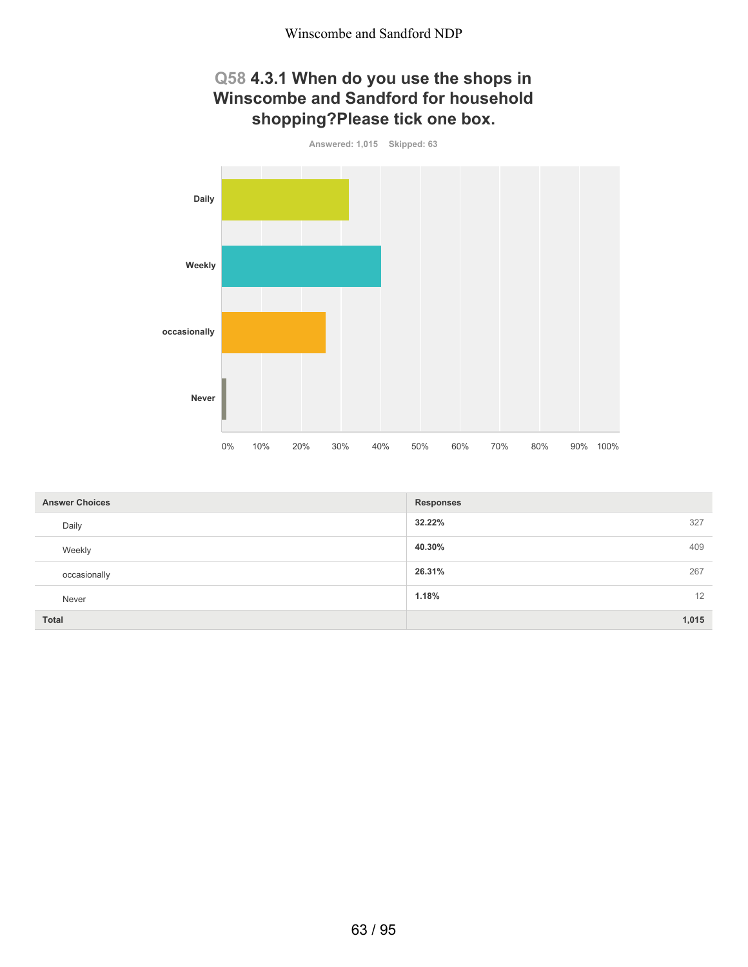## **Q58 4.3.1 When do you use the shops in Winscombe and Sandford for household shopping?Please tick one box.**



| <b>Answer Choices</b> | <b>Responses</b> |
|-----------------------|------------------|
| Daily                 | 32.22%<br>327    |
| Weekly                | 40.30%<br>409    |
| occasionally          | 26.31%<br>267    |
| Never                 | 12<br>1.18%      |
| Total                 | 1,015            |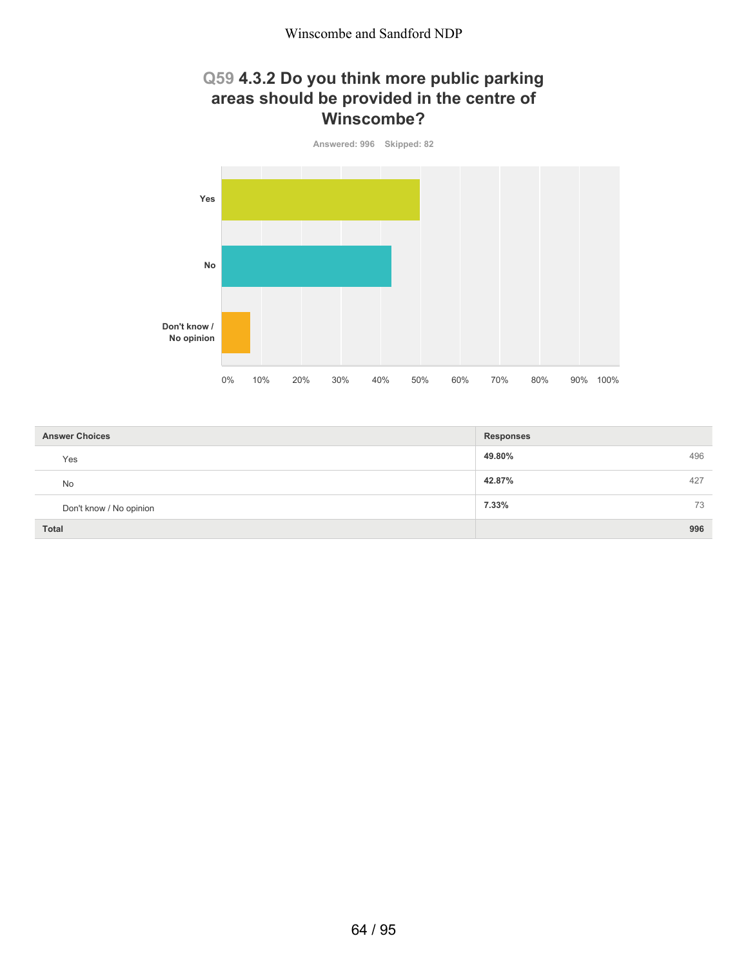## **Q59 4.3.2 Do you think more public parking areas should be provided in the centre of Winscombe?**



| <b>Answer Choices</b>   | <b>Responses</b> |
|-------------------------|------------------|
| Yes                     | 49.80%<br>496    |
| <b>No</b>               | 42.87%<br>427    |
| Don't know / No opinion | 7.33%<br>73      |
| <b>Total</b>            | 996              |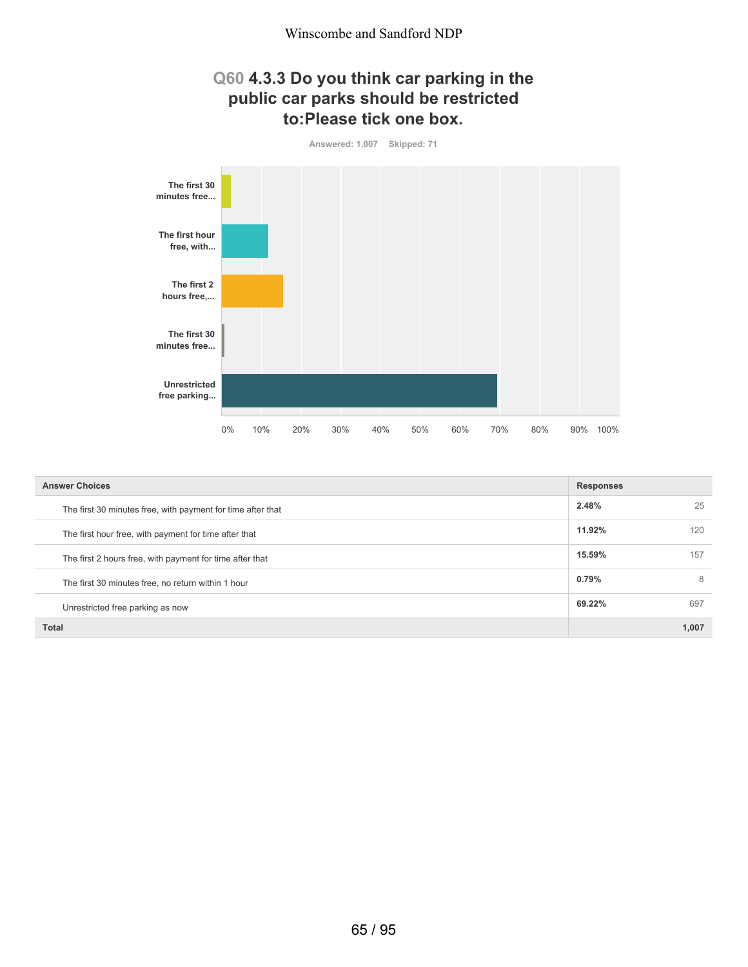#### **Q60 4.3.3 Do you think car parking in the public car parks should be restricted to:Please tick one box.**



| <b>Answer Choices</b>                                       | <b>Responses</b> |       |
|-------------------------------------------------------------|------------------|-------|
| The first 30 minutes free, with payment for time after that | 2.48%            | 25    |
| The first hour free, with payment for time after that       | 11.92%           | 120   |
| The first 2 hours free, with payment for time after that    | 15.59%           | 157   |
| The first 30 minutes free, no return within 1 hour          | 0.79%            | 8     |
| Unrestricted free parking as now                            | 69.22%           | 697   |
| <b>Total</b>                                                |                  | 1,007 |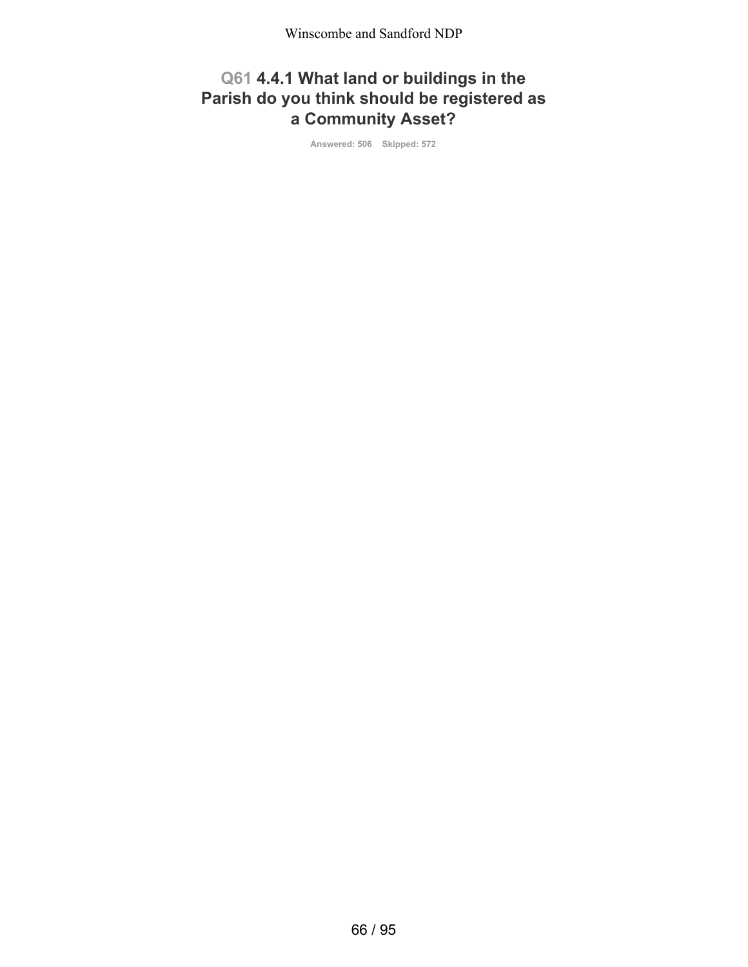# **Q61 4.4.1 What land or buildings in the Parish do you think should be registered as a Community Asset?**

**Answered: 506 Skipped: 572**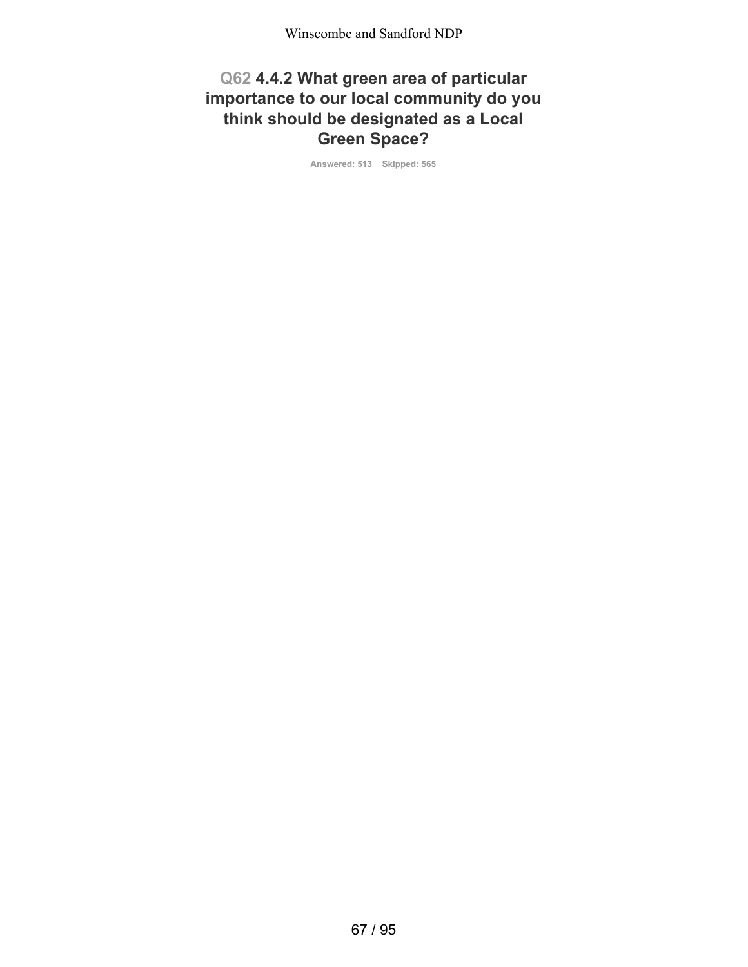#### **Q62 4.4.2 What green area of particular importance to our local community do you think should be designated as a Local Green Space?**

**Answered: 513 Skipped: 565**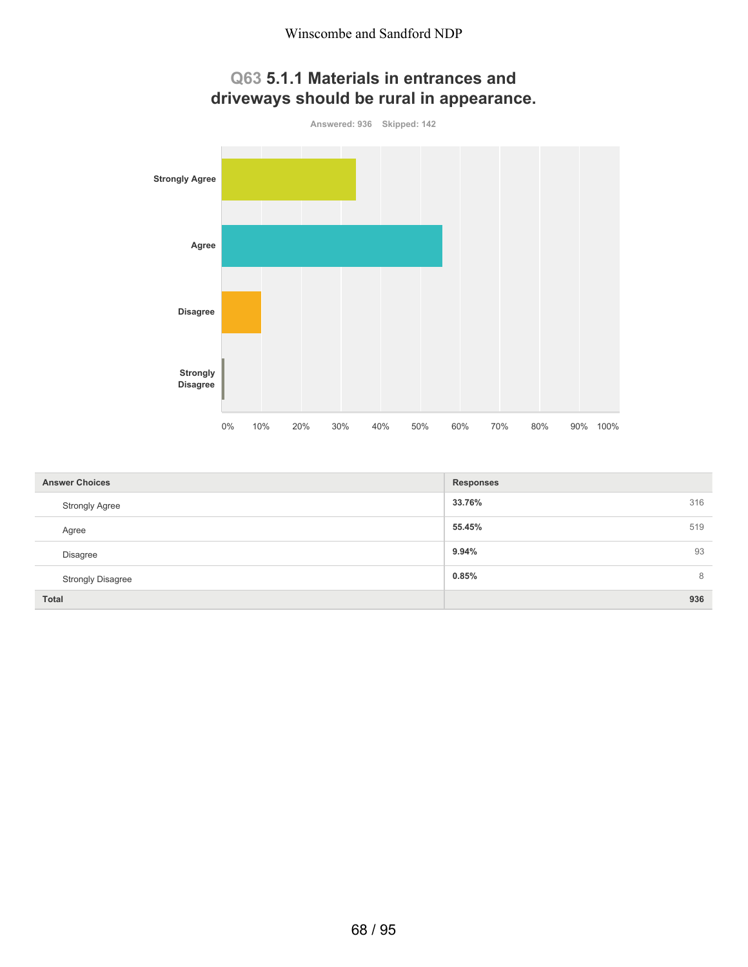

| <b>Answer Choices</b>    | <b>Responses</b> |     |
|--------------------------|------------------|-----|
| <b>Strongly Agree</b>    | 33.76%           | 316 |
| Agree                    | 55.45%           | 519 |
| <b>Disagree</b>          | 9.94%            | 93  |
| <b>Strongly Disagree</b> | 0.85%            | 8   |
| <b>Total</b>             |                  | 936 |

# **Q63 5.1.1 Materials in entrances and**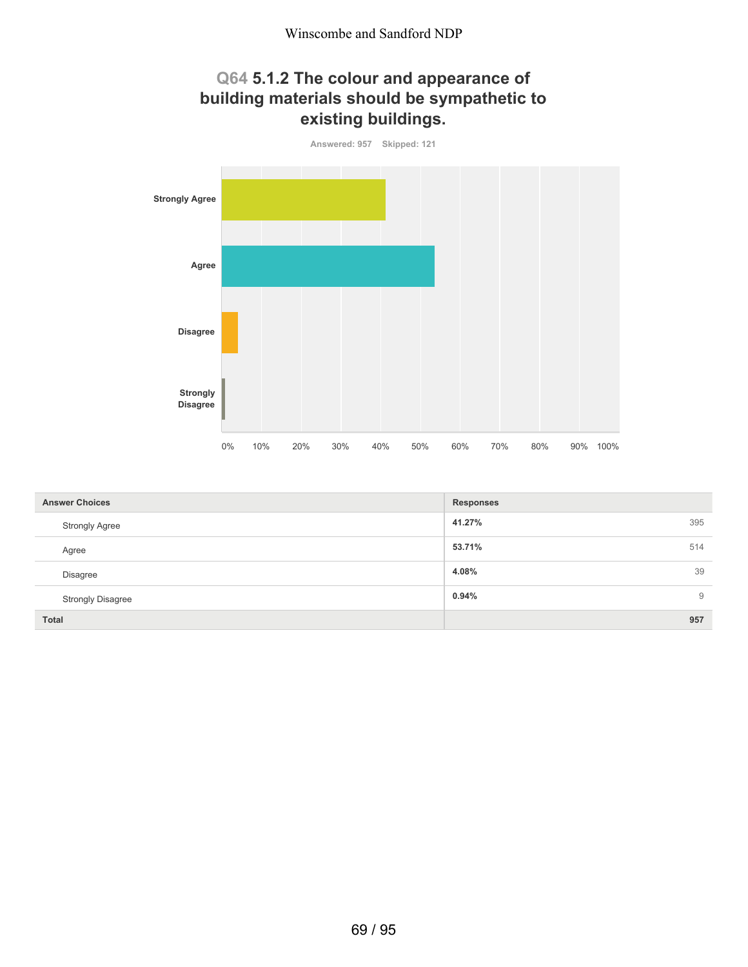## **Q64 5.1.2 The colour and appearance of building materials should be sympathetic to existing buildings.**



| <b>Answer Choices</b>    | <b>Responses</b> |
|--------------------------|------------------|
| <b>Strongly Agree</b>    | 395<br>41.27%    |
| Agree                    | 514<br>53.71%    |
| Disagree                 | 39<br>4.08%      |
| <b>Strongly Disagree</b> | 0.94%<br>9       |
| <b>Total</b>             | 957              |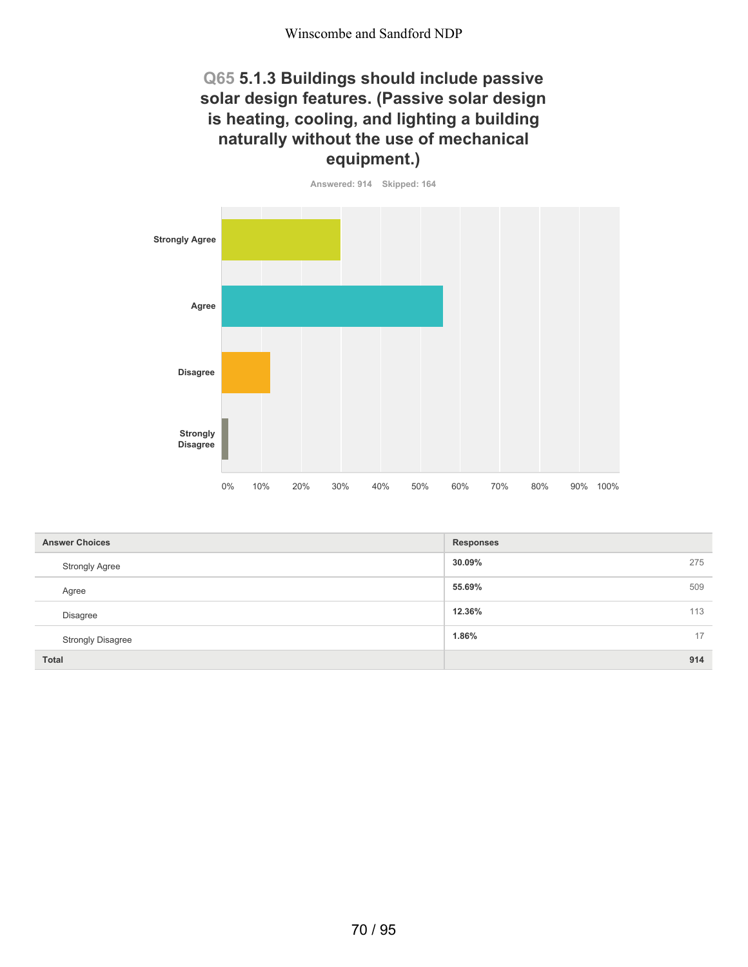#### **Q65 5.1.3 Buildings should include passive solar design features. (Passive solar design is heating, cooling, and lighting a building naturally without the use of mechanical equipment.)**



| <b>Answer Choices</b>    | <b>Responses</b> |
|--------------------------|------------------|
| <b>Strongly Agree</b>    | 30.09%<br>275    |
| Agree                    | 55.69%<br>509    |
| <b>Disagree</b>          | 12.36%<br>113    |
| <b>Strongly Disagree</b> | 1.86%<br>17      |
| <b>Total</b>             | 914              |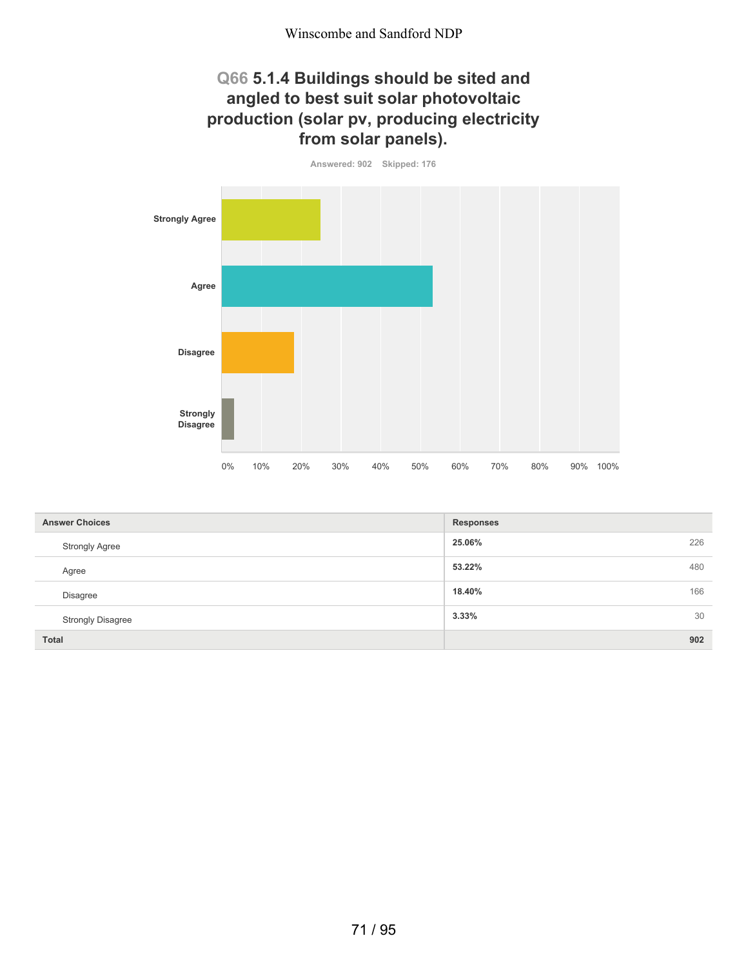## **Q66 5.1.4 Buildings should be sited and angled to best suit solar photovoltaic production (solar pv, producing electricity from solar panels).**

**Answered: 902 Skipped: 176 Strongly Agree Agree Disagree Strongly Disagree** 0% 10% 20% 30% 40% 50% 60% 70% 80% 90% 100%

| <b>Answer Choices</b>    | <b>Responses</b> |  |
|--------------------------|------------------|--|
| <b>Strongly Agree</b>    | 226<br>25.06%    |  |
| Agree                    | 480<br>53.22%    |  |
| <b>Disagree</b>          | 166<br>18.40%    |  |
| <b>Strongly Disagree</b> | 30<br>3.33%      |  |
| <b>Total</b>             | 902              |  |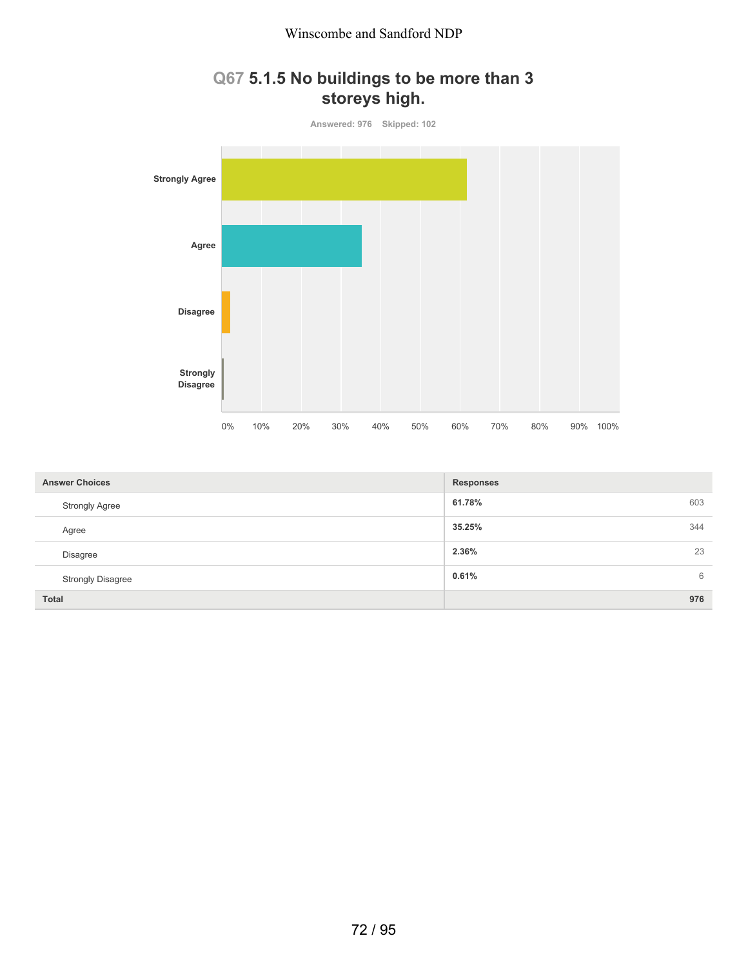# **Q67 5.1.5 No buildings to be more than 3 storeys high.**



| <b>Answer Choices</b>    | <b>Responses</b> |    |
|--------------------------|------------------|----|
| <b>Strongly Agree</b>    | 61.78%<br>603    |    |
| Agree                    | 35.25%<br>344    |    |
| <b>Disagree</b>          | 2.36%            | 23 |
| <b>Strongly Disagree</b> | 0.61%            | 6  |
| Total                    | 976              |    |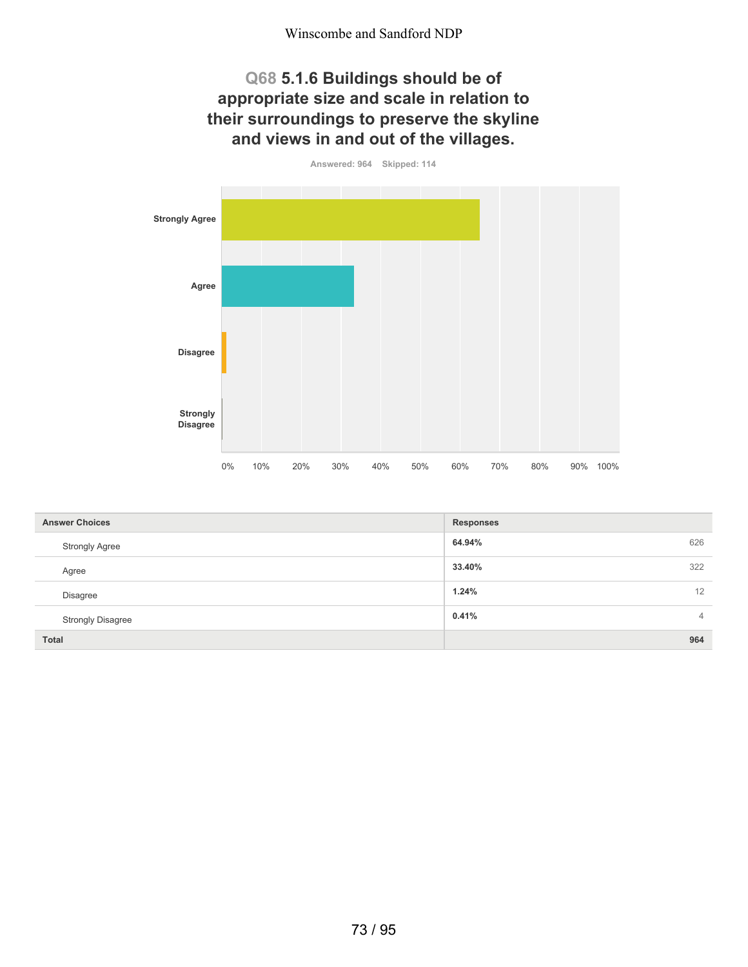## **Q68 5.1.6 Buildings should be of appropriate size and scale in relation to their surroundings to preserve the skyline and views in and out of the villages.**

**Answered: 964 Skipped: 114 Strongly Agree Agree Disagree Strongly Disagree** 0% 10% 20% 30% 40% 50% 60% 70% 80% 90% 100%

| <b>Answer Choices</b>    | <b>Responses</b>        |
|--------------------------|-------------------------|
| <b>Strongly Agree</b>    | 626<br>64.94%           |
| Agree                    | 322<br>33.40%           |
| Disagree                 | 12<br>1.24%             |
| <b>Strongly Disagree</b> | 0.41%<br>$\overline{4}$ |
| <b>Total</b>             | 964                     |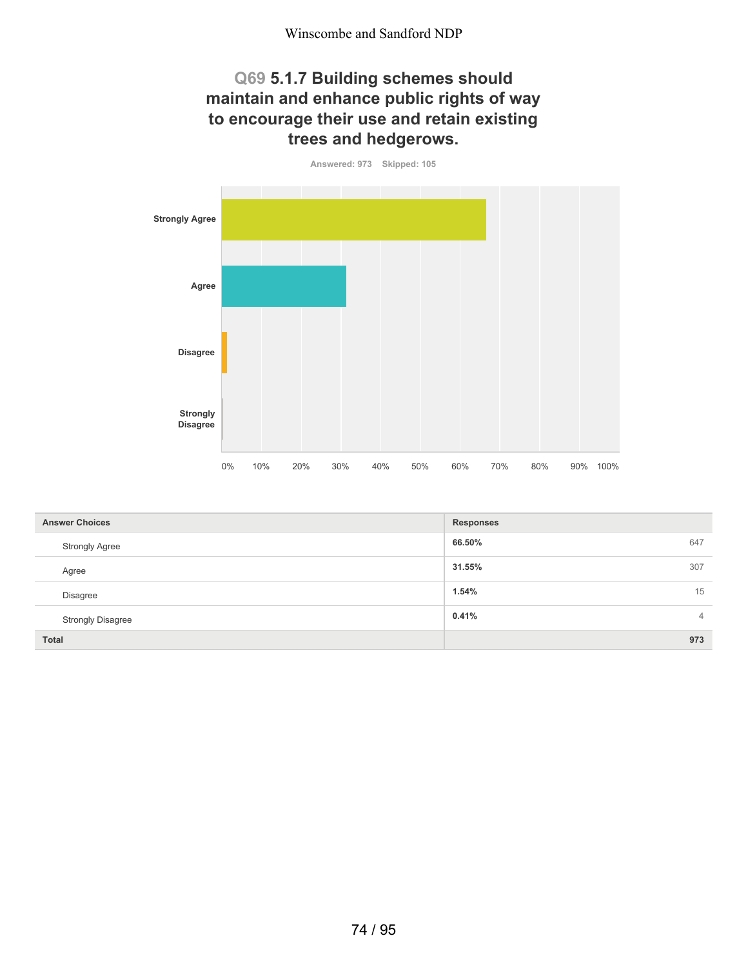## **Q69 5.1.7 Building schemes should maintain and enhance public rights of way to encourage their use and retain existing trees and hedgerows.**

**Answered: 973 Skipped: 105 Strongly Agree Agree Disagree Strongly Disagree** 0% 10% 20% 30% 40% 50% 60% 70% 80% 90% 100%

| <b>Answer Choices</b>    | <b>Responses</b>        |
|--------------------------|-------------------------|
| <b>Strongly Agree</b>    | 66.50%<br>647           |
| Agree                    | 307<br>31.55%           |
| Disagree                 | 15<br>1.54%             |
| <b>Strongly Disagree</b> | 0.41%<br>$\overline{4}$ |
| <b>Total</b>             | 973                     |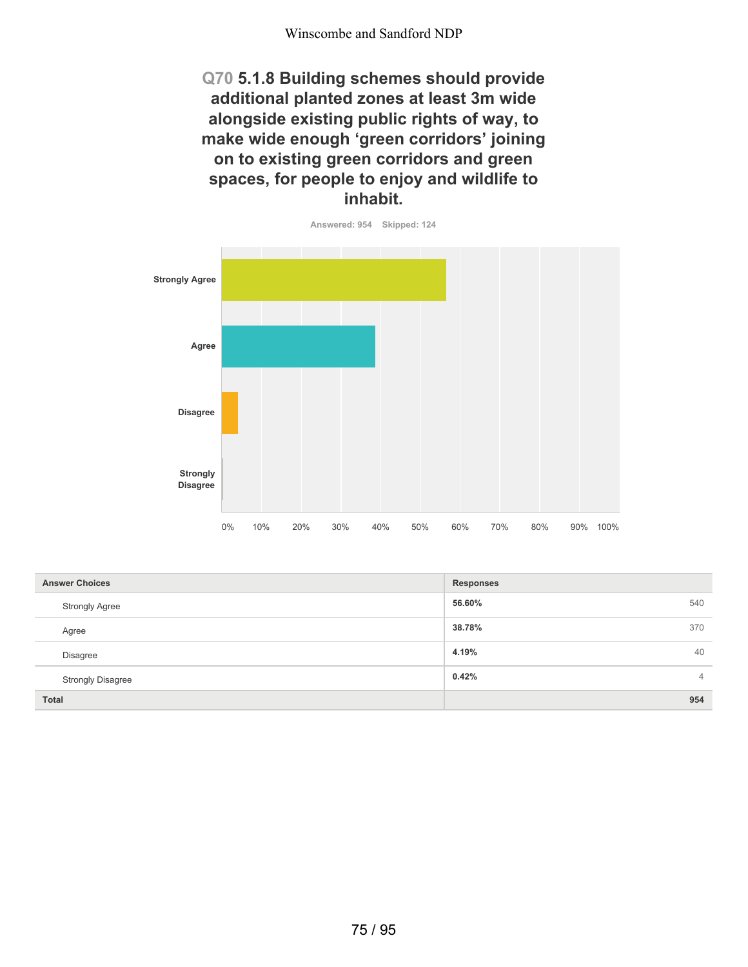**Q70 5.1.8 Building schemes should provide additional planted zones at least 3m wide alongside existing public rights of way, to make wide enough 'green corridors' joining on to existing green corridors and green spaces, for people to enjoy and wildlife to inhabit.**



| <b>Answer Choices</b>    | <b>Responses</b>        |
|--------------------------|-------------------------|
| <b>Strongly Agree</b>    | 56.60%<br>540           |
| Agree                    | 38.78%<br>370           |
| Disagree                 | 4.19%<br>40             |
| <b>Strongly Disagree</b> | 0.42%<br>$\overline{4}$ |
| <b>Total</b>             | 954                     |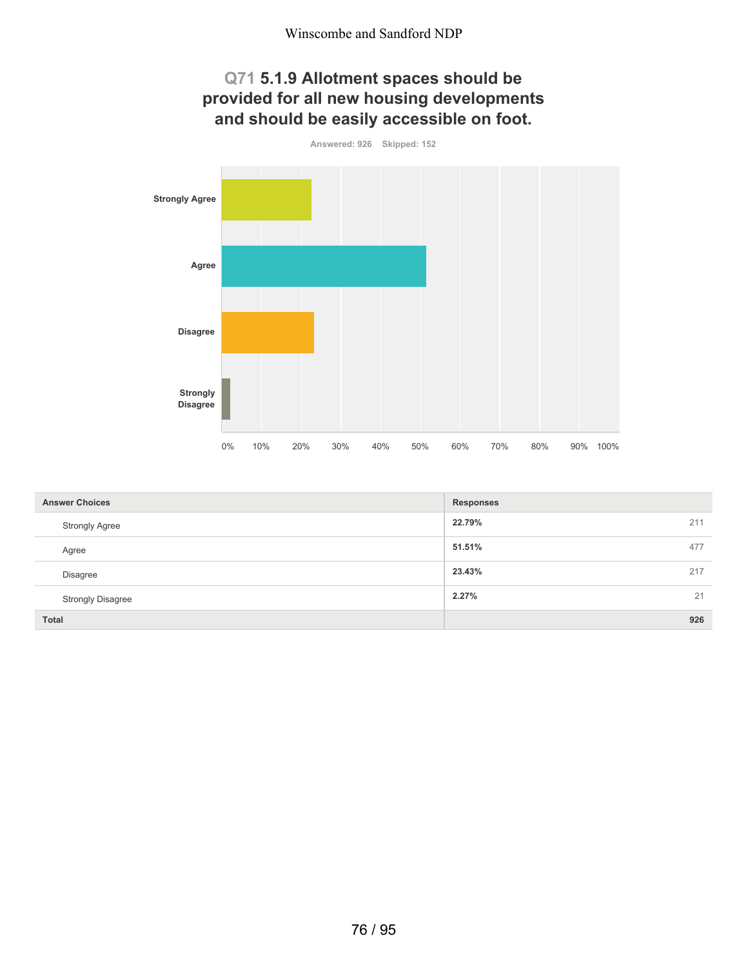## **Q71 5.1.9 Allotment spaces should be provided for all new housing developments and should be easily accessible on foot.**



| <b>Answer Choices</b>    | <b>Responses</b> |  |
|--------------------------|------------------|--|
| <b>Strongly Agree</b>    | 22.79%<br>211    |  |
| Agree                    | 51.51%<br>477    |  |
| <b>Disagree</b>          | 23.43%<br>217    |  |
| <b>Strongly Disagree</b> | 21<br>2.27%      |  |
| <b>Total</b>             | 926              |  |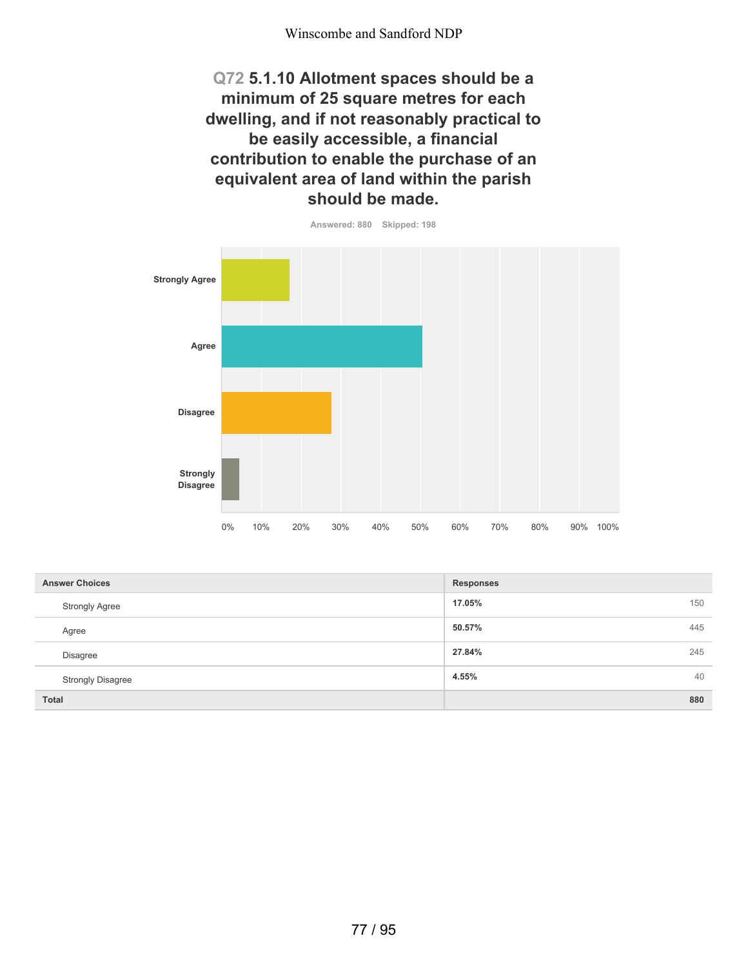**Q72 5.1.10 Allotment spaces should be a minimum of 25 square metres for each dwelling, and if not reasonably practical to be easily accessible, a financial contribution to enable the purchase of an equivalent area of land within the parish should be made.**



| <b>Answer Choices</b>    | <b>Responses</b> |
|--------------------------|------------------|
| <b>Strongly Agree</b>    | 17.05%<br>150    |
| Agree                    | 50.57%<br>445    |
| Disagree                 | 27.84%<br>245    |
| <b>Strongly Disagree</b> | 40<br>4.55%      |
| <b>Total</b>             | 880              |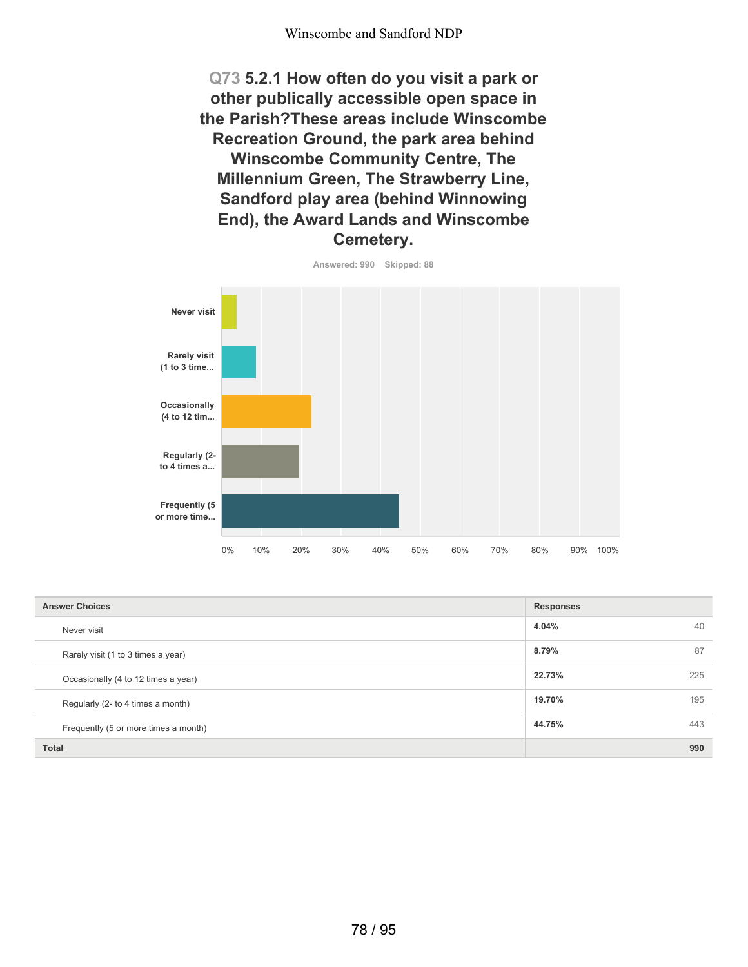**Q73 5.2.1 How often do you visit a park or other publically accessible open space in the Parish?These areas include Winscombe Recreation Ground, the park area behind Winscombe Community Centre, The Millennium Green, The Strawberry Line, Sandford play area (behind Winnowing End), the Award Lands and Winscombe Cemetery.**



| <b>Answer Choices</b>                | <b>Responses</b> |
|--------------------------------------|------------------|
| Never visit                          | 4.04%<br>40      |
| Rarely visit (1 to 3 times a year)   | 8.79%<br>87      |
| Occasionally (4 to 12 times a year)  | 22.73%<br>225    |
| Regularly (2- to 4 times a month)    | 19.70%<br>195    |
| Frequently (5 or more times a month) | 44.75%<br>443    |
| <b>Total</b>                         | 990              |

78 / 95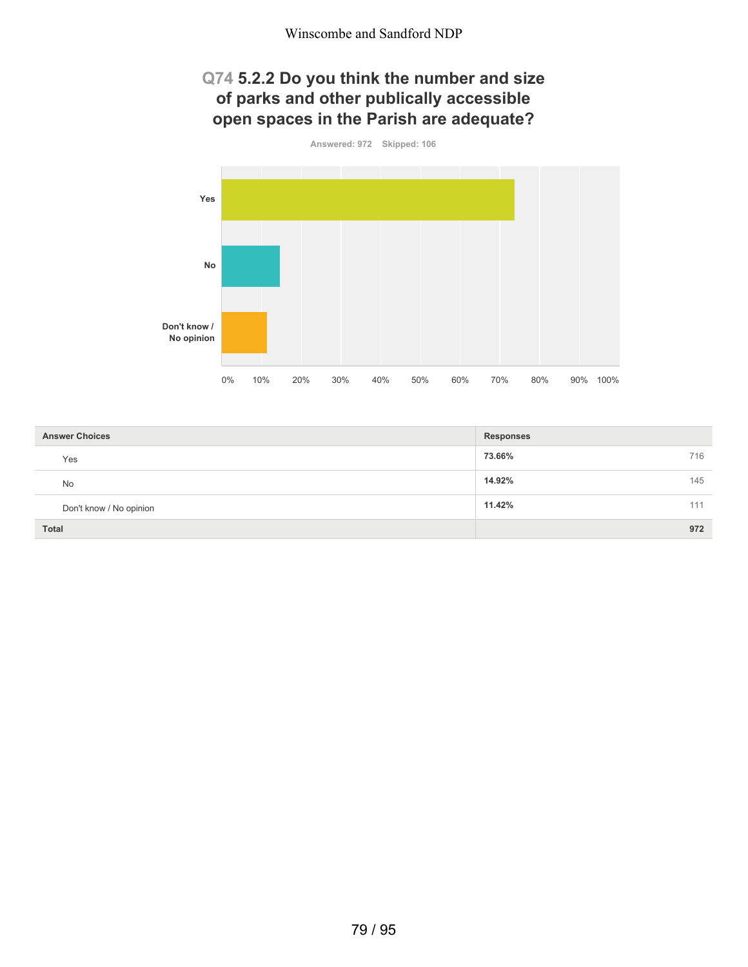## **Q74 5.2.2 Do you think the number and size of parks and other publically accessible open spaces in the Parish are adequate?**



| <b>Answer Choices</b>   | <b>Responses</b> |
|-------------------------|------------------|
| Yes                     | 73.66%<br>716    |
| <b>No</b>               | 14.92%<br>145    |
| Don't know / No opinion | 11.42%<br>111    |
| <b>Total</b>            | 972              |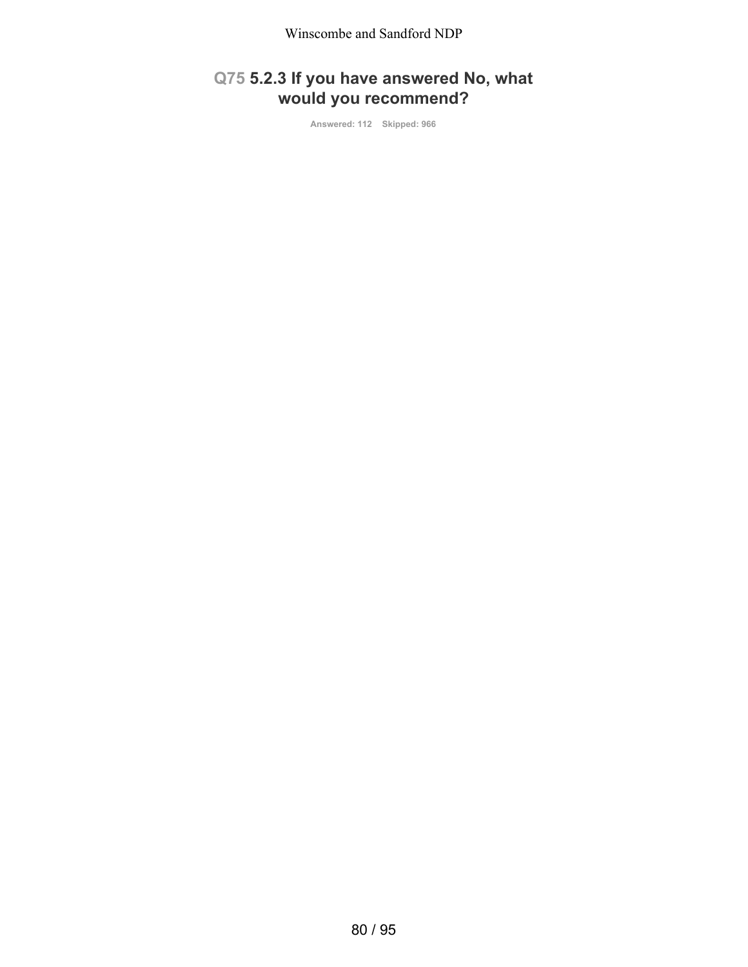# **Q75 5.2.3 If you have answered No, what would you recommend?**

**Answered: 112 Skipped: 966**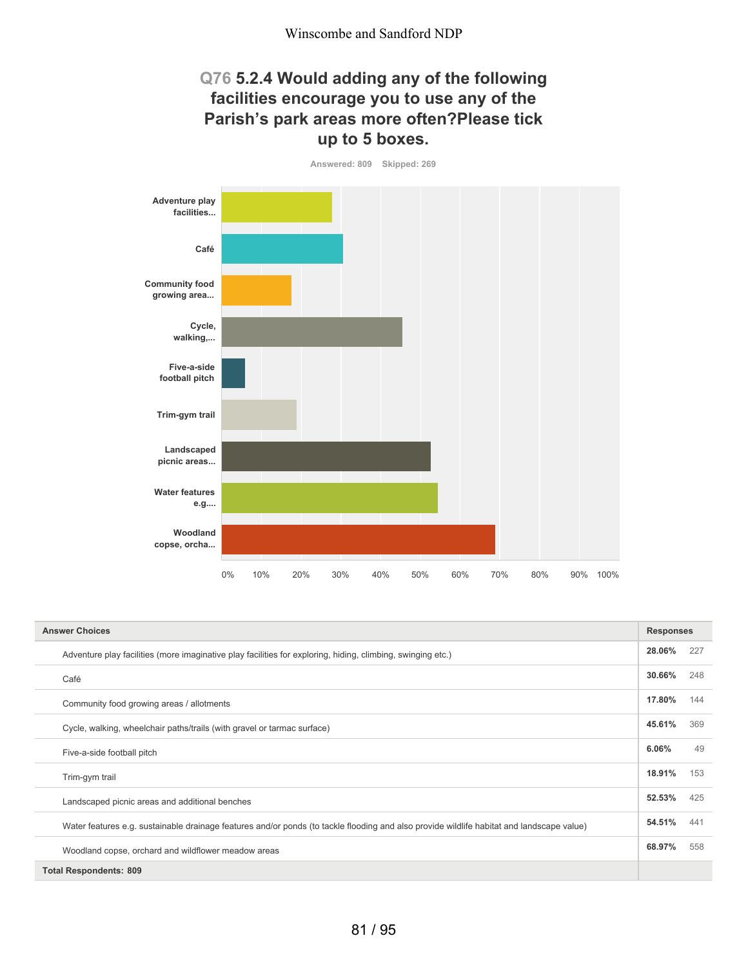## **Q76 5.2.4 Would adding any of the following facilities encourage you to use any of the Parish's park areas more often?Please tick up to 5 boxes.**



| <b>Answer Choices</b>                                                                                                                     | <b>Responses</b> |     |
|-------------------------------------------------------------------------------------------------------------------------------------------|------------------|-----|
| Adventure play facilities (more imaginative play facilities for exploring, hiding, climbing, swinging etc.)                               | 28.06%           | 227 |
| Café                                                                                                                                      | 30.66%           | 248 |
| Community food growing areas / allotments                                                                                                 | 17.80%           | 144 |
| Cycle, walking, wheelchair paths/trails (with gravel or tarmac surface)                                                                   | 45.61%           | 369 |
| Five-a-side football pitch                                                                                                                | 6.06%            | 49  |
| Trim-gym trail                                                                                                                            | 18.91%           | 153 |
| Landscaped picnic areas and additional benches                                                                                            | 52.53%           | 425 |
| Water features e.g. sustainable drainage features and/or ponds (to tackle flooding and also provide wildlife habitat and landscape value) | 54.51%           | 441 |
| Woodland copse, orchard and wildflower meadow areas                                                                                       | 68.97%           | 558 |
| <b>Total Respondents: 809</b>                                                                                                             |                  |     |

81 / 95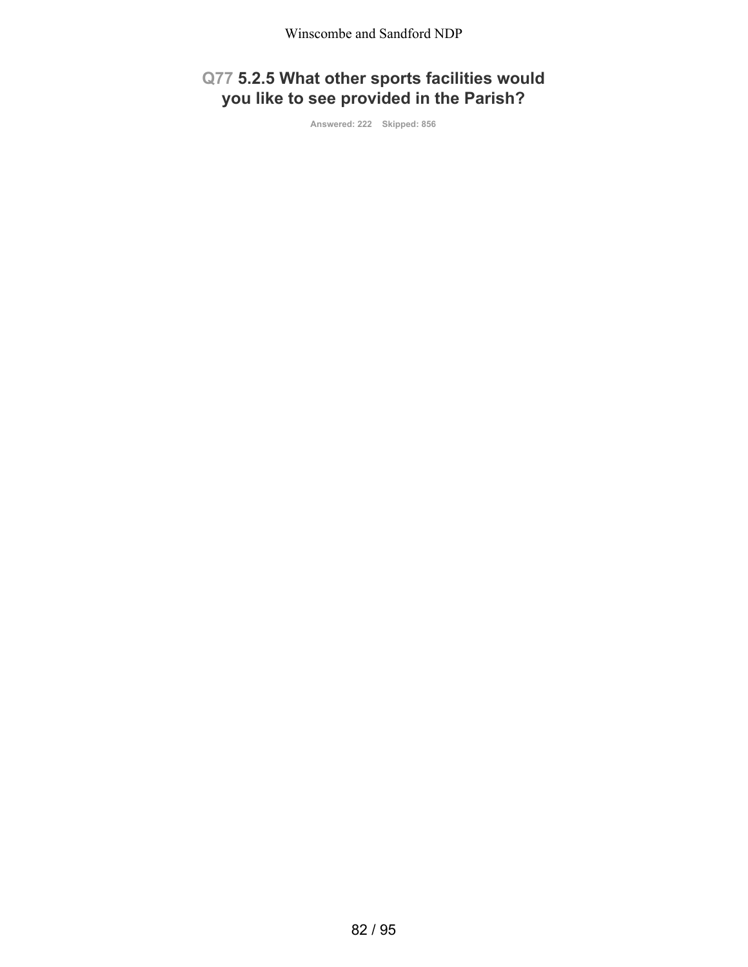# **Q77 5.2.5 What other sports facilities would you like to see provided in the Parish?**

**Answered: 222 Skipped: 856**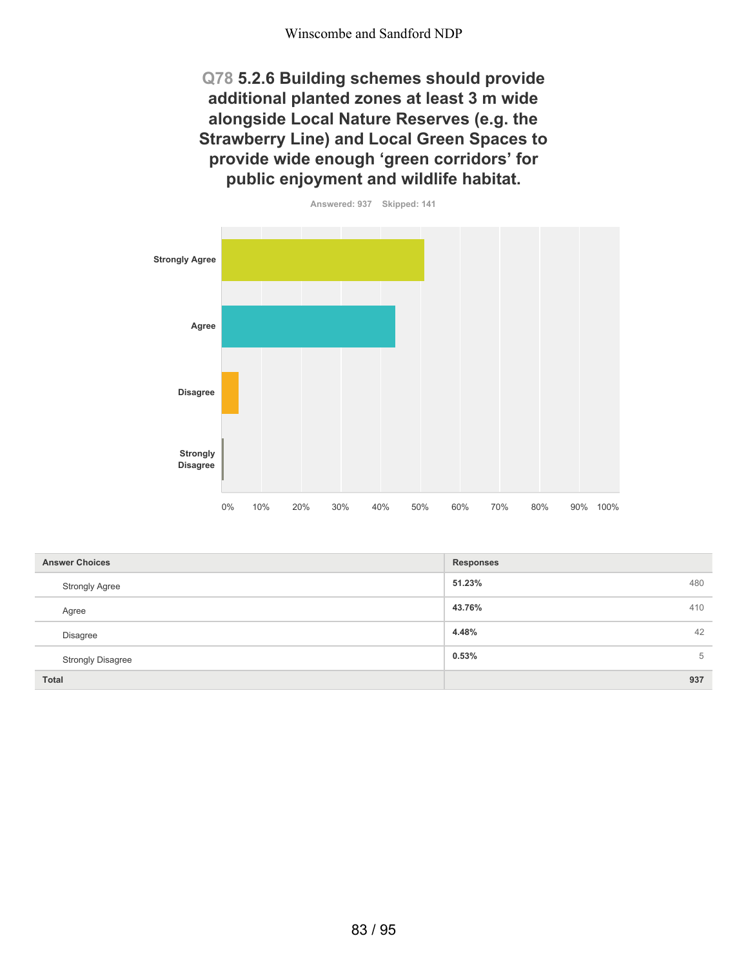**Q78 5.2.6 Building schemes should provide additional planted zones at least 3 m wide alongside Local Nature Reserves (e.g. the Strawberry Line) and Local Green Spaces to provide wide enough 'green corridors' for public enjoyment and wildlife habitat.**



| <b>Answer Choices</b>    | <b>Responses</b> |
|--------------------------|------------------|
| <b>Strongly Agree</b>    | 51.23%<br>480    |
| Agree                    | 43.76%<br>410    |
| Disagree                 | 4.48%<br>42      |
| <b>Strongly Disagree</b> | 0.53%<br>5       |
| <b>Total</b>             | 937              |

83 / 95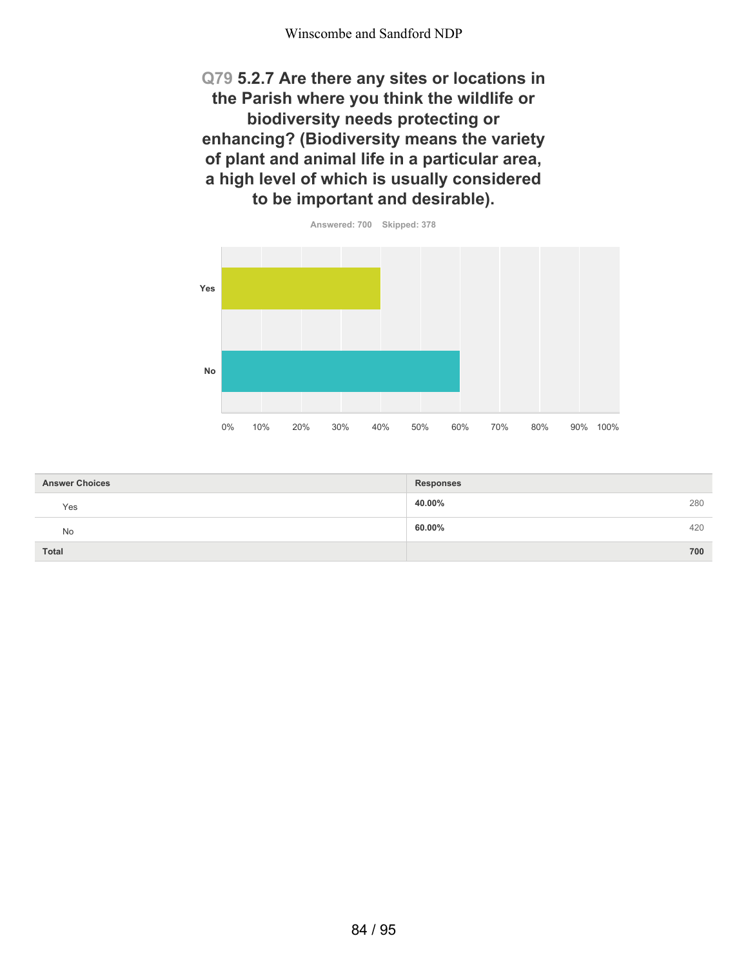**Q79 5.2.7 Are there any sites or locations in the Parish where you think the wildlife or biodiversity needs protecting or enhancing? (Biodiversity means the variety of plant and animal life in a particular area, a high level of which is usually considered to be important and desirable).**



| <b>Answer Choices</b> | <b>Responses</b> |
|-----------------------|------------------|
| Yes                   | 40.00%<br>280    |
| No                    | 60.00%<br>420    |
| Total                 | 700              |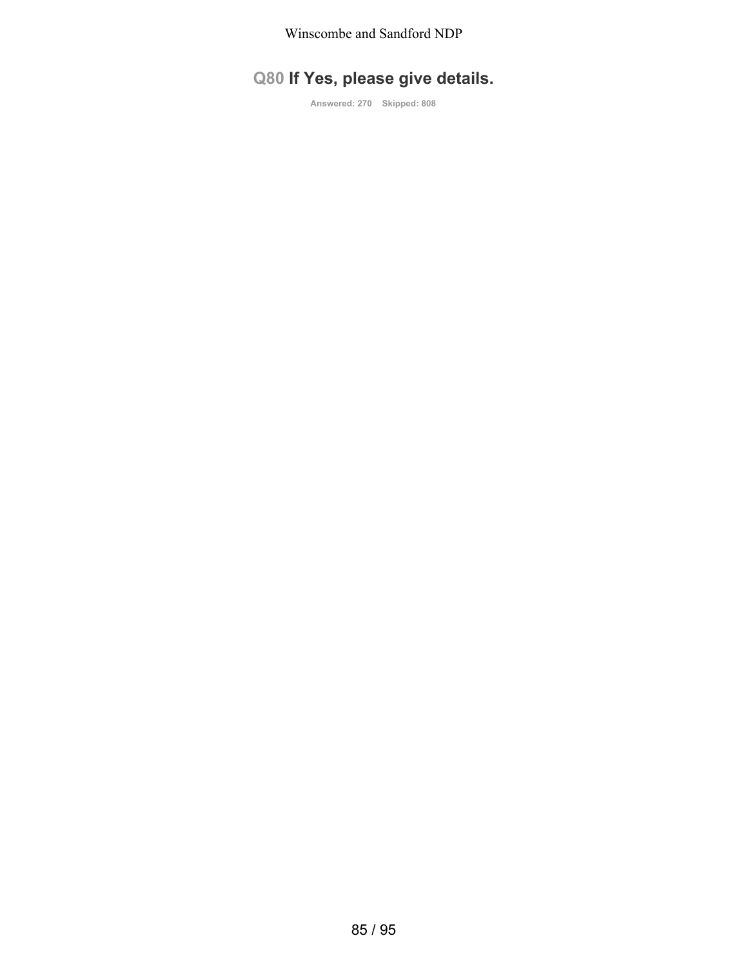# **Q80 If Yes, please give details.**

**Answered: 270 Skipped: 808**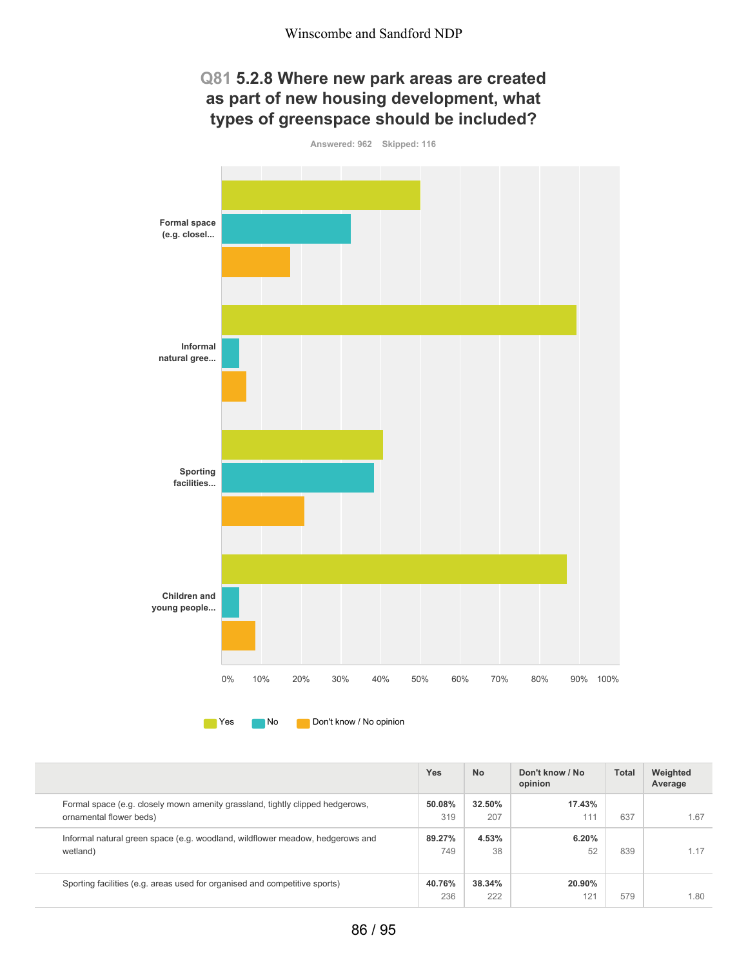## **Q81 5.2.8 Where new park areas are created as part of new housing development, what types of greenspace should be included?**



**No** Don't know / No opinion

|                                                                                                          | Yes           | <b>No</b>     | Don't know / No<br>opinion | <b>Total</b> | Weighted<br>Average |
|----------------------------------------------------------------------------------------------------------|---------------|---------------|----------------------------|--------------|---------------------|
| Formal space (e.g. closely mown amenity grassland, tightly clipped hedgerows,<br>ornamental flower beds) | 50.08%<br>319 | 32.50%<br>207 | 17.43%<br>111              | 637          | 1.67                |
| Informal natural green space (e.g. woodland, wildflower meadow, hedgerows and<br>wetland)                | 89.27%<br>749 | 4.53%<br>38   | 6.20%<br>52                | 839          | 1.17                |
| Sporting facilities (e.g. areas used for organised and competitive sports)                               | 40.76%<br>236 | 38.34%<br>222 | 20.90%<br>121              | 579          | 1.80                |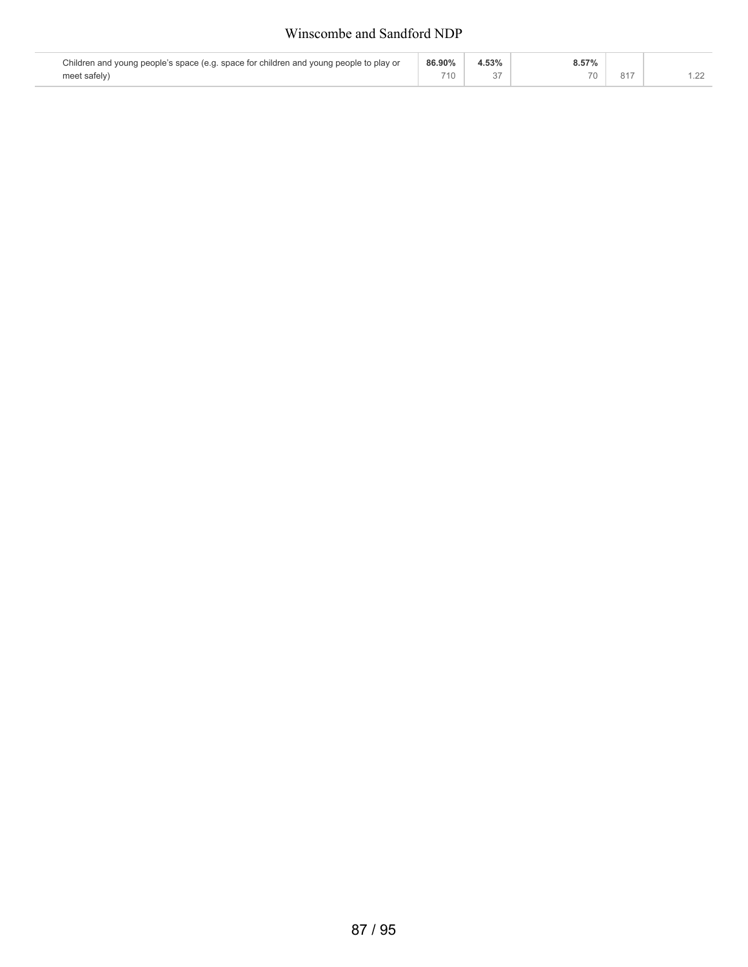#### Winscombe and Sandford NDP

| Children and young people's space (e.g. space for children and young people to play or | 86.90% | 4.53% | 8.57% |     |  |
|----------------------------------------------------------------------------------------|--------|-------|-------|-----|--|
| meet safely)                                                                           | 710    |       |       | 817 |  |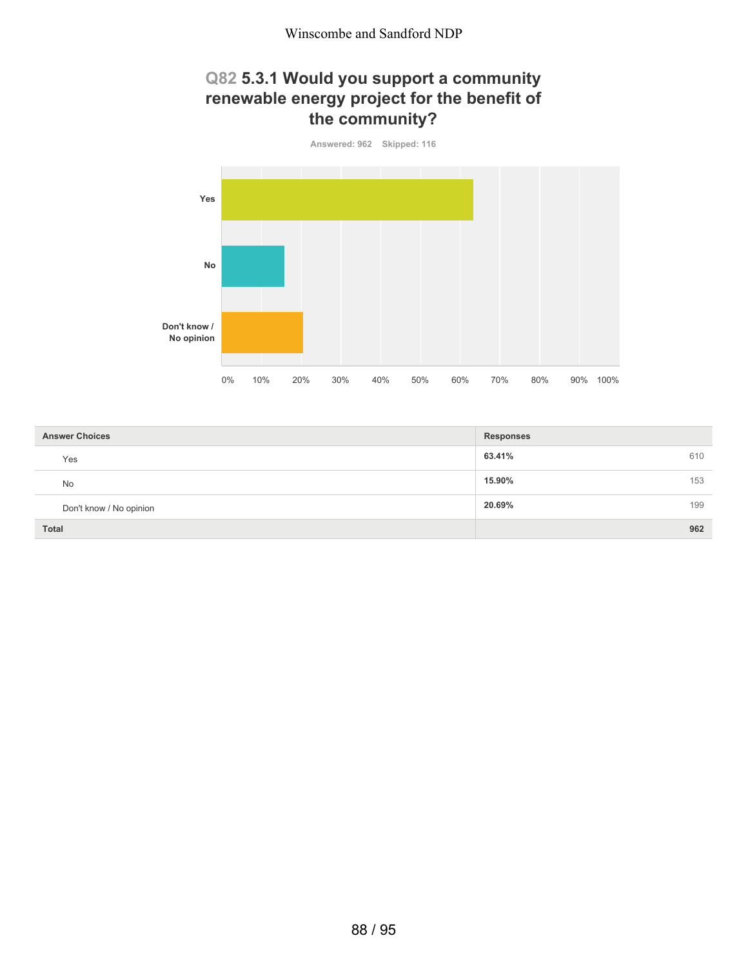## **Q82 5.3.1 Would you support a community renewable energy project for the benefit of the community?**



| <b>Answer Choices</b>   | <b>Responses</b> |
|-------------------------|------------------|
| Yes                     | 63.41%<br>610    |
| No                      | 15.90%<br>153    |
| Don't know / No opinion | 20.69%<br>199    |
| <b>Total</b>            | 962              |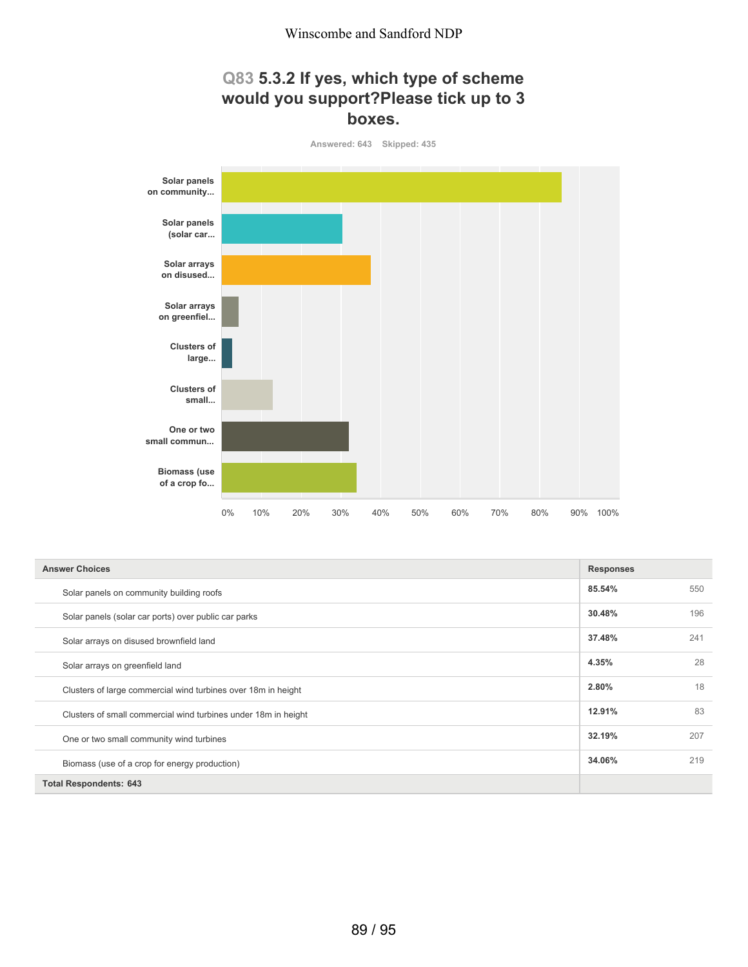## **Q83 5.3.2 If yes, which type of scheme would you support?Please tick up to 3 boxes.**



| <b>Answer Choices</b>                                          | <b>Responses</b> |     |
|----------------------------------------------------------------|------------------|-----|
| Solar panels on community building roofs                       | 85.54%           | 550 |
| Solar panels (solar car ports) over public car parks           | 30.48%           | 196 |
| Solar arrays on disused brownfield land                        | 37.48%           | 241 |
| Solar arrays on greenfield land                                | 4.35%            | 28  |
| Clusters of large commercial wind turbines over 18m in height  | 2.80%            | 18  |
| Clusters of small commercial wind turbines under 18m in height | 12.91%           | 83  |
| One or two small community wind turbines                       | 32.19%           | 207 |
| Biomass (use of a crop for energy production)                  | 34.06%           | 219 |
| <b>Total Respondents: 643</b>                                  |                  |     |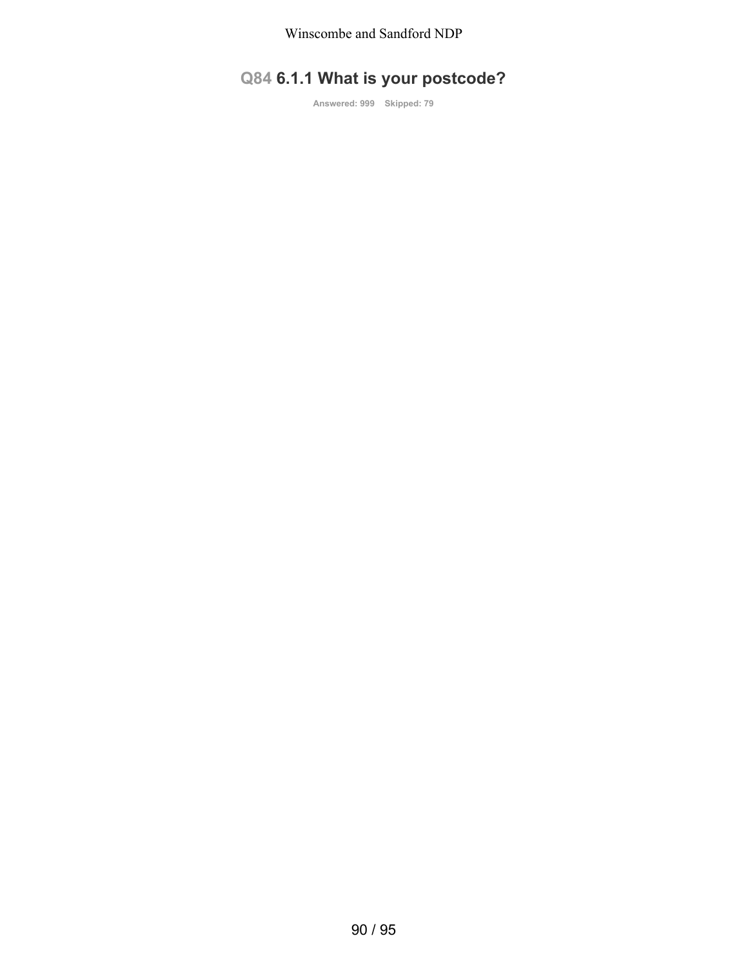# **Q84 6.1.1 What is your postcode?**

**Answered: 999 Skipped: 79**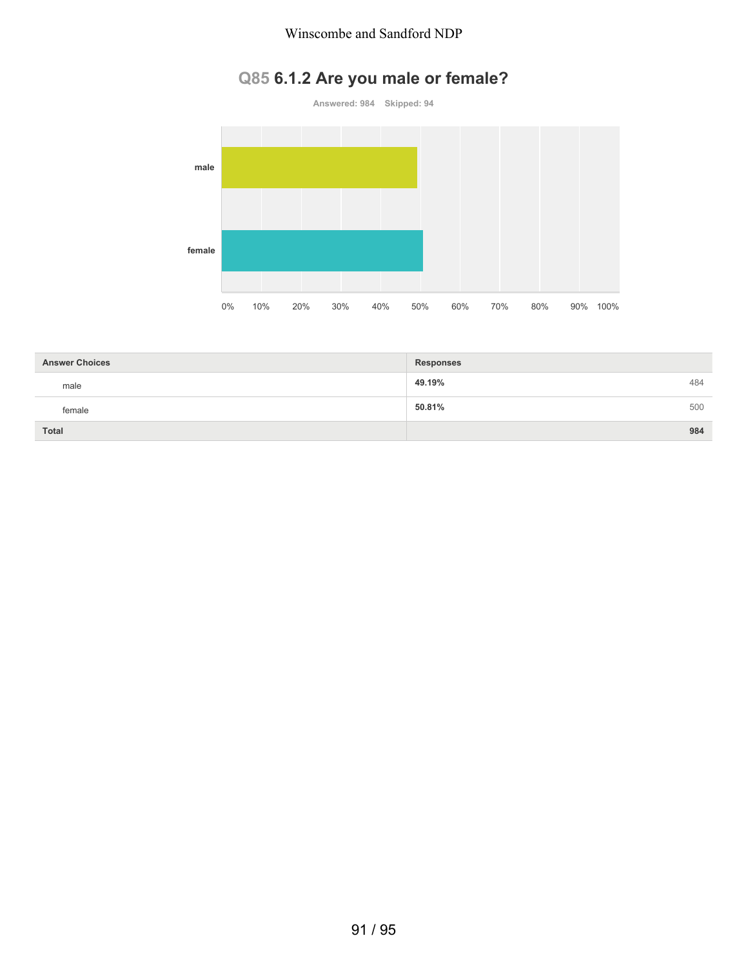#### Winscombe and Sandford NDP

# **Q85 6.1.2 Are you male or female?**



| <b>Answer Choices</b> | <b>Responses</b> |     |
|-----------------------|------------------|-----|
| male                  | 49.19%           | 484 |
| female                | 50.81%           | 500 |
| <b>Total</b>          |                  | 984 |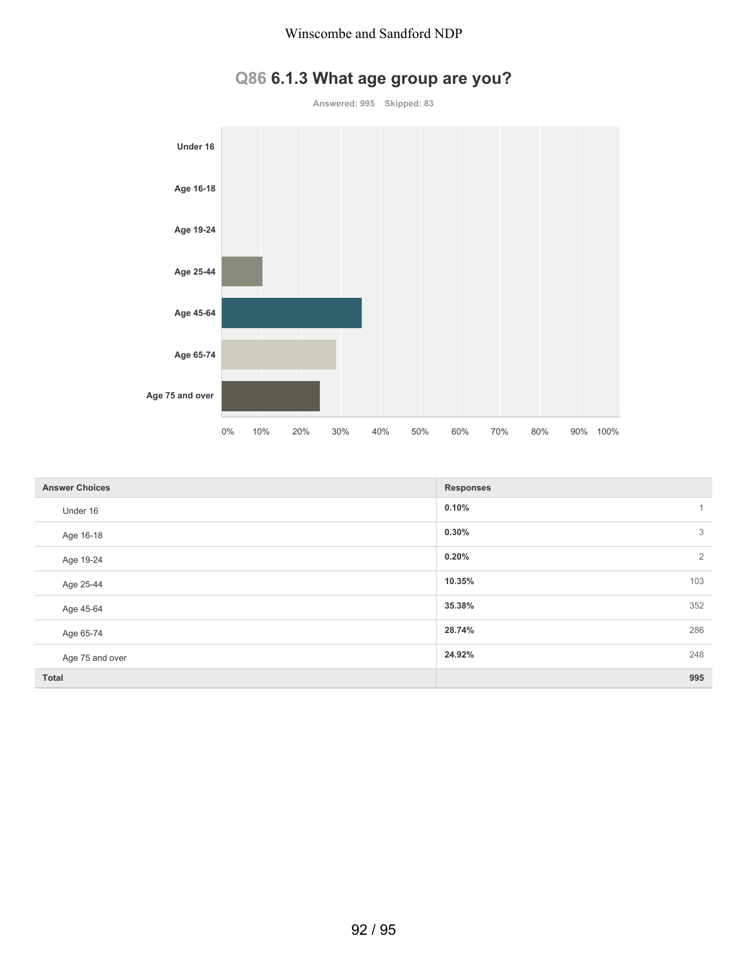



| <b>Answer Choices</b> | <b>Responses</b>        |
|-----------------------|-------------------------|
| Under 16              | 0.10%                   |
| Age 16-18             | 3<br>0.30%              |
| Age 19-24             | $\overline{2}$<br>0.20% |
| Age 25-44             | 10.35%<br>103           |
| Age 45-64             | 352<br>35.38%           |
| Age 65-74             | 286<br>28.74%           |
| Age 75 and over       | 248<br>24.92%           |
| Total                 | 995                     |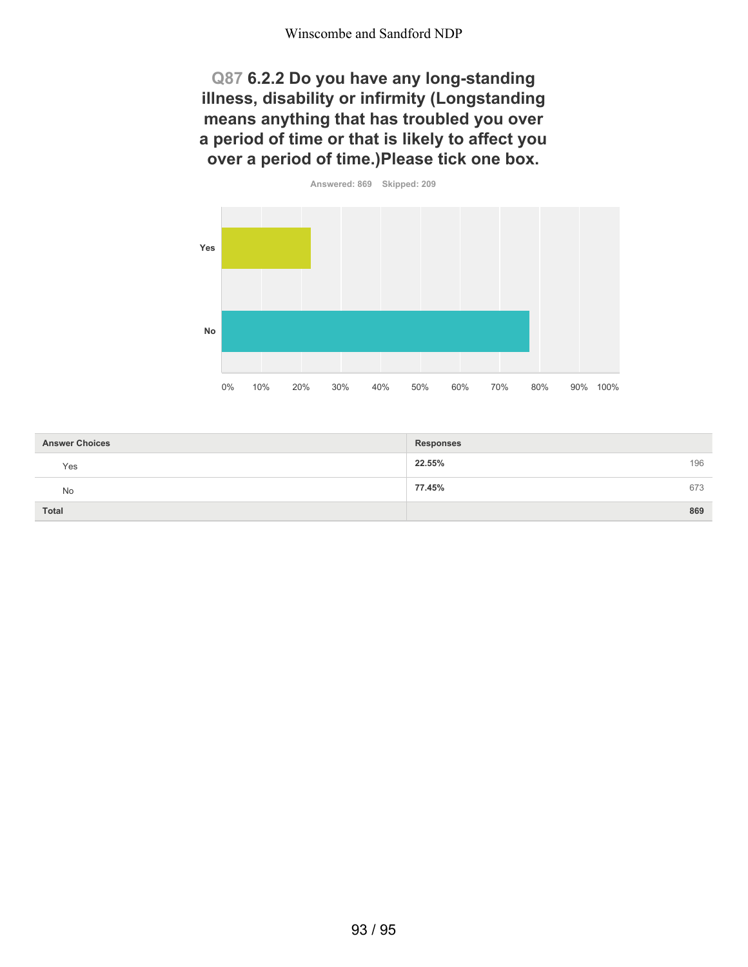**Q87 6.2.2 Do you have any long-standing illness, disability or infirmity (Longstanding means anything that has troubled you over a period of time or that is likely to affect you over a period of time.)Please tick one box.**



| <b>Answer Choices</b> | <b>Responses</b> |
|-----------------------|------------------|
| Yes                   | 22.55%<br>196    |
| No                    | 77.45%<br>673    |
| Total                 | 869              |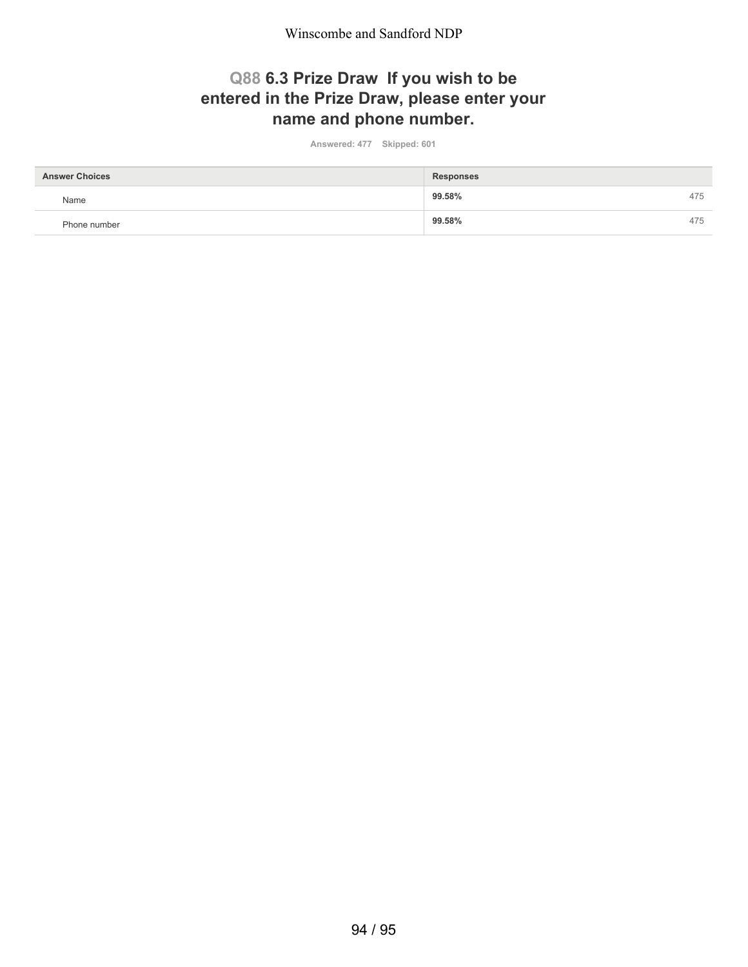Winscombe and Sandford NDP

## **Q88 6.3 Prize Draw If you wish to be entered in the Prize Draw, please enter your name and phone number.**

**Answered: 477 Skipped: 601**

| <b>Answer Choices</b> | <b>Responses</b> |     |
|-----------------------|------------------|-----|
| Name                  | 99.58%           | 475 |
| Phone number          | 99.58%           | 475 |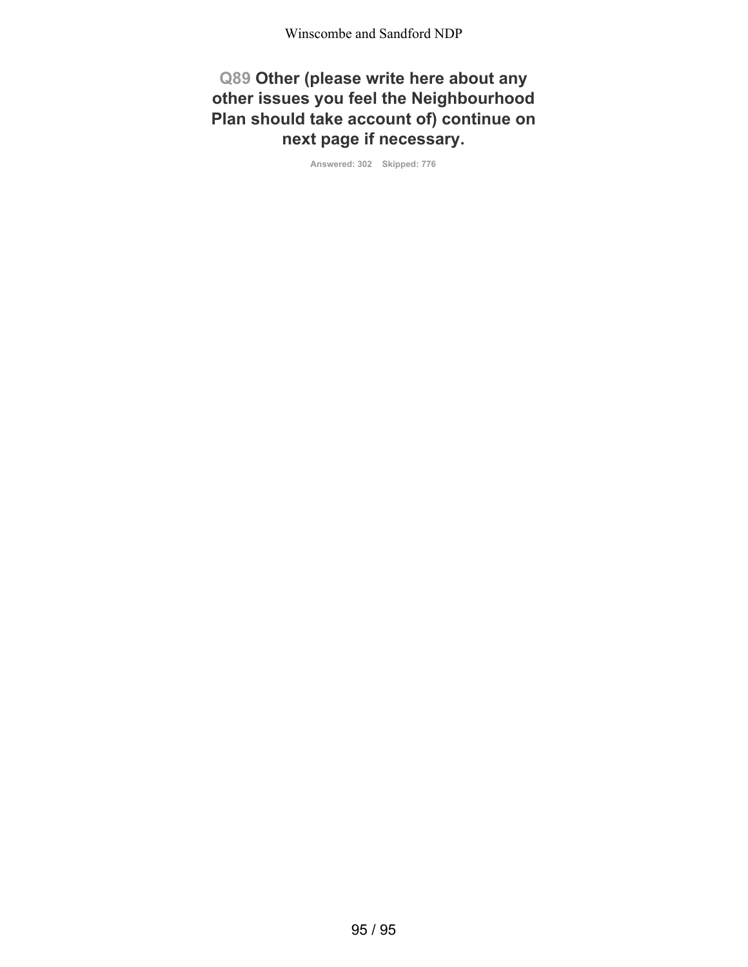**Q89 Other (please write here about any other issues you feel the Neighbourhood Plan should take account of) continue on next page if necessary.**

**Answered: 302 Skipped: 776**